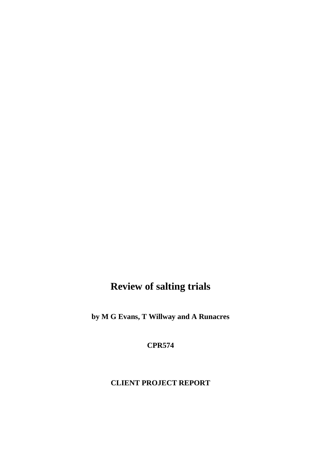# **Review of salting trials**

**by M G Evans, T Willway and A Runacres**

**CPR574**

# **CLIENT PROJECT REPORT**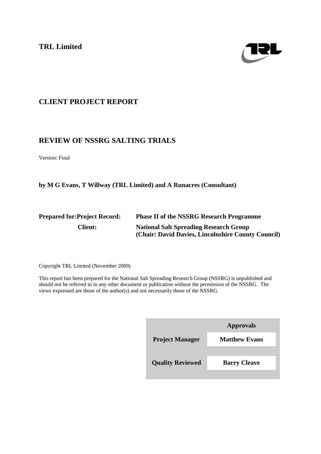**TRL Limited**



# **CLIENT PROJECT REPORT**

# **REVIEW OF NSSRG SALTING TRIALS**

Version: Final

**by M G Evans, T Willway (TRL Limited) and A Runacres (Consultant)**

| <b>Prepared for: Project Record:</b> | <b>Phase II of the NSSRG Research Programme</b>    |  |  |
|--------------------------------------|----------------------------------------------------|--|--|
| <b>Client:</b>                       | <b>National Salt Spreading Research Group</b>      |  |  |
|                                      | (Chair: David Davies, Lincolnshire County Council) |  |  |

Copyright TRL Limited (November 2009)

This report has been prepared for the National Salt Spreading Research Group (NSSRG) is unpublished and should not be referred to in any other document or publication without the permission of the NSSRG. The views expressed are those of the author(s) and not necessarily those of the NSSRG.

| <b>Approvals</b>     |
|----------------------|
| <b>Matthew Evans</b> |
|                      |
| <b>Barry Cleave</b>  |
|                      |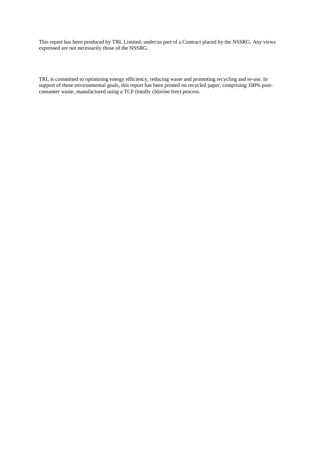This report has been produced by TRL Limited, under/as part of a Contract placed by the NSSRG. Any views expressed are not necessarily those of the NSSRG.

TRL is committed to optimising energy efficiency, reducing waste and promoting recycling and re-use. In support of these environmental goals, this report has been printed on recycled paper, comprising 100% postconsumer waste, manufactured using a TCF (totally chlorine free) process.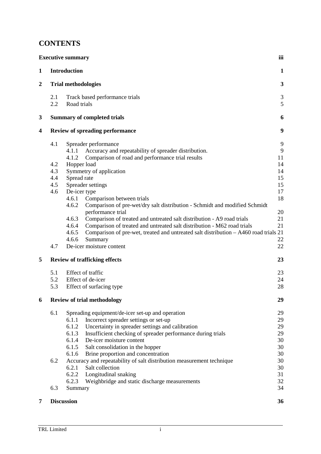# **CONTENTS**

|                  |                                        | <b>Executive summary</b>                                                                                          | iii          |  |  |
|------------------|----------------------------------------|-------------------------------------------------------------------------------------------------------------------|--------------|--|--|
| $\mathbf{1}$     |                                        | <b>Introduction</b>                                                                                               | $\mathbf{1}$ |  |  |
| $\boldsymbol{2}$ |                                        | <b>Trial methodologies</b>                                                                                        | 3            |  |  |
|                  | 2.1                                    | Track based performance trials                                                                                    | 3            |  |  |
|                  | 2.2                                    | Road trials                                                                                                       | 5            |  |  |
| 3                |                                        | <b>Summary of completed trials</b>                                                                                | 6            |  |  |
| 4                | <b>Review of spreading performance</b> |                                                                                                                   |              |  |  |
|                  | 4.1                                    | Spreader performance                                                                                              | 9            |  |  |
|                  |                                        | Accuracy and repeatability of spreader distribution.<br>4.1.1                                                     | 9            |  |  |
|                  |                                        | 4.1.2<br>Comparison of road and performance trial results                                                         | 11           |  |  |
|                  | 4.2                                    | Hopper load                                                                                                       | 14           |  |  |
|                  | 4.3                                    | Symmetry of application                                                                                           | 14           |  |  |
|                  | 4.4                                    | Spread rate                                                                                                       | 15           |  |  |
|                  | 4.5                                    | Spreader settings                                                                                                 | 15           |  |  |
|                  | 4.6                                    | De-icer type                                                                                                      | 17           |  |  |
|                  |                                        | Comparison between trials<br>4.6.1                                                                                | 18           |  |  |
|                  |                                        | 4.6.2<br>Comparison of pre-wet/dry salt distribution - Schmidt and modified Schmidt                               |              |  |  |
|                  |                                        | performance trial                                                                                                 | 20           |  |  |
|                  |                                        | 4.6.3<br>Comparison of treated and untreated salt distribution - A9 road trials                                   | 21           |  |  |
|                  |                                        | 4.6.4<br>Comparison of treated and untreated salt distribution - M62 road trials                                  | 21           |  |  |
|                  |                                        | 4.6.5<br>Comparison of pre-wet, treated and untreated salt distribution - A460 road trials 21<br>4.6.6<br>Summary | 22           |  |  |
|                  | 4.7                                    | De-icer moisture content                                                                                          | 22           |  |  |
|                  |                                        |                                                                                                                   |              |  |  |
| 5                |                                        | <b>Review of trafficking effects</b>                                                                              | 23           |  |  |
|                  | 5.1                                    | Effect of traffic                                                                                                 | 23           |  |  |
|                  | 5.2                                    | Effect of de-icer                                                                                                 | 24           |  |  |
|                  | 5.3                                    | Effect of surfacing type                                                                                          | 28           |  |  |
| 6                |                                        | <b>Review of trial methodology</b>                                                                                | 29           |  |  |
|                  | 6.1                                    | Spreading equipment/de-icer set-up and operation                                                                  | 29           |  |  |
|                  |                                        | Incorrect spreader settings or set-up<br>6.1.1                                                                    | 29           |  |  |
|                  |                                        | 6.1.2<br>Uncertainty in spreader settings and calibration                                                         | 29           |  |  |
|                  |                                        | Insufficient checking of spreader performance during trials<br>6.1.3                                              | 29           |  |  |
|                  |                                        | De-icer moisture content<br>6.1.4                                                                                 | 30           |  |  |
|                  |                                        | 6.1.5<br>Salt consolidation in the hopper                                                                         | 30           |  |  |
|                  |                                        | 6.1.6<br>Brine proportion and concentration                                                                       | 30           |  |  |
|                  | 6.2                                    | Accuracy and repeatability of salt distribution measurement technique                                             | 30           |  |  |
|                  |                                        | 6.2.1<br>Salt collection                                                                                          | 30           |  |  |
|                  |                                        | 6.2.2<br>Longitudinal snaking                                                                                     | 31           |  |  |
|                  |                                        | 6.2.3<br>Weighbridge and static discharge measurements                                                            | 32           |  |  |
|                  | 6.3                                    | Summary                                                                                                           | 34           |  |  |
| 7                |                                        | <b>Discussion</b>                                                                                                 | 36           |  |  |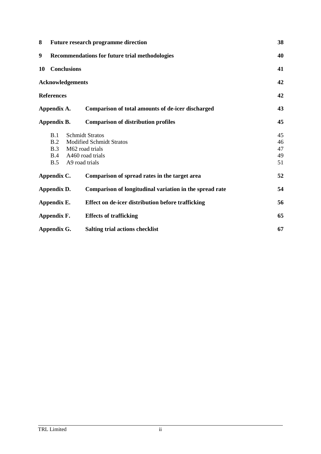| 8                                                         | <b>Future research programme direction</b>            |                                                         |    |  |  |  |
|-----------------------------------------------------------|-------------------------------------------------------|---------------------------------------------------------|----|--|--|--|
| 9                                                         | <b>Recommendations for future trial methodologies</b> |                                                         |    |  |  |  |
| 10                                                        | <b>Conclusions</b>                                    |                                                         | 41 |  |  |  |
|                                                           | <b>Acknowledgements</b>                               |                                                         | 42 |  |  |  |
|                                                           | <b>References</b>                                     |                                                         | 42 |  |  |  |
|                                                           | Appendix A.                                           | Comparison of total amounts of de-icer discharged       | 43 |  |  |  |
| <b>Comparison of distribution profiles</b><br>Appendix B. |                                                       |                                                         |    |  |  |  |
|                                                           | B.1                                                   | <b>Schmidt Stratos</b>                                  | 45 |  |  |  |
|                                                           | B.2                                                   | <b>Modified Schmidt Stratos</b>                         | 46 |  |  |  |
|                                                           | B.3                                                   | M62 road trials                                         | 47 |  |  |  |
|                                                           | B.4                                                   | A460 road trials                                        | 49 |  |  |  |
|                                                           | B.5                                                   | A9 road trials                                          | 51 |  |  |  |
|                                                           | Appendix C.                                           | Comparison of spread rates in the target area           | 52 |  |  |  |
|                                                           | Appendix D.                                           | Comparison of longitudinal variation in the spread rate | 54 |  |  |  |
|                                                           | Appendix E.                                           | Effect on de-icer distribution before trafficking       | 56 |  |  |  |
|                                                           | Appendix F.                                           | <b>Effects of trafficking</b>                           | 65 |  |  |  |
|                                                           | Appendix G.                                           | <b>Salting trial actions checklist</b>                  | 67 |  |  |  |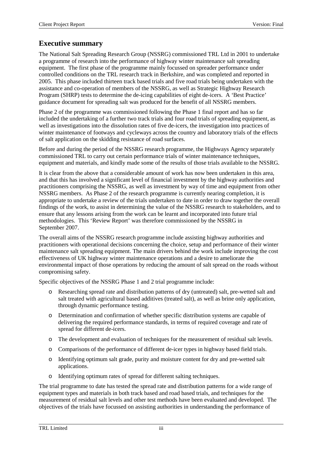# **Executive summary**

The National Salt Spreading Research Group (NSSRG) commissioned TRL Ltd in 2001 to undertake a programme of research into the performance of highway winter maintenance salt spreading equipment. The first phase of the programme mainly focussed on spreader performance under controlled conditions on the TRL research track in Berkshire, and was completed and reported in 2005. This phase included thirteen track based trials and five road trials being undertaken with the assistance and co-operation of members of the NSSRG, as well as Strategic Highway Research Program (SHRP) tests to determine the de-icing capabilities of eight de-icers. A 'Best Practice' guidance document for spreading salt was produced for the benefit of all NSSRG members.

Phase 2 of the programme was commissioned following the Phase 1 final report and has so far included the undertaking of a further two track trials and four road trials of spreading equipment, as well as investigations into the dissolution rates of five de-icers, the investigation into practices of winter maintenance of footways and cycleways across the country and laboratory trials of the effects of salt application on the skidding resistance of road surfaces.

Before and during the period of the NSSRG research programme, the Highways Agency separately commissioned TRL to carry out certain performance trials of winter maintenance techniques, equipment and materials, and kindly made some of the results of those trials available to the NSSRG.

It is clear from the above that a considerable amount of work has now been undertaken in this area, and that this has involved a significant level of financial investment by the highway authorities and practitioners comprising the NSSRG, as well as investment by way of time and equipment from other NSSRG members. As Phase 2 of the research programme is currently nearing completion, it is appropriate to undertake a review of the trials undertaken to date in order to draw together the overall findings of the work, to assist in determining the value of the NSSRG research to stakeholders, and to ensure that any lessons arising from the work can be learnt and incorporated into future trial methodologies. This 'Review Report' was therefore commissioned by the NSSRG in September 2007.

The overall aims of the NSSRG research programme include assisting highway authorities and practitioners with operational decisions concerning the choice, setup and performance of their winter maintenance salt spreading equipment. The main drivers behind the work include improving the cost effectiveness of UK highway winter maintenance operations and a desire to ameliorate the environmental impact of those operations by reducing the amount of salt spread on the roads without compromising safety.

Specific objectives of the NSSRG Phase 1 and 2 trial programme include:

- o Researching spread rate and distribution patterns of dry (untreated) salt, pre-wetted salt and salt treated with agricultural based additives (treated salt), as well as brine only application, through dynamic performance testing.
- o Determination and confirmation of whether specific distribution systems are capable of delivering the required performance standards, in terms of required coverage and rate of spread for different de-icers.
- o The development and evaluation of techniques for the measurement of residual salt levels.
- o Comparisons of the performance of different de-icer types in highway based field trials.
- o Identifying optimum salt grade, purity and moisture content for dry and pre-wetted salt applications.
- o Identifying optimum rates of spread for different salting techniques.

The trial programme to date has tested the spread rate and distribution patterns for a wide range of equipment types and materials in both track based and road based trials, and techniques for the measurement of residual salt levels and other test methods have been evaluated and developed. The objectives of the trials have focussed on assisting authorities in understanding the performance of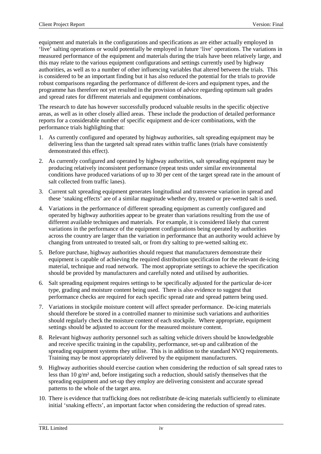equipment and materials in the configurations and specifications as are either actually employed in 'live' salting operations or would potentially be employed in future 'live' operations. The variations in measured performance of the equipment and materials during the trials have been relatively large, and this may relate to the various equipment configurations and settings currently used by highway authorities, as well as to a number of other influencing variables that altered between the trials. This is considered to be an important finding but it has also reduced the potential for the trials to provide robust comparisons regarding the performance of different de-icers and equipment types, and the programme has therefore not yet resulted in the provision of advice regarding optimum salt grades and spread rates for different materials and equipment combinations.

The research to date has however successfully produced valuable results in the specific objective areas, as well as in other closely allied areas. These include the production of detailed performance reports for a considerable number of specific equipment and de-icer combinations, with the performance trials highlighting that:

- 1. As currently configured and operated by highway authorities, salt spreading equipment may be delivering less than the targeted salt spread rates within traffic lanes (trials have consistently demonstrated this effect).
- 2. As currently configured and operated by highway authorities, salt spreading equipment may be producing relatively inconsistent performance (repeat tests under similar environmental conditions have produced variations of up to 30 per cent of the target spread rate in the amount of salt collected from traffic lanes).
- 3. Current salt spreading equipment generates longitudinal and transverse variation in spread and these 'snaking effects' are of a similar magnitude whether dry, treated or pre-wetted salt is used.
- 4. Variations in the performance of different spreading equipment as currently configured and operated by highway authorities appear to be greater than variations resulting from the use of different available techniques and materials. For example, it is considered likely that current variations in the performance of the equipment configurations being operated by authorities across the country are larger than the variation in performance that an authority would achieve by changing from untreated to treated salt, or from dry salting to pre-wetted salting etc.
- 5. Before purchase, highway authorities should request that manufacturers demonstrate their equipment is capable of achieving the required distribution specification for the relevant de-icing material, technique and road network. The most appropriate settings to achieve the specification should be provided by manufacturers and carefully noted and utilised by authorities.
- 6. Salt spreading equipment requires settings to be specifically adjusted for the particular de-icer type, grading and moisture content being used. There is also evidence to suggest that performance checks are required for each specific spread rate and spread pattern being used.
- 7. Variations in stockpile moisture content will affect spreader performance. De-icing materials should therefore be stored in a controlled manner to minimise such variations and authorities should regularly check the moisture content of each stockpile. Where appropriate, equipment settings should be adjusted to account for the measured moisture content.
- 8. Relevant highway authority personnel such as salting vehicle drivers should be knowledgeable and receive specific training in the capability, performance, set-up and calibration of the spreading equipment systems they utilise. This is in addition to the standard NVQ requirements. Training may be most appropriately delivered by the equipment manufacturers.
- 9. Highway authorities should exercise caution when considering the reduction of salt spread rates to less than 10 g/m² and, before instigating such a reduction, should satisfy themselves that the spreading equipment and set-up they employ are delivering consistent and accurate spread patterns to the whole of the target area.
- 10. There is evidence that trafficking does not redistribute de-icing materials sufficiently to eliminate initial 'snaking effects', an important factor when considering the reduction of spread rates.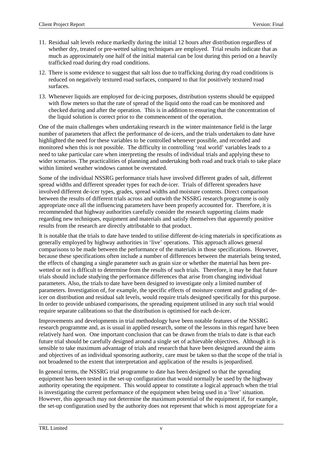- 11. Residual salt levels reduce markedly during the initial 12 hours after distribution regardless of whether dry, treated or pre-wetted salting techniques are employed. Trial results indicate that as much as approximately one half of the initial material can be lost during this period on a heavily trafficked road during dry road conditions.
- 12. There is some evidence to suggest that salt loss due to trafficking during dry road conditions is reduced on negatively textured road surfaces, compared to that for positively textured road surfaces.
- 13. Whenever liquids are employed for de-icing purposes, distribution systems should be equipped with flow meters so that the rate of spread of the liquid onto the road can be monitored and checked during and after the operation. This is in addition to ensuring that the concentration of the liquid solution is correct prior to the commencement of the operation.

One of the main challenges when undertaking research in the winter maintenance field is the large number of parameters that affect the performance of de-icers, and the trials undertaken to date have highlighted the need for these variables to be controlled whenever possible, and recorded and monitored when this is not possible. The difficulty in controlling 'real world' variables leads to a need to take particular care when interpreting the results of individual trials and applying these to wider scenarios. The practicalities of planning and undertaking both road and track trials to take place within limited weather windows cannot be overstated.

Some of the individual NSSRG performance trials have involved different grades of salt, different spread widths and different spreader types for each de-icer. Trials of different spreaders have involved different de-icer types, grades, spread widths and moisture contents. Direct comparison between the results of different trials across and outwith the NSSRG research programme is only appropriate once all the influencing parameters have been properly accounted for. Therefore, it is recommended that highway authorities carefully consider the research supporting claims made regarding new techniques, equipment and materials and satisfy themselves that apparently positive results from the research are directly attributable to that product.

It is notable that the trials to date have tended to utilise different de-icing materials in specifications as generally employed by highway authorities in 'live' operations. This approach allows general comparisons to be made between the performance of the materials in those specifications. However, because these specifications often include a number of differences between the materials being tested, the effects of changing a single parameter such as grain size or whether the material has been prewetted or not is difficult to determine from the results of such trials. Therefore, it may be that future trials should include studying the performance differences that arise from changing individual parameters. Also, the trials to date have been designed to investigate only a limited number of parameters. Investigation of, for example, the specific effects of moisture content and grading of deicer on distribution and residual salt levels, would require trials designed specifically for this purpose. In order to provide unbiased comparisons, the spreading equipment utilised in any such trial would require separate calibrations so that the distribution is optimised for each de-icer.

Improvements and developments in trial methodology have been notable features of the NSSRG research programme and, as is usual in applied research, some of the lessons in this regard have been relatively hard won. One important conclusion that can be drawn from the trials to date is that each future trial should be carefully designed around a single set of achievable objectives. Although it is sensible to take maximum advantage of trials and research that have been designed around the aims and objectives of an individual sponsoring authority, care must be taken so that the scope of the trial is not broadened to the extent that interpretation and application of the results is jeopardised.

In general terms, the NSSRG trial programme to date has been designed so that the spreading equipment has been tested in the set-up configuration that would normally be used by the highway authority operating the equipment. This would appear to constitute a logical approach when the trial is investigating the current performance of the equipment when being used in a 'live' situation. However, this approach may not determine the maximum potential of the equipment if, for example, the set-up configuration used by the authority does not represent that which is most appropriate for a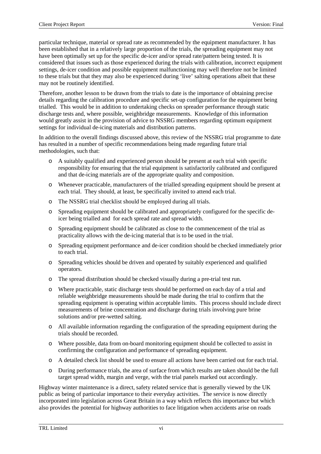particular technique, material or spread rate as recommended by the equipment manufacturer. It has been established that in a relatively large proportion of the trials, the spreading equipment may not have been optimally set up for the specific de-icer and/or spread rate/pattern being tested. It is considered that issues such as those experienced during the trials with calibration, incorrect equipment settings, de-icer condition and possible equipment malfunctioning may well therefore not be limited to these trials but that they may also be experienced during 'live' salting operations albeit that these may not be routinely identified.

Therefore, another lesson to be drawn from the trials to date is the importance of obtaining precise details regarding the calibration procedure and specific set-up configuration for the equipment being trialled. This would be in addition to undertaking checks on spreader performance through static discharge tests and, where possible, weighbridge measurements. Knowledge of this information would greatly assist in the provision of advice to NSSRG members regarding optimum equipment settings for individual de-icing materials and distribution patterns.

In addition to the overall findings discussed above, this review of the NSSRG trial programme to date has resulted in a number of specific recommendations being made regarding future trial methodologies, such that:

- o A suitably qualified and experienced person should be present at each trial with specific responsibility for ensuring that the trial equipment is satisfactorily calibrated and configured and that de-icing materials are of the appropriate quality and composition.
- o Whenever practicable, manufacturers of the trialled spreading equipment should be present at each trial. They should, at least, be specifically invited to attend each trial.
- o The NSSRG trial checklist should be employed during all trials.
- o Spreading equipment should be calibrated and appropriately configured for the specific deicer being trialled and for each spread rate and spread width.
- o Spreading equipment should be calibrated as close to the commencement of the trial as practicality allows with the de-icing material that is to be used in the trial.
- o Spreading equipment performance and de-icer condition should be checked immediately prior to each trial.
- o Spreading vehicles should be driven and operated by suitably experienced and qualified operators.
- o The spread distribution should be checked visually during a pre-trial test run.
- o Where practicable, static discharge tests should be performed on each day of a trial and reliable weighbridge measurements should be made during the trial to confirm that the spreading equipment is operating within acceptable limits. This process should include direct measurements of brine concentration and discharge during trials involving pure brine solutions and/or pre-wetted salting.
- o All available information regarding the configuration of the spreading equipment during the trials should be recorded.
- o Where possible, data from on-board monitoring equipment should be collected to assist in confirming the configuration and performance of spreading equipment.
- o A detailed check list should be used to ensure all actions have been carried out for each trial.
- o During performance trials, the area of surface from which results are taken should be the full target spread width, margin and verge, with the trial panels marked out accordingly.

Highway winter maintenance is a direct, safety related service that is generally viewed by the UK public as being of particular importance to their everyday activities. The service is now directly incorporated into legislation across Great Britain in a way which reflects this importance but which also provides the potential for highway authorities to face litigation when accidents arise on roads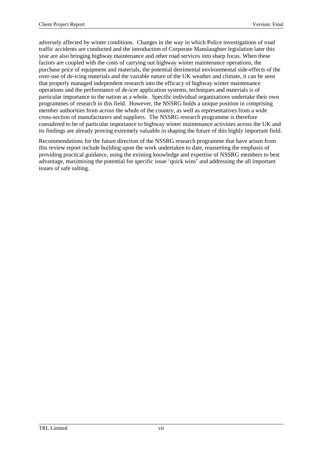adversely affected by winter conditions. Changes in the way in which Police investigations of road traffic accidents are conducted and the introduction of Corporate Manslaughter legislation later this year are also bringing highway maintenance and other road services into sharp focus. When these factors are coupled with the costs of carrying out highway winter maintenance operations, the purchase price of equipment and materials, the potential detrimental environmental side-effects of the over-use of de-icing materials and the variable nature of the UK weather and climate, it can be seen that properly managed independent research into the efficacy of highway winter maintenance operations and the performance of de-icer application systems, techniques and materials is of particular importance to the nation as a whole. Specific individual organisations undertake their own programmes of research in this field. However, the NSSRG holds a unique position in comprising member authorities from across the whole of the country, as well as representatives from a wide cross-section of manufacturers and suppliers. The NSSRG research programme is therefore considered to be of particular importance to highway winter maintenance activities across the UK and its findings are already proving extremely valuable in shaping the future of this highly important field.

Recommendations for the future direction of the NSSRG research programme that have arisen from this review report include building upon the work undertaken to date, reasserting the emphasis of providing practical guidance, using the existing knowledge and expertise of NSSRG members to best advantage, maximising the potential for specific issue 'quick wins' and addressing the all important issues of safe salting.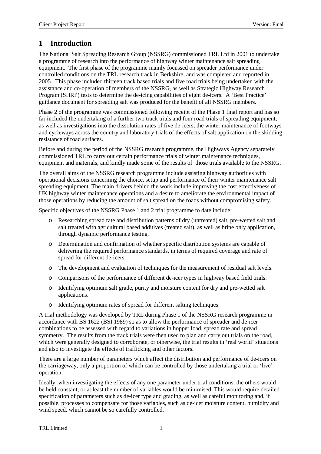# **1 Introduction**

The National Salt Spreading Research Group (NSSRG) commissioned TRL Ltd in 2001 to undertake a programme of research into the performance of highway winter maintenance salt spreading equipment. The first phase of the programme mainly focussed on spreader performance under controlled conditions on the TRL research track in Berkshire, and was completed and reported in 2005. This phase included thirteen track based trials and five road trials being undertaken with the assistance and co-operation of members of the NSSRG, as well as Strategic Highway Research Program (SHRP) tests to determine the de-icing capabilities of eight de-icers. A 'Best Practice' guidance document for spreading salt was produced for the benefit of all NSSRG members.

Phase 2 of the programme was commissioned following receipt of the Phase 1 final report and has so far included the undertaking of a further two track trials and four road trials of spreading equipment, as well as investigations into the dissolution rates of five de-icers, the winter maintenance of footways and cycleways across the country and laboratory trials of the effects of salt application on the skidding resistance of road surfaces.

Before and during the period of the NSSRG research programme, the Highways Agency separately commissioned TRL to carry out certain performance trials of winter maintenance techniques, equipment and materials, and kindly made some of the results of those trials available to the NSSRG.

The overall aims of the NSSRG research programme include assisting highway authorities with operational decisions concerning the choice, setup and performance of their winter maintenance salt spreading equipment. The main drivers behind the work include improving the cost effectiveness of UK highway winter maintenance operations and a desire to ameliorate the environmental impact of those operations by reducing the amount of salt spread on the roads without compromising safety.

Specific objectives of the NSSRG Phase 1 and 2 trial programme to date include:

- o Researching spread rate and distribution patterns of dry (untreated) salt, pre-wetted salt and salt treated with agricultural based additives (treated salt), as well as brine only application, through dynamic performance testing.
- o Determination and confirmation of whether specific distribution systems are capable of delivering the required performance standards, in terms of required coverage and rate of spread for different de-icers.
- o The development and evaluation of techniques for the measurement of residual salt levels.
- o Comparisons of the performance of different de-icer types in highway based field trials.
- o Identifying optimum salt grade, purity and moisture content for dry and pre-wetted salt applications.
- o Identifying optimum rates of spread for different salting techniques.

A trial methodology was developed by TRL during Phase 1 of the NSSRG research programme in accordance with BS 1622 (BSI 1989) so as to allow the performance of spreader and de-icer combinations to be assessed with regard to variations in hopper load, spread rate and spread symmetry. The results from the track trials were then used to plan and carry out trials on the road, which were generally designed to corroborate, or otherwise, the trial results in 'real world' situations and also to investigate the effects of trafficking and other factors.

There are a large number of parameters which affect the distribution and performance of de-icers on the carriageway, only a proportion of which can be controlled by those undertaking a trial or 'live' operation.

Ideally, when investigating the effects of any one parameter under trial conditions, the others would be held constant, or at least the number of variables would be minimised. This would require detailed specification of parameters such as de-icer type and grading, as well as careful monitoring and, if possible, processes to compensate for those variables, such as de-icer moisture content, humidity and wind speed, which cannot be so carefully controlled.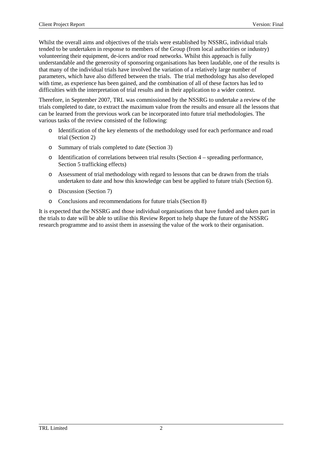Whilst the overall aims and objectives of the trials were established by NSSRG, individual trials tended to be undertaken in response to members of the Group (from local authorities or industry) volunteering their equipment, de-icers and/or road networks. Whilst this approach is fully understandable and the generosity of sponsoring organisations has been laudable, one of the results is that many of the individual trials have involved the variation of a relatively large number of parameters, which have also differed between the trials. The trial methodology has also developed with time, as experience has been gained, and the combination of all of these factors has led to difficulties with the interpretation of trial results and in their application to a wider context.

Therefore, in September 2007, TRL was commissioned by the NSSRG to undertake a review of the trials completed to date, to extract the maximum value from the results and ensure all the lessons that can be learned from the previous work can be incorporated into future trial methodologies. The various tasks of the review consisted of the following:

- o Identification of the key elements of the methodology used for each performance and road trial (Section 2)
- o Summary of trials completed to date (Section 3)
- o Identification of correlations between trial results (Section 4 spreading performance, Section 5 trafficking effects)
- o Assessment of trial methodology with regard to lessons that can be drawn from the trials undertaken to date and how this knowledge can best be applied to future trials (Section 6).
- o Discussion (Section 7)
- o Conclusions and recommendations for future trials (Section 8)

It is expected that the NSSRG and those individual organisations that have funded and taken part in the trials to date will be able to utilise this Review Report to help shape the future of the NSSRG research programme and to assist them in assessing the value of the work to their organisation.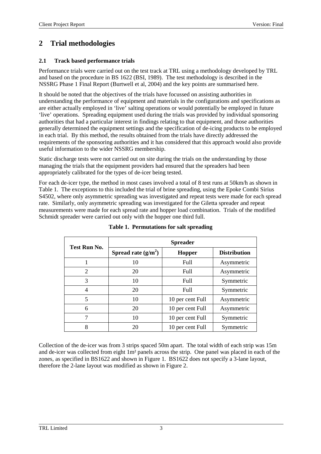# **2 Trial methodologies**

#### **2.1 Track based performance trials**

Performance trials were carried out on the test track at TRL using a methodology developed by TRL and based on the procedure in BS 1622 (BSI, 1989). The test methodology is described in the NSSRG Phase 1 Final Report (Burtwell et al, 2004) and the key points are summarised here.

It should be noted that the objectives of the trials have focussed on assisting authorities in understanding the performance of equipment and materials in the configurations and specifications as are either actually employed in 'live' salting operations or would potentially be employed in future 'live' operations. Spreading equipment used during the trials was provided by individual sponsoring authorities that had a particular interest in findings relating to that equipment, and those authorities generally determined the equipment settings and the specification of de-icing products to be employed in each trial. By this method, the results obtained from the trials have directly addressed the requirements of the sponsoring authorities and it has considered that this approach would also provide useful information to the wider NSSRG membership.

Static discharge tests were not carried out on site during the trials on the understanding by those managing the trials that the equipment providers had ensured that the spreaders had been appropriately calibrated for the types of de-icer being tested.

For each de-icer type, the method in most cases involved a total of 8 test runs at 50km/h as shown in Table 1. The exceptions to this included the trial of brine spreading, using the Epoke Combi Sirius S4502, where only asymmetric spreading was investigated and repeat tests were made for each spread rate. Similarly, only asymmetric spreading was investigated for the Giletta spreader and repeat measurements were made for each spread rate and hopper load combination. Trials of the modified Schmidt spreader were carried out only with the hopper one third full.

| Test Run No.   | <b>Spreader</b>                        |                  |                     |  |  |  |
|----------------|----------------------------------------|------------------|---------------------|--|--|--|
|                | Spread rate $(g/m^2)$<br><b>Hopper</b> |                  | <b>Distribution</b> |  |  |  |
|                | 10                                     | Full             | Asymmetric          |  |  |  |
| $\overline{2}$ | 20                                     | Full             | Asymmetric          |  |  |  |
| 3              | 10                                     | Full             | Symmetric           |  |  |  |
| 4              | 20                                     | Full             | Symmetric           |  |  |  |
| 5              | 10                                     | 10 per cent Full | Asymmetric          |  |  |  |
| 6              | 20                                     | 10 per cent Full | Asymmetric          |  |  |  |
| 7              | 10                                     | 10 per cent Full | Symmetric           |  |  |  |
| 8              | 20                                     | 10 per cent Full | Symmetric           |  |  |  |

#### **Table 1. Permutations for salt spreading**

Collection of the de-icer was from 3 strips spaced 50m apart. The total width of each strip was 15m and de-icer was collected from eight 1m² panels across the strip. One panel was placed in each of the zones, as specified in BS1622 and shown in Figure 1. BS1622 does not specify a 3-lane layout, therefore the 2-lane layout was modified as shown in Figure 2.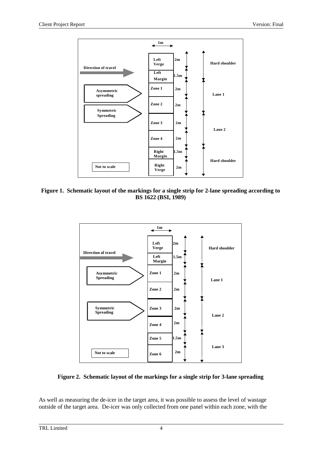

**Figure 1. Schematic layout of the markings for a single strip for 2-lane spreading according to BS 1622 (BSI, 1989)**



#### **Figure 2. Schematic layout of the markings for a single strip for 3-lane spreading**

As well as measuring the de-icer in the target area, it was possible to assess the level of wastage outside of the target area. De-icer was only collected from one panel within each zone, with the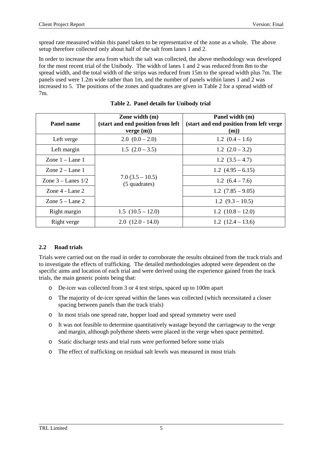spread rate measured within this panel taken to be representative of the zone as a whole. The above setup therefore collected only about half of the salt from lanes 1 and 2.

In order to increase the area from which the salt was collected, the above methodology was developed for the most recent trial of the Unibody. The width of lanes 1 and 2 was reduced from 8m to the spread width, and the total width of the strips was reduced from 15m to the spread width plus 7m. The panels used were 1.2m wide rather than 1m, and the number of panels within lanes 1 and 2 was increased to 5. The positions of the zones and quadrates are given in Table 2 for a spread width of 7m.

| Panel name             | Zone width $(m)$<br>(start and end position from left)<br>verge(m) | Panel width (m)<br>(start and end position from left verge)<br>(m) |
|------------------------|--------------------------------------------------------------------|--------------------------------------------------------------------|
| Left verge             | $2.0(0.0-2.0)$                                                     | $1.2(0.4-1.6)$                                                     |
| Left margin            | $1.5(2.0-3.5)$                                                     | 1.2 $(2.0 - 3.2)$                                                  |
| Zone $1 -$ Lane 1      |                                                                    | 1.2 $(3.5 - 4.7)$                                                  |
| Zone $2 -$ Lane 1      |                                                                    | 1.2 $(4.95 - 6.15)$                                                |
| Zone $3 -$ Lanes $1/2$ | $7.0(3.5-10.5)$<br>(5 quadrates)                                   | 1.2 $(6.4 - 7.6)$                                                  |
| Zone $4$ - Lane $2$    |                                                                    | $1.2(7.85-9.05)$                                                   |
| Zone $5 -$ Lane 2      |                                                                    | 1.2 $(9.3 - 10.5)$                                                 |
| Right margin           | $1.5(10.5-12.0)$                                                   | $1.2(10.8-12.0)$                                                   |
| Right verge            | $2.0(12.0 - 14.0)$                                                 | 1.2 $(12.4 - 13.6)$                                                |

### **2.2 Road trials**

Trials were carried out on the road in order to corroborate the results obtained from the track trials and to investigate the effects of trafficking. The detailed methodologies adopted were dependent on the specific aims and location of each trial and were derived using the experience gained from the track trials, the main generic points being that:

- o De-icer was collected from 3 or 4 test strips, spaced up to 100m apart
- o The majority of de-icer spread within the lanes was collected (which necessitated a closer spacing between panels than the track trials)
- o In most trials one spread rate, hopper load and spread symmetry were used
- o It was not feasible to determine quantitatively wastage beyond the carriageway to the verge and margin, although polythene sheets were placed in the verge when space permitted.
- o Static discharge tests and trial runs were performed before some trials
- o The effect of trafficking on residual salt levels was measured in most trials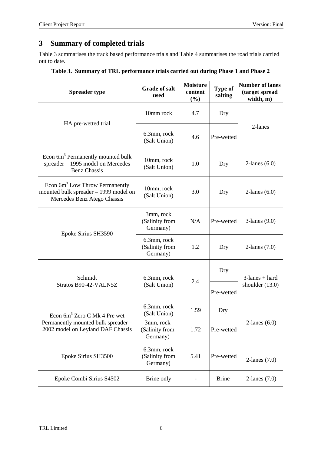# **3 Summary of completed trials**

Table 3 summarises the track based performance trials and Table 4 summarises the road trials carried out to date.

|  | Table 3. Summary of TRL performance trials carried out during Phase 1 and Phase 2 |  |  |
|--|-----------------------------------------------------------------------------------|--|--|
|  |                                                                                   |  |  |

| <b>Spreader type</b>                                                                                      | <b>Grade of salt</b><br>used              | <b>Moisture</b><br>content<br>(%) | <b>Type of</b><br>salting | <b>Number of lanes</b><br>(target spread<br>width, m) |
|-----------------------------------------------------------------------------------------------------------|-------------------------------------------|-----------------------------------|---------------------------|-------------------------------------------------------|
|                                                                                                           | 10mm rock                                 | 4.7                               | Dry                       |                                                       |
| HA pre-wetted trial                                                                                       | 6.3mm, rock<br>(Salt Union)               | 4.6                               | Pre-wetted                | 2-lanes                                               |
| Econ 6m <sup>3</sup> Permanently mounted bulk<br>spreader - 1995 model on Mercedes<br><b>Benz Chassis</b> | 10mm, rock<br>(Salt Union)                | 1.0                               | Dry                       | 2-lanes $(6.0)$                                       |
| Econ $6m3$ Low Throw Permanently<br>mounted bulk spreader - 1999 model on<br>Mercedes Benz Atego Chassis  | 10mm, rock<br>(Salt Union)                | 3.0                               | Dry                       | $2$ -lanes $(6.0)$                                    |
| Epoke Sirius SH3590                                                                                       | 3mm, rock<br>(Salinity from<br>Germany)   | N/A                               | Pre-wetted                | $3$ -lanes $(9.0)$                                    |
|                                                                                                           | 6.3mm, rock<br>(Salinity from<br>Germany) | 1.2                               | Dry                       | 2-lanes $(7.0)$                                       |
| Schmidt                                                                                                   | 6.3mm, rock                               | 2.4                               | Dry                       | $3$ -lanes + hard<br>shoulder $(13.0)$                |
| Stratos B90-42-VALN5Z                                                                                     | (Salt Union)                              |                                   | Pre-wetted                |                                                       |
| Econ 6m <sup>3</sup> Zero C Mk 4 Pre wet                                                                  | 6.3mm, rock<br>(Salt Union)               | 1.59                              | Dry                       |                                                       |
| Permanently mounted bulk spreader -<br>2002 model on Leyland DAF Chassis                                  | 3mm, rock<br>(Salinity from<br>Germany)   | 1.72                              | Pre-wetted                | $2$ -lanes $(6.0)$                                    |
| Epoke Sirius SH3500                                                                                       | 6.3mm, rock<br>(Salinity from<br>Germany) | 5.41                              | Pre-wetted                | 2-lanes $(7.0)$                                       |
| Epoke Combi Sirius S4502                                                                                  | Brine only                                |                                   | <b>Brine</b>              | 2-lanes $(7.0)$                                       |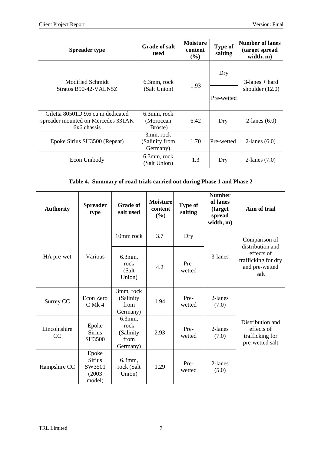| <b>Spreader type</b>                                                                   | <b>Grade of salt</b><br>used            | <b>Moisture</b><br>content<br>$(\%)$ | <b>Type of</b><br>salting | Number of lanes<br>(target spread<br>width, m) |  |
|----------------------------------------------------------------------------------------|-----------------------------------------|--------------------------------------|---------------------------|------------------------------------------------|--|
| Modified Schmidt                                                                       | 6.3mm, rock<br>(Salt Union)             |                                      | Dry                       | $3$ -lanes + hard                              |  |
| Stratos B90-42-VALN5Z                                                                  |                                         | 1.93                                 | Pre-wetted                | shoulder $(12.0)$                              |  |
| Giletta 80501D 9.6 cu m dedicated<br>spreader mounted on Mercedes 331AK<br>6x6 chassis | 6.3mm, rock<br>(Moroccan)<br>Bröste)    | 6.42                                 | Dry                       | $2$ -lanes $(6.0)$                             |  |
| Epoke Sirius SH3500 (Repeat)                                                           | 3mm, rock<br>(Salinity from<br>Germany) | 1.70                                 | Pre-wetted                | 2-lanes $(6.0)$                                |  |
| Econ Unibody                                                                           | 6.3mm, rock<br>(Salt Union)             | 1.3                                  | Dry                       | 2-lanes $(7.0)$                                |  |

# **Table 4. Summary of road trials carried out during Phase 1 and Phase 2**

| <b>Authority</b>   | <b>Spreader</b><br>type                              | <b>Grade of</b><br>salt used                     | <b>Moisture</b><br>content<br>(%) | <b>Type of</b><br>salting | <b>Number</b><br>of lanes<br>(target<br>spread<br>width, m) | Aim of trial                                                         |
|--------------------|------------------------------------------------------|--------------------------------------------------|-----------------------------------|---------------------------|-------------------------------------------------------------|----------------------------------------------------------------------|
|                    |                                                      | 10mm rock                                        | 3.7                               | Dry                       |                                                             | Comparison of<br>distribution and                                    |
| HA pre-wet         | Various                                              | 6.3mm,<br>rock<br>(Salt<br>Union)                | 4.2                               | Pre-<br>wetted            | 3-lanes                                                     | effects of<br>trafficking for dry<br>and pre-wetted<br>salt          |
| Surrey CC          | Econ Zero<br>$C$ Mk 4                                | 3mm, rock<br>(Salinity<br>from<br>Germany)       | 1.94                              | Pre-<br>wetted            | 2-lanes<br>(7.0)                                            |                                                                      |
| Lincolnshire<br>CC | Epoke<br><b>Sirius</b><br>SH3500                     | 6.3mm,<br>rock<br>(Salinity)<br>from<br>Germany) | 2.93                              | Pre-<br>wetted            | 2-lanes<br>(7.0)                                            | Distribution and<br>effects of<br>trafficking for<br>pre-wetted salt |
| Hampshire CC       | Epoke<br><b>Sirius</b><br>SW3501<br>(2003)<br>model) | 6.3mm,<br>rock (Salt<br>Union)                   | 1.29                              | Pre-<br>wetted            | 2-lanes<br>(5.0)                                            |                                                                      |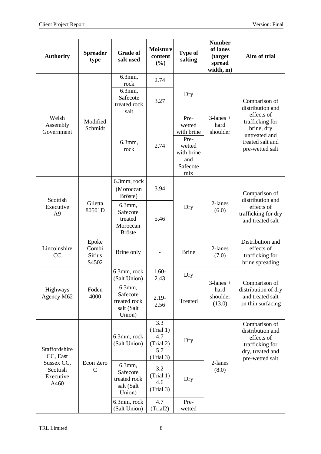| <b>Authority</b>                                                         | <b>Spreader</b><br>type                  | <b>Grade of</b><br>salt used                                  | <b>Moisture</b><br>content<br>(%)                        | <b>Type of</b><br>salting                                                              | <b>Number</b><br>of lanes<br>(target<br>spread<br>width, m) | Aim of trial                                                                                                                             |
|--------------------------------------------------------------------------|------------------------------------------|---------------------------------------------------------------|----------------------------------------------------------|----------------------------------------------------------------------------------------|-------------------------------------------------------------|------------------------------------------------------------------------------------------------------------------------------------------|
| Welsh<br>Assembly<br>Government                                          | Modified<br>Schmidt                      | 6.3mm,<br>rock<br>6.3mm,<br>Safecote<br>treated rock          | 2.74<br>3.27                                             | Dry                                                                                    | $3$ -lanes +<br>hard<br>shoulder                            | Comparison of<br>distribution and<br>effects of<br>trafficking for<br>brine, dry<br>untreated and<br>treated salt and<br>pre-wetted salt |
|                                                                          |                                          | salt<br>6.3mm,<br>rock                                        | 2.74                                                     | Pre-<br>wetted<br>with brine<br>Pre-<br>wetted<br>with brine<br>and<br>Safecote<br>mix |                                                             |                                                                                                                                          |
| Scottish                                                                 |                                          | 6.3mm, rock<br>(Moroccan<br>Bröste)                           | 3.94                                                     |                                                                                        |                                                             | Comparison of<br>distribution and<br>effects of<br>trafficking for dry<br>and treated salt                                               |
| Executive<br>A <sub>9</sub>                                              | Giletta<br>80501D                        | 6.3mm,<br>Safecote<br>treated<br>Moroccan<br><b>Bröste</b>    | 5.46                                                     | Dry                                                                                    | 2-lanes<br>(6.0)                                            |                                                                                                                                          |
| Lincolnshire<br>CC                                                       | Epoke<br>Combi<br><b>Sirius</b><br>S4502 | Brine only                                                    |                                                          | <b>Brine</b>                                                                           | 2-lanes<br>(7.0)                                            | Distribution and<br>effects of<br>trafficking for<br>brine spreading                                                                     |
|                                                                          | Foden<br>4000                            | 6.3mm, rock<br>(Salt Union)                                   | $1.60-$<br>2.43                                          | Dry                                                                                    | $3$ -lanes +<br>hard<br>shoulder<br>(13.0)                  | Comparison of<br>distribution of dry<br>and treated salt<br>on thin surfacing                                                            |
| Highways<br>Agency M62                                                   |                                          | $6.3$ mm,<br>Safecote<br>treated rock<br>salt (Salt<br>Union) | $2.19-$<br>2.56                                          | Treated                                                                                |                                                             |                                                                                                                                          |
| Staffordshire<br>CC, East<br>Sussex CC,<br>Scottish<br>Executive<br>A460 | Econ Zero<br>$\mathsf{C}$                | 6.3mm, rock<br>(Salt Union)                                   | 3.3<br>(Trial 1)<br>4.7<br>(Trial 2)<br>5.7<br>(Trial 3) | Dry                                                                                    | 2-lanes<br>(8.0)                                            | Comparison of<br>distribution and<br>effects of<br>trafficking for<br>dry, treated and<br>pre-wetted salt                                |
|                                                                          |                                          | 6.3mm,<br>Safecote<br>treated rock<br>salt (Salt<br>Union)    | 3.2<br>(Trial 1)<br>4.6<br>(Trial 3)                     | Dry                                                                                    |                                                             |                                                                                                                                          |
|                                                                          |                                          | 6.3mm, rock<br>(Salt Union)                                   | 4.7<br>(Trial2)                                          | Pre-<br>wetted                                                                         |                                                             |                                                                                                                                          |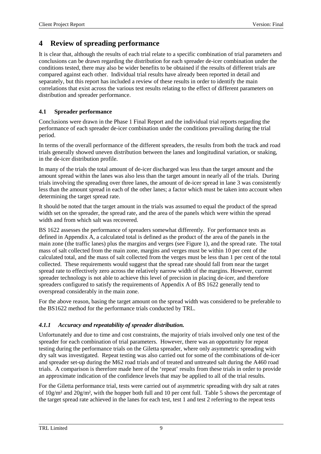# **4 Review of spreading performance**

It is clear that, although the results of each trial relate to a specific combination of trial parameters and conclusions can be drawn regarding the distribution for each spreader de-icer combination under the conditions tested, there may also be wider benefits to be obtained if the results of different trials are compared against each other. Individual trial results have already been reported in detail and separately, but this report has included a review of these results in order to identify the main correlations that exist across the various test results relating to the effect of different parameters on distribution and spreader performance.

### **4.1 Spreader performance**

Conclusions were drawn in the Phase 1 Final Report and the individual trial reports regarding the performance of each spreader de-icer combination under the conditions prevailing during the trial period.

In terms of the overall performance of the different spreaders, the results from both the track and road trials generally showed uneven distribution between the lanes and longitudinal variation, or snaking, in the de-icer distribution profile.

In many of the trials the total amount of de-icer discharged was less than the target amount and the amount spread within the lanes was also less than the target amount in nearly all of the trials. During trials involving the spreading over three lanes, the amount of de-icer spread in lane 3 was consistently less than the amount spread in each of the other lanes; a factor which must be taken into account when determining the target spread rate.

It should be noted that the target amount in the trials was assumed to equal the product of the spread width set on the spreader, the spread rate, and the area of the panels which were within the spread width and from which salt was recovered.

BS 1622 assesses the performance of spreaders somewhat differently. For performance tests as defined in Appendix A, a calculated total is defined as the product of the area of the panels in the main zone (the traffic lanes) plus the margins and verges (see Figure 1), and the spread rate. The total mass of salt collected from the main zone, margins and verges must be within 10 per cent of the calculated total, and the mass of salt collected from the verges must be less than 1 per cent of the total collected. These requirements would suggest that the spread rate should fall from near the target spread rate to effectively zero across the relatively narrow width of the margins. However, current spreader technology is not able to achieve this level of precision in placing de-icer, and therefore spreaders configured to satisfy the requirements of Appendix A of BS 1622 generally tend to overspread considerably in the main zone.

For the above reason, basing the target amount on the spread width was considered to be preferable to the BS1622 method for the performance trials conducted by TRL.

### *4.1.1 Accuracy and repeatability of spreader distribution.*

Unfortunately and due to time and cost constraints, the majority of trials involved only one test of the spreader for each combination of trial parameters. However, there was an opportunity for repeat testing during the performance trials on the Giletta spreader, where only asymmetric spreading with dry salt was investigated. Repeat testing was also carried out for some of the combinations of de-icer and spreader set-up during the M62 road trials and of treated and untreated salt during the A460 road trials. A comparison is therefore made here of the 'repeat' results from these trials in order to provide an approximate indication of the confidence levels that may be applied to all of the trial results.

For the Giletta performance trial, tests were carried out of asymmetric spreading with dry salt at rates of 10g/m² and 20g/m², with the hopper both full and 10 per cent full. Table 5 shows the percentage of the target spread rate achieved in the lanes for each test, test 1 and test 2 referring to the repeat tests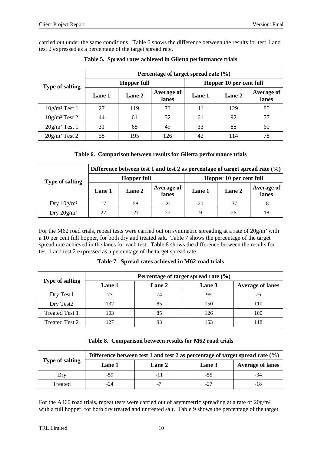carried out under the same conditions. Table 6 shows the difference between the results for test 1 and test 2 expressed as a percentage of the target spread rate.

|                        | Percentage of target spread rate $(\% )$ |                    |                            |        |                         |                     |  |  |
|------------------------|------------------------------------------|--------------------|----------------------------|--------|-------------------------|---------------------|--|--|
| <b>Type of salting</b> |                                          | <b>Hopper full</b> |                            |        | Hopper 10 per cent full |                     |  |  |
|                        | Lane 1                                   | Lane 2             | <b>Average of</b><br>lanes | Lane 1 | Lane 2                  | Average of<br>lanes |  |  |
| $10g/m^2$ Test 1       | 27                                       | 119                | 73                         | 41     | 129                     | 85                  |  |  |
| $10g/m^2$ Test 2       | 44                                       | 61                 | 52                         | 61     | 92                      | 77                  |  |  |
| $20g/m^2$ Test 1       | 31                                       | 68                 | 49                         | 33     | 88                      | 60                  |  |  |
| $20g/m^2$ Test 2       | 58                                       | 195                | 126                        | 42     | 114                     | 78                  |  |  |

**Table 5. Spread rates achieved in Giletta performance trials**

### **Table 6. Comparison between results for Giletta performance trials**

| <b>Type of salting</b> |        | Difference between test 1 and test 2 as percentage of target spread rate $(\%)$ |                            |                         |        |                            |  |  |  |
|------------------------|--------|---------------------------------------------------------------------------------|----------------------------|-------------------------|--------|----------------------------|--|--|--|
|                        |        | <b>Hopper full</b>                                                              |                            | Hopper 10 per cent full |        |                            |  |  |  |
|                        | Lane 1 | Lane 2                                                                          | <b>Average of</b><br>lanes | Lane 1                  | Lane 2 | <b>Average of</b><br>lanes |  |  |  |
| Dry $10g/m^2$          |        | $-58$                                                                           | $-21$                      | 20                      | -37    | -8                         |  |  |  |
| Dry $20g/m^2$          |        |                                                                                 |                            |                         | 26     | 18                         |  |  |  |

For the M62 road trials, repeat tests were carried out on symmetric spreading at a rate of  $20g/m^2$  with a 10 per cent full hopper, for both dry and treated salt. Table 7 shows the percentage of the target spread rate achieved in the lanes for each test. Table 8 shows the difference between the results for test 1 and test 2 expressed as a percentage of the target spread rate.

**Table 7. Spread rates achieved in M62 road trials**

|                        | Percentage of target spread rate $(\% )$ |               |        |                         |  |  |  |
|------------------------|------------------------------------------|---------------|--------|-------------------------|--|--|--|
| <b>Type of salting</b> | <b>Lane 1</b>                            | <b>Lane 2</b> | Lane 3 | <b>Average of lanes</b> |  |  |  |
| Dry Test1              |                                          | 74            | 95     | 76                      |  |  |  |
| Dry Test2              | 132                                      | 85            | 150    | 110                     |  |  |  |
| <b>Treated Test 1</b>  | 103                                      | 85            | 126    | 100                     |  |  |  |
| <b>Treated Test 2</b>  | 127                                      |               | 153    |                         |  |  |  |

|  | Table 8. Comparison between results for M62 road trials |  |  |  |  |  |  |
|--|---------------------------------------------------------|--|--|--|--|--|--|
|--|---------------------------------------------------------|--|--|--|--|--|--|

|                        | Difference between test 1 and test 2 as percentage of target spread rate $(\%)$ |                          |        |                         |  |  |  |  |
|------------------------|---------------------------------------------------------------------------------|--------------------------|--------|-------------------------|--|--|--|--|
| <b>Type of salting</b> | <b>Lane 1</b>                                                                   | <b>Lane 2</b>            | Lane 3 | <b>Average of lanes</b> |  |  |  |  |
| Dry                    | -59                                                                             |                          | $-55$  | -34                     |  |  |  |  |
| Treated                | -24                                                                             | $\overline{\phantom{0}}$ | $-27$  | -18                     |  |  |  |  |

For the A460 road trials, repeat tests were carried out of asymmetric spreading at a rate of  $20g/m^2$ with a full hopper, for both dry treated and untreated salt. Table 9 shows the percentage of the target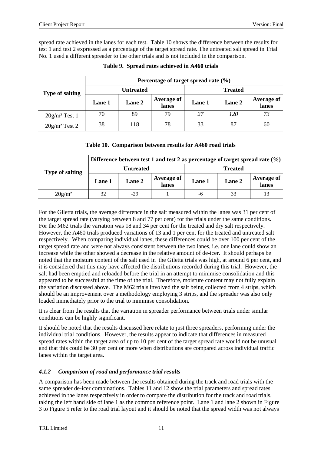spread rate achieved in the lanes for each test. Table 10 shows the difference between the results for test 1 and test 2 expressed as a percentage of the target spread rate. The untreated salt spread in Trial No. 1 used a different spreader to the other trials and is not included in the comparison.

| <b>Type of salting</b> | Percentage of target spread rate $(\% )$ |        |                            |                |        |                            |  |  |
|------------------------|------------------------------------------|--------|----------------------------|----------------|--------|----------------------------|--|--|
|                        | Untreated                                |        |                            | <b>Treated</b> |        |                            |  |  |
|                        | Lane 1                                   | Lane 2 | <b>Average of</b><br>lanes | <b>Lane 1</b>  | Lane 2 | <b>Average of</b><br>lanes |  |  |
| $20g/m^2$ Test 1       | 70                                       | 89     | 79                         | 27             | 120    | 73                         |  |  |
| $20g/m^2$ Test 2       | 38                                       | 118    | 78                         | 33             | 87     | 60                         |  |  |

#### **Table 9. Spread rates achieved in A460 trials**

#### **Table 10. Comparison between results for A460 road trials**

| <b>Type of salting</b> | Difference between test 1 and test 2 as percentage of target spread rate $(\%)$ |           |                            |                |        |                     |  |  |
|------------------------|---------------------------------------------------------------------------------|-----------|----------------------------|----------------|--------|---------------------|--|--|
|                        |                                                                                 | Untreated |                            | <b>Treated</b> |        |                     |  |  |
|                        | <b>Lane</b> 1                                                                   | Lane 2    | <b>Average of</b><br>lanes | <b>Lane 1</b>  | Lane 2 | Average of<br>lanes |  |  |
| $20g/m^2$              | 32                                                                              | $-29$     |                            | -6             | 33     | 13                  |  |  |

For the Giletta trials, the average difference in the salt measured within the lanes was 31 per cent of the target spread rate (varying between 8 and 77 per cent) for the trials under the same conditions. For the M62 trials the variation was 18 and 34 per cent for the treated and dry salt respectively. However, the A460 trials produced variations of 13 and 1 per cent for the treated and untreated salt respectively. When comparing individual lanes, these differences could be over 100 per cent of the target spread rate and were not always consistent between the two lanes, i.e. one lane could show an increase while the other showed a decrease in the relative amount of de-icer. It should perhaps be noted that the moisture content of the salt used in the Giletta trials was high, at around 6 per cent, and it is considered that this may have affected the distributions recorded during this trial. However, the salt had been emptied and reloaded before the trial in an attempt to minimise consolidation and this appeared to be successful at the time of the trial. Therefore, moisture content may not fully explain the variation discussed above. The M62 trials involved the salt being collected from 4 strips, which should be an improvement over a methodology employing 3 strips, and the spreader was also only loaded immediately prior to the trial to minimise consolidation.

It is clear from the results that the variation in spreader performance between trials under similar conditions can be highly significant.

It should be noted that the results discussed here relate to just three spreaders, performing under the individual trial conditions. However, the results appear to indicate that differences in measured spread rates within the target area of up to 10 per cent of the target spread rate would not be unusual and that this could be 30 per cent or more when distributions are compared across individual traffic lanes within the target area.

### *4.1.2 Comparison of road and performance trial results*

A comparison has been made between the results obtained during the track and road trials with the same spreader de-icer combinations. Tables 11 and 12 show the trial parameters and spread rates achieved in the lanes respectively in order to compare the distribution for the track and road trials, taking the left hand side of lane 1 as the common reference point. Lane 1 and lane 2 shown in Figure 3 to Figure 5 refer to the road trial layout and it should be noted that the spread width was not always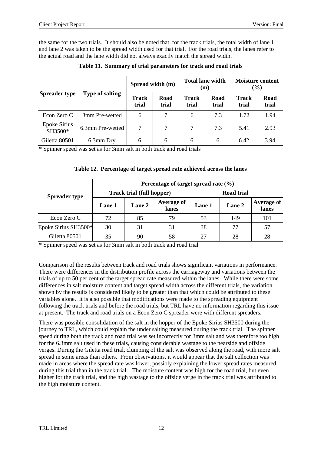the same for the two trials. It should also be noted that, for the track trials, the total width of lane 1 and lane 2 was taken to be the spread width used for that trial. For the road trials, the lanes refer to the actual road and the lane width did not always exactly match the spread width.

|                                |                        | Spread width (m)      |               | <b>Total lane width</b><br>(m) |               | <b>Moisture content</b><br>$(\%)$ |               |
|--------------------------------|------------------------|-----------------------|---------------|--------------------------------|---------------|-----------------------------------|---------------|
| Spreader type                  | <b>Type of salting</b> | <b>Track</b><br>trial | Road<br>trial | <b>Track</b><br>trial          | Road<br>trial | Track<br>trial                    | Road<br>trial |
| Econ Zero C                    | 3mm Pre-wetted         | 6                     |               | 6                              | 7.3           | 1.72                              | 1.94          |
| <b>Epoke Sirius</b><br>SH3500* | 6.3mm Pre-wetted       | $\tau$                | $\tau$        | $\tau$                         | 7.3           | 5.41                              | 2.93          |
| Giletta 80501                  | 6.3mm Dry              | 6                     | 6             | 6                              | 6             | 6.42                              | 3.94          |

**Table 11. Summary of trial parameters for track and road trials**

\* Spinner speed was set as for 3mm salt in both track and road trials

|  | Table 12. Percentage of target spread rate achieved across the lanes |  |
|--|----------------------------------------------------------------------|--|
|--|----------------------------------------------------------------------|--|

|                      | Percentage of target spread rate $(\% )$ |        |                     |               |        |                     |  |  |
|----------------------|------------------------------------------|--------|---------------------|---------------|--------|---------------------|--|--|
| <b>Spreader type</b> | <b>Track trial (full hopper)</b>         |        |                     | Road trial    |        |                     |  |  |
|                      | Lane 1                                   | Lane 2 | Average of<br>lanes | <b>Lane 1</b> | Lane 2 | Average of<br>lanes |  |  |
| Econ Zero C          | 72                                       | 85     | 79                  | 53            | 149    | 101                 |  |  |
| Epoke Sirius SH3500* | 30                                       | 31     | 31                  | 38            | 77     | 57                  |  |  |
| Giletta 80501        | 35                                       | 90     | 58                  | 27            | 28     | 28                  |  |  |

\* Spinner speed was set as for 3mm salt in both track and road trial

Comparison of the results between track and road trials shows significant variations in performance. There were differences in the distribution profile across the carriageway and variations between the trials of up to 50 per cent of the target spread rate measured within the lanes. While there were some differences in salt moisture content and target spread width across the different trials, the variation shown by the results is considered likely to be greater than that which could be attributed to these variables alone. It is also possible that modifications were made to the spreading equipment following the track trials and before the road trials, but TRL have no information regarding this issue at present. The track and road trials on a Econ Zero C spreader were with different spreaders.

There was possible consolidation of the salt in the hopper of the Epoke Sirius SH3500 during the journey to TRL, which could explain the under salting measured during the track trial. The spinner speed during both the track and road trial was set incorrectly for 3mm salt and was therefore too high for the 6.3mm salt used in these trials, causing considerable wastage to the nearside and offside verges. During the Giletta road trial, clumping of the salt was observed along the road, with more salt spread in some areas than others. From observations, it would appear that the salt collection was made in areas where the spread rate was lower, possibly explaining the lower spread rates measured during this trial than in the track trial. The moisture content was high for the road trial, but even higher for the track trial, and the high wastage to the offside verge in the track trial was attributed to the high moisture content.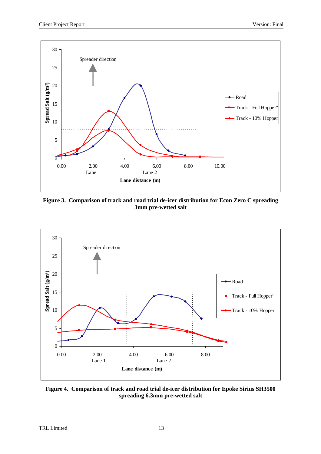

**Figure 3. Comparison of track and road trial de-icer distribution for Econ Zero C spreading 3mm pre-wetted salt**



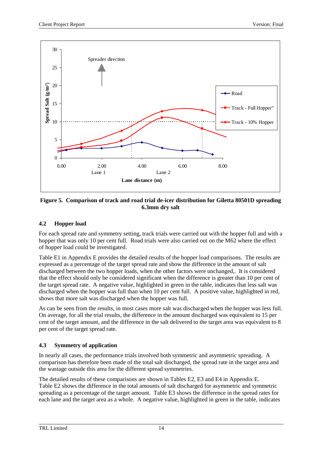

#### **Figure 5. Comparison of track and road trial de-icer distribution for Giletta 80501D spreading 6.3mm dry salt**

# **4.2 Hopper load**

For each spread rate and symmetry setting, track trials were carried out with the hopper full and with a hopper that was only 10 per cent full. Road trials were also carried out on the M62 where the effect of hopper load could be investigated.

Table E1 in Appendix E provides the detailed results of the hopper load comparisons. The results are expressed as a percentage of the target spread rate and show the difference in the amount of salt discharged between the two hopper loads, when the other factors were unchanged,. It is considered that the effect should only be considered significant when the difference is greater than 10 per cent of the target spread rate. A negative value, highlighted in green in the table, indicates that less salt was discharged when the hopper was full than when 10 per cent full. A positive value, highlighted in red, shows that more salt was discharged when the hopper was full.

As can be seen from the results, in most cases more salt was discharged when the hopper was less full. On average, for all the trial results, the difference in the amount discharged was equivalent to 15 per cent of the target amount, and the difference in the salt delivered to the target area was equivalent to 8 per cent of the target spread rate.

### **4.3 Symmetry of application**

In nearly all cases, the performance trials involved both symmetric and asymmetric spreading. A comparison has therefore been made of the total salt discharged, the spread rate in the target area and the wastage outside this area for the different spread symmetries.

The detailed results of these comparisons are shown in Tables E2, E3 and E4 in Appendix E. Table E2 shows the difference in the total amounts of salt discharged for asymmetric and symmetric spreading as a percentage of the target amount. Table E3 shows the difference in the spread rates for each lane and the target area as a whole. A negative value, highlighted in green in the table, indicates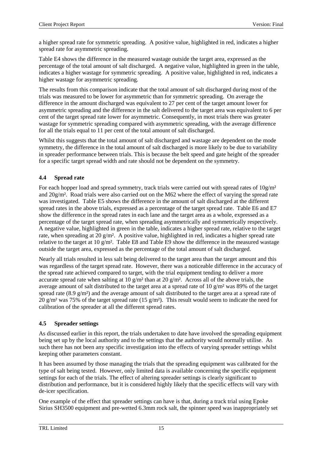a higher spread rate for symmetric spreading. A positive value, highlighted in red, indicates a higher spread rate for asymmetric spreading.

Table E4 shows the difference in the measured wastage outside the target area, expressed as the percentage of the total amount of salt discharged. A negative value, highlighted in green in the table, indicates a higher wastage for symmetric spreading. A positive value, highlighted in red, indicates a higher wastage for asymmetric spreading.

The results from this comparison indicate that the total amount of salt discharged during most of the trials was measured to be lower for asymmetric than for symmetric spreading. On average the difference in the amount discharged was equivalent to 27 per cent of the target amount lower for asymmetric spreading and the difference in the salt delivered to the target area was equivalent to 6 per cent of the target spread rate lower for asymmetric. Consequently, in most trials there was greater wastage for symmetric spreading compared with asymmetric spreading, with the average difference for all the trials equal to 11 per cent of the total amount of salt discharged.

Whilst this suggests that the total amount of salt discharged and wastage are dependent on the mode symmetry, the difference in the total amount of salt discharged is more likely to be due to variability in spreader performance between trials. This is because the belt speed and gate height of the spreader for a specific target spread width and rate should not be dependent on the symmetry.

# **4.4 Spread rate**

For each hopper load and spread symmetry, track trials were carried out with spread rates of  $10g/m<sup>2</sup>$ and 20g/m². Road trials were also carried out on the M62 where the effect of varying the spread rate was investigated. Table E5 shows the difference in the amount of salt discharged at the different spread rates in the above trials, expressed as a percentage of the target spread rate. Table E6 and E7 show the difference in the spread rates in each lane and the target area as a whole, expressed as a percentage of the target spread rate, when spreading asymmetrically and symmetrically respectively. A negative value, highlighted in green in the table, indicates a higher spread rate, relative to the target rate, when spreading at 20 g/m². A positive value, highlighted in red, indicates a higher spread rate relative to the target at 10 g/m². Table E8 and Table E9 show the difference in the measured wastage outside the target area, expressed as the percentage of the total amount of salt discharged.

Nearly all trials resulted in less salt being delivered to the target area than the target amount and this was regardless of the target spread rate. However, there was a noticeable difference in the accuracy of the spread rate achieved compared to target, with the trial equipment tending to deliver a more accurate spread rate when salting at 10 g/m<sup>2</sup> than at 20 g/m<sup>2</sup>. Across all of the above trials, the average amount of salt distributed to the target area at a spread rate of 10 g/m² was 89% of the target spread rate (8.9  $g/m<sup>2</sup>$ ) and the average amount of salt distributed to the target area at a spread rate of 20 g/m<sup>2</sup> was 75% of the target spread rate (15 g/m<sup>2</sup>). This result would seem to indicate the need for calibration of the spreader at all the different spread rates.

### **4.5 Spreader settings**

As discussed earlier in this report, the trials undertaken to date have involved the spreading equipment being set up by the local authority and to the settings that the authority would normally utilise. As such there has not been any specific investigation into the effects of varying spreader settings whilst keeping other parameters constant.

It has been assumed by those managing the trials that the spreading equipment was calibrated for the type of salt being tested. However, only limited data is available concerning the specific equipment settings for each of the trials. The effect of altering spreader settings is clearly significant to distribution and performance, but it is considered highly likely that the specific effects will vary with de-icer specification.

One example of the effect that spreader settings can have is that, during a track trial using Epoke Sirius SH3500 equipment and pre-wetted 6.3mm rock salt, the spinner speed was inappropriately set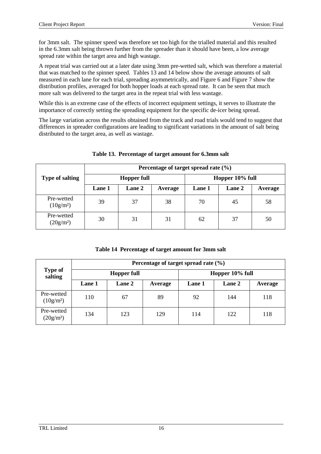for 3mm salt. The spinner speed was therefore set too high for the trialled material and this resulted in the 6.3mm salt being thrown further from the spreader than it should have been, a low average spread rate within the target area and high wastage.

A repeat trial was carried out at a later date using 3mm pre-wetted salt, which was therefore a material that was matched to the spinner speed. Tables 13 and 14 below show the average amounts of salt measured in each lane for each trial, spreading asymmetrically, and Figure 6 and Figure 7 show the distribution profiles, averaged for both hopper loads at each spread rate. It can be seen that much more salt was delivered to the target area in the repeat trial with less wastage.

While this is an extreme case of the effects of incorrect equipment settings, it serves to illustrate the importance of correctly setting the spreading equipment for the specific de-icer being spread.

The large variation across the results obtained from the track and road trials would tend to suggest that differences in spreader configurations are leading to significant variations in the amount of salt being distributed to the target area, as well as wastage.

|                           | Percentage of target spread rate $(\% )$ |               |         |                 |        |         |  |  |
|---------------------------|------------------------------------------|---------------|---------|-----------------|--------|---------|--|--|
| <b>Type of salting</b>    | <b>Hopper full</b>                       |               |         | Hopper 10% full |        |         |  |  |
|                           | Lane 1                                   | <b>Lane 2</b> | Average | Lane 1          | Lane 2 | Average |  |  |
| Pre-wetted<br>$(10g/m^2)$ | 39                                       | 37            | 38      | 70              | 45     | 58      |  |  |
| Pre-wetted<br>$(20g/m^2)$ | 30                                       | 31            | 31      | 62              | 37     | 50      |  |  |

#### **Table 13. Percentage of target amount for 6.3mm salt**

|  |  | Table 14 Percentage of target amount for 3mm salt |  |
|--|--|---------------------------------------------------|--|
|--|--|---------------------------------------------------|--|

|                           | Percentage of target spread rate $(\% )$ |                    |         |                 |        |         |  |  |  |  |
|---------------------------|------------------------------------------|--------------------|---------|-----------------|--------|---------|--|--|--|--|
| <b>Type of</b><br>salting |                                          | <b>Hopper full</b> |         | Hopper 10% full |        |         |  |  |  |  |
|                           | <b>Lane 1</b>                            | <b>Lane 2</b>      | Average | <b>Lane</b> 1   | Lane 2 | Average |  |  |  |  |
| Pre-wetted<br>$(10g/m^2)$ | 110                                      | 67                 | 89      | 92              | 144    | 118     |  |  |  |  |
| Pre-wetted<br>$(20g/m^2)$ | 134                                      | 123                | 129     | 114             | 122    | 118     |  |  |  |  |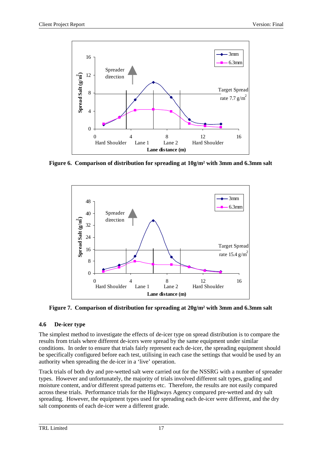

**Figure 6. Comparison of distribution for spreading at 10g/m² with 3mm and 6.3mm salt**



**Figure 7. Comparison of distribution for spreading at 20g/m² with 3mm and 6.3mm salt**

# **4.6 De-icer type**

The simplest method to investigate the effects of de-icer type on spread distribution is to compare the results from trials where different de-icers were spread by the same equipment under similar conditions. In order to ensure that trials fairly represent each de-icer, the spreading equipment should be specifically configured before each test, utilising in each case the settings that would be used by an authority when spreading the de-icer in a 'live' operation.

Track trials of both dry and pre-wetted salt were carried out for the NSSRG with a number of spreader types. However and unfortunately, the majority of trials involved different salt types, grading and moisture content, and/or different spread patterns etc. Therefore, the results are not easily compared across these trials. Performance trials for the Highways Agency compared pre-wetted and dry salt spreading. However, the equipment types used for spreading each de-icer were different, and the dry salt components of each de-icer were a different grade.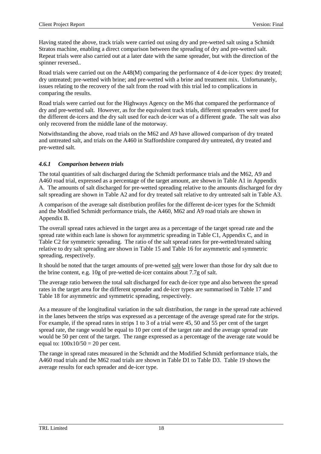Having stated the above, track trials were carried out using dry and pre-wetted salt using a Schmidt Stratos machine, enabling a direct comparison between the spreading of dry and pre-wetted salt. Repeat trials were also carried out at a later date with the same spreader, but with the direction of the spinner reversed..

Road trials were carried out on the A48(M) comparing the performance of 4 de-icer types: dry treated; dry untreated; pre-wetted with brine; and pre-wetted with a brine and treatment mix. Unfortunately, issues relating to the recovery of the salt from the road with this trial led to complications in comparing the results.

Road trials were carried out for the Highways Agency on the M6 that compared the performance of dry and pre-wetted salt. However, as for the equivalent track trials, different spreaders were used for the different de-icers and the dry salt used for each de-icer was of a different grade. The salt was also only recovered from the middle lane of the motorway.

Notwithstanding the above, road trials on the M62 and A9 have allowed comparison of dry treated and untreated salt, and trials on the A460 in Staffordshire compared dry untreated, dry treated and pre-wetted salt.

#### *4.6.1 Comparison between trials*

The total quantities of salt discharged during the Schmidt performance trials and the M62, A9 and A460 road trial, expressed as a percentage of the target amount, are shown in Table A1 in Appendix A. The amounts of salt discharged for pre-wetted spreading relative to the amounts discharged for dry salt spreading are shown in Table A2 and for dry treated salt relative to dry untreated salt in Table A3.

A comparison of the average salt distribution profiles for the different de-icer types for the Schmidt and the Modified Schmidt performance trials, the A460, M62 and A9 road trials are shown in Appendix B.

The overall spread rates achieved in the target area as a percentage of the target spread rate and the spread rate within each lane is shown for asymmetric spreading in Table C1, Appendix C, and in Table C2 for symmetric spreading. The ratio of the salt spread rates for pre-wetted/treated salting relative to dry salt spreading are shown in Table 15 and Table 16 for asymmetric and symmetric spreading, respectively.

It should be noted that the target amounts of pre-wetted salt were lower than those for dry salt due to the brine content, e.g. 10g of pre-wetted de-icer contains about 7.7g of salt.

The average ratio between the total salt discharged for each de-icer type and also between the spread rates in the target area for the different spreader and de-icer types are summarised in Table 17 and Table 18 for asymmetric and symmetric spreading, respectively.

As a measure of the longitudinal variation in the salt distribution, the range in the spread rate achieved in the lanes between the strips was expressed as a percentage of the average spread rate for the strips. For example, if the spread rates in strips 1 to 3 of a trial were 45, 50 and 55 per cent of the target spread rate, the range would be equal to 10 per cent of the target rate and the average spread rate would be 50 per cent of the target. The range expressed as a percentage of the average rate would be equal to:  $100x10/50 = 20$  per cent.

The range in spread rates measured in the Schmidt and the Modified Schmidt performance trials, the A460 road trials and the M62 road trials are shown in Table D1 to Table D3. Table 19 shows the average results for each spreader and de-icer type.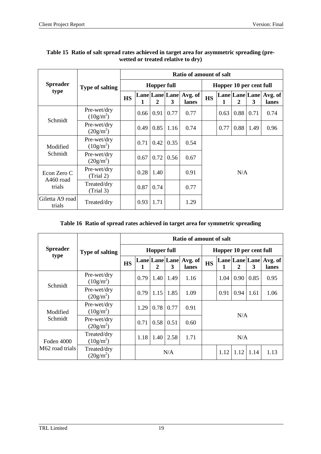|                           |                            | <b>Ratio of amount of salt</b> |      |                    |      |                            |           |                         |      |                            |                  |  |
|---------------------------|----------------------------|--------------------------------|------|--------------------|------|----------------------------|-----------|-------------------------|------|----------------------------|------------------|--|
| <b>Spreader</b>           | <b>Type of salting</b>     |                                |      | <b>Hopper full</b> |      |                            |           | Hopper 10 per cent full |      |                            |                  |  |
| type                      |                            | <b>HS</b>                      |      | $\overline{2}$     | 3    | Lane Lane Avg. of<br>lanes | <b>HS</b> | $\mathbf{1}$            | 2    | <b>Lane Lane Lane</b><br>3 | Avg. of<br>lanes |  |
|                           | Pre-wet/dry<br>$(10g/m^2)$ |                                | 0.66 | 0.91               | 0.77 | 0.77                       |           | 0.63                    | 0.88 | 0.71                       | 0.74             |  |
| Schmidt                   | Pre-wet/dry<br>$(20g/m^2)$ |                                | 0.49 | 0.85               | 1.16 | 0.74                       |           | 0.77                    | 0.88 | 1.49                       | 0.96             |  |
| Modified                  | Pre-wet/dry<br>$(10g/m^2)$ |                                | 0.71 | 0.42               | 0.35 | 0.54                       |           |                         |      |                            |                  |  |
| Schmidt                   | Pre-wet/dry<br>$(20g/m^2)$ |                                | 0.67 | 0.72               | 0.56 | 0.67                       |           |                         |      |                            |                  |  |
| Econ Zero C               | Pre-wet/dry<br>(Trial 2)   |                                | 0.28 | 1.40               |      | 0.91                       | N/A       |                         |      |                            |                  |  |
| $A460$ road<br>trials     | Treated/dry<br>(Trial 3)   |                                | 0.87 | 0.74               |      | 0.77                       |           |                         |      |                            |                  |  |
| Giletta A9 road<br>trials | Treated/dry                |                                | 0.93 | 1.71               |      | 1.29                       |           |                         |      |                            |                  |  |

# **Table 15 Ratio of salt spread rates achieved in target area for asymmetric spreading (prewetted or treated relative to dry)**

### **Table 16 Ratio of spread rates achieved in target area for symmetric spreading**

|                               |                            |                    | Ratio of amount of salt |      |      |                                 |                         |      |      |      |                                 |
|-------------------------------|----------------------------|--------------------|-------------------------|------|------|---------------------------------|-------------------------|------|------|------|---------------------------------|
| <b>Spreader</b><br>type       | <b>Type of salting</b>     | <b>Hopper full</b> |                         |      |      |                                 | Hopper 10 per cent full |      |      |      |                                 |
|                               |                            | <b>HS</b>          | 1                       | 2    | 3    | Lane Lane Lane Avg. of<br>lanes | <b>HS</b>               | 1    | 2    | 3    | Lane Lane Lane Avg. of<br>lanes |
|                               | Pre-wet/dry<br>$(10g/m^2)$ |                    | 0.79                    | 1.40 | 1.49 | 1.16                            |                         | 1.04 | 0.90 | 0.85 | 0.95                            |
| Schmidt                       | Pre-wet/dry<br>$(20g/m^2)$ |                    | 0.79                    | 1.15 | 1.85 | 1.09                            |                         | 0.91 | 0.94 | 1.61 | 1.06                            |
| Modified                      | Pre-wet/dry<br>$(10g/m^2)$ |                    | 1.29                    | 0.78 | 0.77 | 0.91                            |                         |      |      |      |                                 |
| Schmidt                       | Pre-wet/dry<br>$(20g/m^2)$ |                    | 0.71                    | 0.58 | 0.51 | 0.60                            | N/A                     |      |      |      |                                 |
| Foden 4000<br>M62 road trials | Treated/dry<br>$(10g/m^2)$ |                    | 1.18                    | 1.40 | 2.58 | 1.71                            |                         |      | N/A  |      |                                 |
|                               | Treated/dry<br>$(20g/m^2)$ |                    |                         |      | N/A  |                                 |                         | 1.12 | 1.12 | 1.14 | 1.13                            |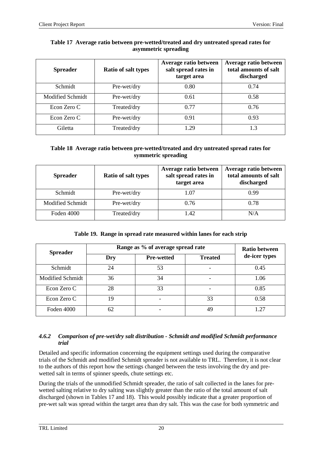| <b>Spreader</b>         | <b>Ratio of salt types</b> | Average ratio between<br>salt spread rates in<br>target area | Average ratio between<br>total amounts of salt<br>discharged |
|-------------------------|----------------------------|--------------------------------------------------------------|--------------------------------------------------------------|
| Schmidt                 | Pre-wet/dry                | 0.80                                                         | 0.74                                                         |
| <b>Modified Schmidt</b> | Pre-wet/dry                | 0.61                                                         | 0.58                                                         |
| Econ Zero C             | Treated/dry                | 0.77                                                         | 0.76                                                         |
| Econ Zero C             | Pre-wet/dry                | 0.91                                                         | 0.93                                                         |
| Giletta                 | Treated/dry                | 1.29                                                         | 1.3                                                          |

#### **Table 17 Average ratio between pre-wetted/treated and dry untreated spread rates for asymmetric spreading**

#### **Table 18 Average ratio between pre-wetted/treated and dry untreated spread rates for symmetric spreading**

| <b>Spreader</b>  | Ratio of salt types | Average ratio between<br>salt spread rates in<br>target area | Average ratio between<br>total amounts of salt<br>discharged |
|------------------|---------------------|--------------------------------------------------------------|--------------------------------------------------------------|
| Schmidt          | Pre-wet/dry         | 1.07                                                         | 0.99                                                         |
| Modified Schmidt | Pre-wet/dry         | 0.76                                                         | 0.78                                                         |
| Foden 4000       | Treated/dry         | 1.42                                                         | N/A                                                          |

### **Table 19. Range in spread rate measured within lanes for each strip**

| <b>Spreader</b>  |     | Range as % of average spread rate | Ratio between  |               |
|------------------|-----|-----------------------------------|----------------|---------------|
|                  | Dry | <b>Pre-wetted</b>                 | <b>Treated</b> | de-icer types |
| Schmidt          | 24  | 53                                |                | 0.45          |
| Modified Schmidt | 36  | 34                                |                | 1.06          |
| Econ Zero C      | 28  | 33                                |                | 0.85          |
| Econ Zero C      | 19  |                                   | 33             | 0.58          |
| Foden 4000       | 62  | ۰                                 | 49             | 1 27          |

#### *4.6.2 Comparison of pre-wet/dry salt distribution - Schmidt and modified Schmidt performance trial*

Detailed and specific information concerning the equipment settings used during the comparative trials of the Schmidt and modified Schmidt spreader is not available to TRL. Therefore, it is not clear to the authors of this report how the settings changed between the tests involving the dry and prewetted salt in terms of spinner speeds, chute settings etc.

During the trials of the unmodified Schmidt spreader, the ratio of salt collected in the lanes for prewetted salting relative to dry salting was slightly greater than the ratio of the total amount of salt discharged (shown in Tables 17 and 18). This would possibly indicate that a greater proportion of pre-wet salt was spread within the target area than dry salt. This was the case for both symmetric and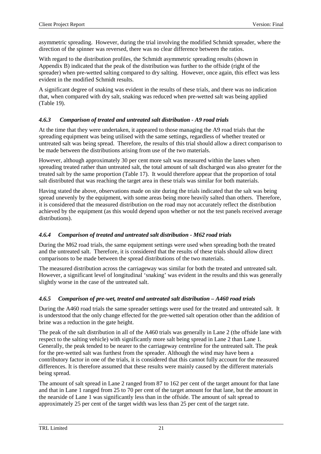asymmetric spreading. However, during the trial involving the modified Schmidt spreader, where the direction of the spinner was reversed, there was no clear difference between the ratios.

With regard to the distribution profiles, the Schmidt asymmetric spreading results (shown in Appendix B) indicated that the peak of the distribution was further to the offside (right of the spreader) when pre-wetted salting compared to dry salting. However, once again, this effect was less evident in the modified Schmidt results.

A significant degree of snaking was evident in the results of these trials, and there was no indication that, when compared with dry salt, snaking was reduced when pre-wetted salt was being applied (Table 19).

#### *4.6.3 Comparison of treated and untreated salt distribution - A9 road trials*

At the time that they were undertaken, it appeared to those managing the A9 road trials that the spreading equipment was being utilised with the same settings, regardless of whether treated or untreated salt was being spread. Therefore, the results of this trial should allow a direct comparison to be made between the distributions arising from use of the two materials.

However, although approximately 30 per cent more salt was measured within the lanes when spreading treated rather than untreated salt, the total amount of salt discharged was also greater for the treated salt by the same proportion (Table 17). It would therefore appear that the proportion of total salt distributed that was reaching the target area in these trials was similar for both materials.

Having stated the above, observations made on site during the trials indicated that the salt was being spread unevenly by the equipment, with some areas being more heavily salted than others. Therefore, it is considered that the measured distribution on the road may not accurately reflect the distribution achieved by the equipment (as this would depend upon whether or not the test panels received average distributions).

### *4.6.4 Comparison of treated and untreated salt distribution - M62 road trials*

During the M62 road trials, the same equipment settings were used when spreading both the treated and the untreated salt. Therefore, it is considered that the results of these trials should allow direct comparisons to be made between the spread distributions of the two materials.

The measured distribution across the carriageway was similar for both the treated and untreated salt. However, a significant level of longitudinal 'snaking' was evident in the results and this was generally slightly worse in the case of the untreated salt.

### *4.6.5 Comparison of pre-wet, treated and untreated salt distribution – A460 road trials*

During the A460 road trials the same spreader settings were used for the treated and untreated salt. It is understood that the only change effected for the pre-wetted salt operation other than the addition of brine was a reduction in the gate height.

The peak of the salt distribution in all of the A460 trials was generally in Lane 2 (the offside lane with respect to the salting vehicle) with significantly more salt being spread in Lane 2 than Lane 1. Generally, the peak tended to be nearer to the carriageway centreline for the untreated salt. The peak for the pre-wetted salt was furthest from the spreader. Although the wind may have been a contributory factor in one of the trials, it is considered that this cannot fully account for the measured differences. It is therefore assumed that these results were mainly caused by the different materials being spread.

The amount of salt spread in Lane 2 ranged from 87 to 162 per cent of the target amount for that lane and that in Lane 1 ranged from 25 to 70 per cent of the target amount for that lane, but the amount in the nearside of Lane 1 was significantly less than in the offside. The amount of salt spread to approximately 25 per cent of the target width was less than 25 per cent of the target rate.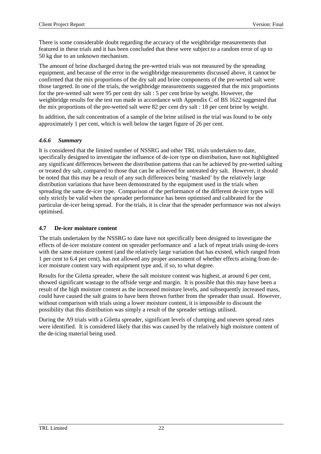There is some considerable doubt regarding the accuracy of the weighbridge measurements that featured in these trials and it has been concluded that these were subject to a random error of up to 50 kg due to an unknown mechanism.

The amount of brine discharged during the pre-wetted trials was not measured by the spreading equipment, and because of the error in the weighbridge measurements discussed above, it cannot be confirmed that the mix proportions of the dry salt and brine components of the pre-wetted salt were those targeted. In one of the trials, the weighbridge measurements suggested that the mix proportions for the pre-wetted salt were 95 per cent dry salt : 5 per cent brine by weight. However, the weighbridge results for the test run made in accordance with Appendix C of BS 1622 suggested that the mix proportions of the pre-wetted salt were 82 per cent dry salt : 18 per cent brine by weight.

In addition, the salt concentration of a sample of the brine utilised in the trial was found to be only approximately 1 per cent, which is well below the target figure of 26 per cent.

#### *4.6.6 Summary*

It is considered that the limited number of NSSRG and other TRL trials undertaken to date, specifically designed to investigate the influence of de-icer type on distribution, have not highlighted any significant differences between the distribution patterns that can be achieved by pre-wetted salting or treated dry salt, compared to those that can be achieved for untreated dry salt. However, it should be noted that this may be a result of any such differences being 'masked' by the relatively large distribution variations that have been demonstrated by the equipment used in the trials when spreading the same de-icer type. Comparison of the performance of the different de-icer types will only strictly be valid when the spreader performance has been optimised and calibrated for the particular de-icer being spread. For the trials, it is clear that the spreader performance was not always optimised.

#### **4.7 De-icer moisture content**

The trials undertaken by the NSSRG to date have not specifically been designed to investigate the effects of de-icer moisture content on spreader performance and a lack of repeat trials using de-icers with the same moisture content (and the relatively large variation that has existed, which ranged from 1 per cent to 6.4 per cent), has not allowed any proper assessment of whether effects arising from deicer moisture content vary with equipment type and, if so, to what degree.

Results for the Giletta spreader, where the salt moisture content was highest, at around 6 per cent, showed significant wastage to the offside verge and margin. It is possible that this may have been a result of the high moisture content as the increased moisture levels, and subsequently increased mass, could have caused the salt grains to have been thrown further from the spreader than usual. However, without comparison with trials using a lower moisture content, it is impossible to discount the possibility that this distribution was simply a result of the spreader settings utilised.

During the A9 trials with a Giletta spreader, significant levels of clumping and uneven spread rates were identified. It is considered likely that this was caused by the relatively high moisture content of the de-icing material being used.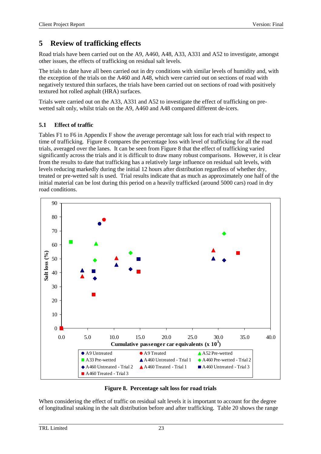# **5 Review of trafficking effects**

Road trials have been carried out on the A9, A460, A48, A33, A331 and A52 to investigate, amongst other issues, the effects of trafficking on residual salt levels.

The trials to date have all been carried out in dry conditions with similar levels of humidity and, with the exception of the trials on the A460 and A48, which were carried out on sections of road with negatively textured thin surfaces, the trials have been carried out on sections of road with positively textured hot rolled asphalt (HRA) surfaces.

Trials were carried out on the A33, A331 and A52 to investigate the effect of trafficking on prewetted salt only, whilst trials on the A9, A460 and A48 compared different de-icers.

# **5.1 Effect of traffic**

Tables F1 to F6 in Appendix F show the average percentage salt loss for each trial with respect to time of trafficking. Figure 8 compares the percentage loss with level of trafficking for all the road trials, averaged over the lanes. It can be seen from Figure 8 that the effect of trafficking varied significantly across the trials and it is difficult to draw many robust comparisons. However, it is clear from the results to date that trafficking has a relatively large influence on residual salt levels, with levels reducing markedly during the initial 12 hours after distribution regardless of whether dry, treated or pre-wetted salt is used. Trial results indicate that as much as approximately one half of the initial material can be lost during this period on a heavily trafficked (around 5000 cars) road in dry road conditions.





When considering the effect of traffic on residual salt levels it is important to account for the degree of longitudinal snaking in the salt distribution before and after trafficking. Table 20 shows the range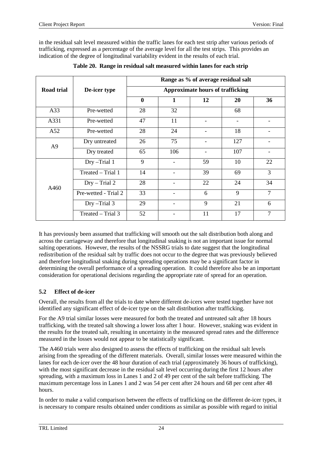in the residual salt level measured within the traffic lanes for each test strip after various periods of trafficking, expressed as a percentage of the average level for all the test strips. This provides an indication of the degree of longitudinal variability evident in the results of each trial.

|                   |                      |                                         |                          | Range as % of average residual salt |                          |                |  |  |  |
|-------------------|----------------------|-----------------------------------------|--------------------------|-------------------------------------|--------------------------|----------------|--|--|--|
| <b>Road trial</b> | De-icer type         | <b>Approximate hours of trafficking</b> |                          |                                     |                          |                |  |  |  |
|                   |                      | $\bf{0}$                                | 1                        | 12                                  | 20                       | 36             |  |  |  |
| A33               | Pre-wetted           | 28                                      | 32                       |                                     | 68                       |                |  |  |  |
| A331              | Pre-wetted           | 47                                      | 11                       |                                     | $\overline{\phantom{a}}$ |                |  |  |  |
| A52               | Pre-wetted           | 28                                      | 24                       | -                                   | 18                       |                |  |  |  |
| A <sub>9</sub>    | Dry untreated        | 26                                      | 75                       |                                     | 127                      |                |  |  |  |
|                   | Dry treated          | 65                                      | 106                      |                                     | 107                      |                |  |  |  |
|                   | Dry-Trial 1          | 9                                       | $\overline{\phantom{0}}$ | 59                                  | 10                       | 22             |  |  |  |
|                   | Treated - Trial 1    | 14                                      |                          | 39                                  | 69                       | $\overline{3}$ |  |  |  |
| A460              | $Dry - Trial 2$      | 28                                      |                          | 22                                  | 24                       | 34             |  |  |  |
|                   | Pre-wetted - Trial 2 | 33                                      |                          | 6                                   | 9                        | $\overline{7}$ |  |  |  |
|                   | Dry-Trial 3          | 29                                      |                          | 9                                   | 21                       | 6              |  |  |  |
|                   | Treated – Trial 3    | 52                                      |                          | 11                                  | 17                       | $\overline{7}$ |  |  |  |

**Table 20. Range in residual salt measured within lanes for each strip**

It has previously been assumed that trafficking will smooth out the salt distribution both along and across the carriageway and therefore that longitudinal snaking is not an important issue for normal salting operations. However, the results of the NSSRG trials to date suggest that the longitudinal redistribution of the residual salt by traffic does not occur to the degree that was previously believed and therefore longitudinal snaking during spreading operations may be a significant factor in determining the overall performance of a spreading operation. It could therefore also be an important consideration for operational decisions regarding the appropriate rate of spread for an operation.

# **5.2 Effect of de-icer**

Overall, the results from all the trials to date where different de-icers were tested together have not identified any significant effect of de-icer type on the salt distribution after trafficking.

For the A9 trial similar losses were measured for both the treated and untreated salt after 18 hours trafficking, with the treated salt showing a lower loss after 1 hour. However, snaking was evident in the results for the treated salt, resulting in uncertainty in the measured spread rates and the difference measured in the losses would not appear to be statistically significant.

The A460 trials were also designed to assess the effects of trafficking on the residual salt levels arising from the spreading of the different materials. Overall, similar losses were measured within the lanes for each de-icer over the 48 hour duration of each trial (approximately 36 hours of trafficking), with the most significant decrease in the residual salt level occurring during the first 12 hours after spreading, with a maximum loss in Lanes 1 and 2 of 49 per cent of the salt before trafficking. The maximum percentage loss in Lanes 1 and 2 was 54 per cent after 24 hours and 68 per cent after 48 hours.

In order to make a valid comparison between the effects of trafficking on the different de-icer types, it is necessary to compare results obtained under conditions as similar as possible with regard to initial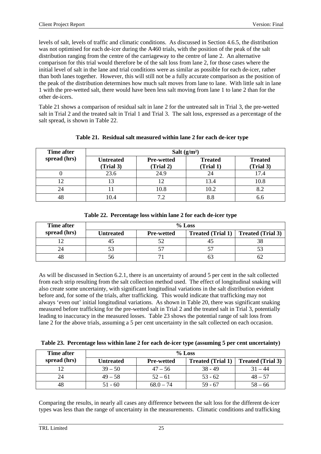levels of salt, levels of traffic and climatic conditions. As discussed in Section 4.6.5, the distribution was not optimised for each de-icer during the A460 trials, with the position of the peak of the salt distribution ranging from the centre of the carriageway to the centre of lane 2. An alternative comparison for this trial would therefore be of the salt loss from lane 2, for those cases where the initial level of salt in the lane and trial conditions were as similar as possible for each de-icer, rather than both lanes together. However, this will still not be a fully accurate comparison as the position of the peak of the distribution determines how much salt moves from lane to lane. With little salt in lane 1 with the pre-wetted salt, there would have been less salt moving from lane 1 to lane 2 than for the other de-icers.

Table 21 shows a comparison of residual salt in lane 2 for the untreated salt in Trial 3, the pre-wetted salt in Trial 2 and the treated salt in Trial 1 and Trial 3. The salt loss, expressed as a percentage of the salt spread, is shown in Table 22.

| Time after   |                               | Salt $(g/m2)$                  |                             |                             |  |  |  |  |  |  |
|--------------|-------------------------------|--------------------------------|-----------------------------|-----------------------------|--|--|--|--|--|--|
| spread (hrs) | <b>Untreated</b><br>(Trial 3) | <b>Pre-wetted</b><br>(Trial 2) | <b>Treated</b><br>(Trial 1) | <b>Treated</b><br>(Trial 3) |  |  |  |  |  |  |
|              | 23.6                          | 24.9                           | 24                          | 17.4                        |  |  |  |  |  |  |
|              | 13                            |                                | 13.4                        | 10.8                        |  |  |  |  |  |  |
| 24           |                               | 10.8                           | 10.2                        |                             |  |  |  |  |  |  |
| 48           | 10.4                          | 7 <sub>2</sub>                 | 8.8                         |                             |  |  |  |  |  |  |

#### **Table 21. Residual salt measured within lane 2 for each de-icer type**

| Time after   | $%$ Loss  |                   |  |                                            |  |  |  |  |
|--------------|-----------|-------------------|--|--------------------------------------------|--|--|--|--|
| spread (hrs) | Untreated | <b>Pre-wetted</b> |  | <b>Treated (Trial 1)</b> Treated (Trial 3) |  |  |  |  |
|              |           |                   |  |                                            |  |  |  |  |
| 24           |           |                   |  |                                            |  |  |  |  |
|              |           |                   |  |                                            |  |  |  |  |

#### **Table 22. Percentage loss within lane 2 for each de-icer type**

As will be discussed in Section 6.2.1, there is an uncertainty of around 5 per cent in the salt collected from each strip resulting from the salt collection method used. The effect of longitudinal snaking will also create some uncertainty, with significant longitudinal variations in the salt distribution evident before and, for some of the trials, after trafficking. This would indicate that trafficking may not always 'even out' initial longitudinal variations. As shown in Table 20, there was significant snaking measured before trafficking for the pre-wetted salt in Trial 2 and the treated salt in Trial 3, potentially leading to inaccuracy in the measured losses. Table 23 shows the potential range of salt loss from lane 2 for the above trials, assuming a 5 per cent uncertainty in the salt collected on each occasion.

|  |  |  | Table 23. Percentage loss within lane 2 for each de-icer type (assuming 5 per cent uncertainty) |
|--|--|--|-------------------------------------------------------------------------------------------------|
|  |  |  |                                                                                                 |

| Time after   |                  | $\%$ Loss         |                          |                          |  |  |  |  |  |
|--------------|------------------|-------------------|--------------------------|--------------------------|--|--|--|--|--|
| spread (hrs) | <b>Untreated</b> | <b>Pre-wetted</b> | <b>Treated (Trial 1)</b> | <b>Treated (Trial 3)</b> |  |  |  |  |  |
|              | $39 - 50$        | $47 - 56$         | $38 - 49$                | $31 - 44$                |  |  |  |  |  |
| 24           | $49 - 58$        | $52 - 61$         | $53 - 62$                | $48 - 57$                |  |  |  |  |  |
|              | $51 - 60$        | $68.0 - 74$       | $59 - 67$                | $58 - 66$                |  |  |  |  |  |

Comparing the results, in nearly all cases any difference between the salt loss for the different de-icer types was less than the range of uncertainty in the measurements. Climatic conditions and trafficking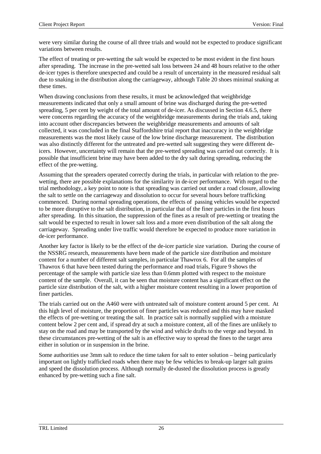were very similar during the course of all three trials and would not be expected to produce significant variations between results.

The effect of treating or pre-wetting the salt would be expected to be most evident in the first hours after spreading. The increase in the pre-wetted salt loss between 24 and 48 hours relative to the other de-icer types is therefore unexpected and could be a result of uncertainty in the measured residual salt due to snaking in the distribution along the carriageway, although Table 20 shoes minimal snaking at these times.

When drawing conclusions from these results, it must be acknowledged that weighbridge measurements indicated that only a small amount of brine was discharged during the pre-wetted spreading, 5 per cent by weight of the total amount of de-icer. As discussed in Section 4.6.5, there were concerns regarding the accuracy of the weighbridge measurements during the trials and, taking into account other discrepancies between the weighbridge measurements and amounts of salt collected, it was concluded in the final Staffordshire trial report that inaccuracy in the weighbridge measurements was the most likely cause of the low brine discharge measurement. The distribution was also distinctly different for the untreated and pre-wetted salt suggesting they were different deicers. However, uncertainty will remain that the pre-wetted spreading was carried out correctly. It is possible that insufficient brine may have been added to the dry salt during spreading, reducing the effect of the pre-wetting.

Assuming that the spreaders operated correctly during the trials, in particular with relation to the prewetting, there are possible explanations for the similarity in de-icer performance. With regard to the trial methodology, a key point to note is that spreading was carried out under a road closure, allowing the salt to settle on the carriageway and dissolution to occur for several hours before trafficking commenced. During normal spreading operations, the effects of passing vehicles would be expected to be more disruptive to the salt distribution, in particular that of the finer particles in the first hours after spreading. In this situation, the suppression of the fines as a result of pre-wetting or treating the salt would be expected to result in lower salt loss and a more even distribution of the salt along the carriageway. Spreading under live traffic would therefore be expected to produce more variation in de-icer performance.

Another key factor is likely to be the effect of the de-icer particle size variation. During the course of the NSSRG research, measurements have been made of the particle size distribution and moisture content for a number of different salt samples, in particular Thawrox 6. For all the samples of Thawrox 6 that have been tested during the performance and road trials, Figure 9 shows the percentage of the sample with particle size less than 0.6mm plotted with respect to the moisture content of the sample. Overall, it can be seen that moisture content has a significant effect on the particle size distribution of the salt, with a higher moisture content resulting in a lower proportion of finer particles.

The trials carried out on the A460 were with untreated salt of moisture content around 5 per cent. At this high level of moisture, the proportion of finer particles was reduced and this may have masked the effects of pre-wetting or treating the salt. In practice salt is normally supplied with a moisture content below 2 per cent and, if spread dry at such a moisture content, all of the fines are unlikely to stay on the road and may be transported by the wind and vehicle drafts to the verge and beyond. In these circumstances pre-wetting of the salt is an effective way to spread the fines to the target area either in solution or in suspension in the brine.

Some authorities use 3mm salt to reduce the time taken for salt to enter solution – being particularly important on lightly trafficked roads when there may be few vehicles to break-up larger salt grains and speed the dissolution process. Although normally de-dusted the dissolution process is greatly enhanced by pre-wetting such a fine salt.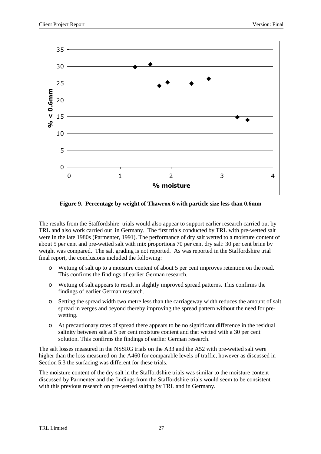

**Figure 9. Percentage by weight of Thawrox 6 with particle size less than 0.6mm**

The results from the Staffordshire trials would also appear to support earlier research carried out by TRL and also work carried out in Germany. The first trials conducted by TRL with pre-wetted salt were in the late 1980s (Parmenter, 1991). The performance of dry salt wetted to a moisture content of about 5 per cent and pre-wetted salt with mix proportions 70 per cent dry salt: 30 per cent brine by weight was compared. The salt grading is not reported. As was reported in the Staffordshire trial final report, the conclusions included the following:

- o Wetting of salt up to a moisture content of about 5 per cent improves retention on the road. This confirms the findings of earlier German research.
- o Wetting of salt appears to result in slightly improved spread patterns. This confirms the findings of earlier German research.
- o Setting the spread width two metre less than the carriageway width reduces the amount of salt spread in verges and beyond thereby improving the spread pattern without the need for prewetting.
- o At precautionary rates of spread there appears to be no significant difference in the residual salinity between salt at 5 per cent moisture content and that wetted with a 30 per cent solution. This confirms the findings of earlier German research.

The salt losses measured in the NSSRG trials on the A33 and the A52 with pre-wetted salt were higher than the loss measured on the A460 for comparable levels of traffic, however as discussed in Section 5.3 the surfacing was different for these trials.

The moisture content of the dry salt in the Staffordshire trials was similar to the moisture content discussed by Parmenter and the findings from the Staffordshire trials would seem to be consistent with this previous research on pre-wetted salting by TRL and in Germany.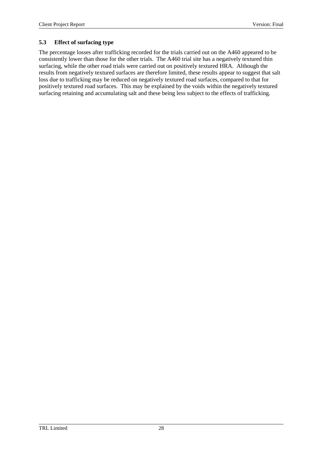### **5.3 Effect of surfacing type**

The percentage losses after trafficking recorded for the trials carried out on the A460 appeared to be consistently lower than those for the other trials. The A460 trial site has a negatively textured thin surfacing, while the other road trials were carried out on positively textured HRA. Although the results from negatively textured surfaces are therefore limited, these results appear to suggest that salt loss due to trafficking may be reduced on negatively textured road surfaces, compared to that for positively textured road surfaces. This may be explained by the voids within the negatively textured surfacing retaining and accumulating salt and these being less subject to the effects of trafficking.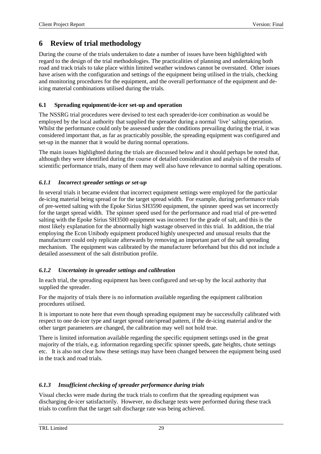## **6 Review of trial methodology**

During the course of the trials undertaken to date a number of issues have been highlighted with regard to the design of the trial methodologies. The practicalities of planning and undertaking both road and track trials to take place within limited weather windows cannot be overstated. Other issues have arisen with the configuration and settings of the equipment being utilised in the trials, checking and monitoring procedures for the equipment, and the overall performance of the equipment and deicing material combinations utilised during the trials.

#### **6.1 Spreading equipment/de-icer set-up and operation**

The NSSRG trial procedures were devised to test each spreader/de-icer combination as would be employed by the local authority that supplied the spreader during a normal 'live' salting operation. Whilst the performance could only be assessed under the conditions prevailing during the trial, it was considered important that, as far as practicably possible, the spreading equipment was configured and set-up in the manner that it would be during normal operations.

The main issues highlighted during the trials are discussed below and it should perhaps be noted that, although they were identified during the course of detailed consideration and analysis of the results of scientific performance trials, many of them may well also have relevance to normal salting operations.

#### *6.1.1 Incorrect spreader settings or set-up*

In several trials it became evident that incorrect equipment settings were employed for the particular de-icing material being spread or for the target spread width. For example, during performance trials of pre-wetted salting with the Epoke Sirius SH3590 equipment, the spinner speed was set incorrectly for the target spread width. The spinner speed used for the performance and road trial of pre-wetted salting with the Epoke Sirius SH3500 equipment was incorrect for the grade of salt, and this is the most likely explanation for the abnormally high wastage observed in this trial. In addition, the trial employing the Econ Unibody equipment produced highly unexpected and unusual results that the manufacturer could only replicate afterwards by removing an important part of the salt spreading mechanism. The equipment was calibrated by the manufacturer beforehand but this did not include a detailed assessment of the salt distribution profile.

#### *6.1.2 Uncertainty in spreader settings and calibration*

In each trial, the spreading equipment has been configured and set-up by the local authority that supplied the spreader.

For the majority of trials there is no information available regarding the equipment calibration procedures utilised.

It is important to note here that even though spreading equipment may be successfully calibrated with respect to one de-icer type and target spread rate/spread pattern, if the de-icing material and/or the other target parameters are changed, the calibration may well not hold true.

There is limited information available regarding the specific equipment settings used in the great majority of the trials, e.g. information regarding specific spinner speeds, gate heights, chute settings etc. It is also not clear how these settings may have been changed between the equipment being used in the track and road trials.

#### *6.1.3 Insufficient checking of spreader performance during trials*

Visual checks were made during the track trials to confirm that the spreading equipment was discharging de-icer satisfactorily. However, no discharge tests were performed during these track trials to confirm that the target salt discharge rate was being achieved.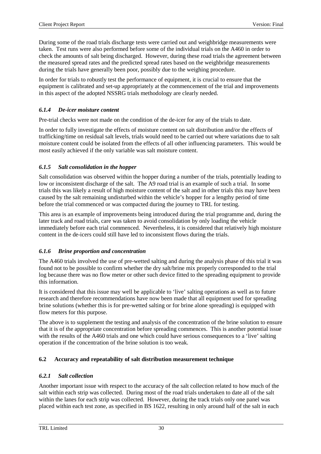During some of the road trials discharge tests were carried out and weighbridge measurements were taken. Test runs were also performed before some of the individual trials on the A460 in order to check the amounts of salt being discharged. However, during these road trials the agreement between the measured spread rates and the predicted spread rates based on the weighbridge measurements during the trials have generally been poor, possibly due to the weighing procedure.

In order for trials to robustly test the performance of equipment, it is crucial to ensure that the equipment is calibrated and set-up appropriately at the commencement of the trial and improvements in this aspect of the adopted NSSRG trials methodology are clearly needed.

### *6.1.4 De-icer moisture content*

Pre-trial checks were not made on the condition of the de-icer for any of the trials to date.

In order to fully investigate the effects of moisture content on salt distribution and/or the effects of trafficking/time on residual salt levels, trials would need to be carried out where variations due to salt moisture content could be isolated from the effects of all other influencing parameters. This would be most easily achieved if the only variable was salt moisture content.

#### *6.1.5 Salt consolidation in the hopper*

Salt consolidation was observed within the hopper during a number of the trials, potentially leading to low or inconsistent discharge of the salt. The A9 road trial is an example of such a trial. In some trials this was likely a result of high moisture content of the salt and in other trials this may have been caused by the salt remaining undisturbed within the vehicle's hopper for a lengthy period of time before the trial commenced or was compacted during the journey to TRL for testing.

This area is an example of improvements being introduced during the trial programme and, during the later track and road trials, care was taken to avoid consolidation by only loading the vehicle immediately before each trial commenced. Nevertheless, it is considered that relatively high moisture content in the de-icers could still have led to inconsistent flows during the trials.

#### *6.1.6 Brine proportion and concentration*

The A460 trials involved the use of pre-wetted salting and during the analysis phase of this trial it was found not to be possible to confirm whether the dry salt/brine mix properly corresponded to the trial log because there was no flow meter or other such device fitted to the spreading equipment to provide this information.

It is considered that this issue may well be applicable to 'live' salting operations as well as to future research and therefore recommendations have now been made that all equipment used for spreading brine solutions (whether this is for pre-wetted salting or for brine alone spreading) is equipped with flow meters for this purpose.

The above is to supplement the testing and analysis of the concentration of the brine solution to ensure that it is of the appropriate concentration before spreading commences. This is another potential issue with the results of the A460 trials and one which could have serious consequences to a 'live' salting operation if the concentration of the brine solution is too weak.

#### **6.2 Accuracy and repeatability of salt distribution measurement technique**

#### *6.2.1 Salt collection*

Another important issue with respect to the accuracy of the salt collection related to how much of the salt within each strip was collected. During most of the road trials undertaken to date all of the salt within the lanes for each strip was collected. However, during the track trials only one panel was placed within each test zone, as specified in BS 1622, resulting in only around half of the salt in each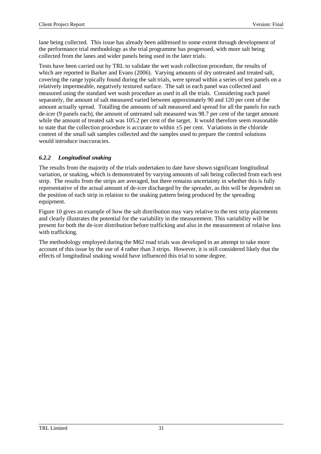lane being collected. This issue has already been addressed to some extent through development of the performance trial methodology as the trial programme has progressed, with more salt being collected from the lanes and wider panels being used in the later trials.

Tests have been carried out by TRL to validate the wet wash collection procedure, the results of which are reported in Barker and Evans (2006). Varying amounts of dry untreated and treated salt, covering the range typically found during the salt trials, were spread within a series of test panels on a relatively impermeable, negatively textured surface. The salt in each panel was collected and measured using the standard wet wash procedure as used in all the trials. Considering each panel separately, the amount of salt measured varied between approximately 90 and 120 per cent of the amount actually spread. Totalling the amounts of salt measured and spread for all the panels for each de-icer (9 panels each), the amount of untreated salt measured was 98.7 per cent of the target amount while the amount of treated salt was 105.2 per cent of the target. It would therefore seem reasonable to state that the collection procedure is accurate to within  $\pm 5$  per cent. Variations in the chloride content of the small salt samples collected and the samples used to prepare the control solutions would introduce inaccuracies.

### *6.2.2 Longitudinal snaking*

The results from the majority of the trials undertaken to date have shown significant longitudinal variation, or snaking, which is demonstrated by varying amounts of salt being collected from each test strip. The results from the strips are averaged, but there remains uncertainty in whether this is fully representative of the actual amount of de-icer discharged by the spreader, as this will be dependent on the position of each strip in relation to the snaking pattern being produced by the spreading equipment.

Figure 10 gives an example of how the salt distribution may vary relative to the test strip placements and clearly illustrates the potential for the variability in the measurement. This variability will be present for both the de-icer distribution before trafficking and also in the measurement of relative loss with trafficking.

The methodology employed during the M62 road trials was developed in an attempt to take more account of this issue by the use of 4 rather than 3 strips. However, it is still considered likely that the effects of longitudinal snaking would have influenced this trial to some degree.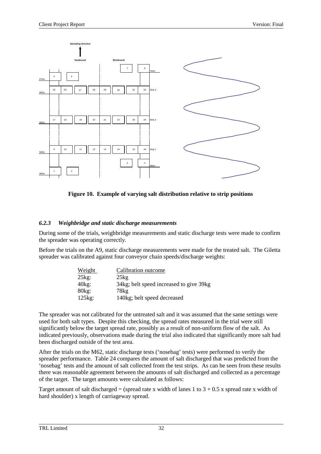

**Figure 10. Example of varying salt distribution relative to strip positions**

### *6.2.3 Weighbridge and static discharge measurements*

During some of the trials, weighbridge measurements and static discharge tests were made to confirm the spreader was operating correctly.

Before the trials on the A9, static discharge measurements were made for the treated salt. The Giletta spreader was calibrated against four conveyor chain speeds/discharge weights:

| Weight           | Calibration outcome                     |
|------------------|-----------------------------------------|
| $25\text{kg}$ :  | 25kg                                    |
| $40\text{kg}$ :  | 34kg; belt speed increased to give 39kg |
| 80kg:            | 78kg                                    |
| $125\text{kg}$ : | 140kg; belt speed decreased             |

The spreader was not calibrated for the untreated salt and it was assumed that the same settings were used for both salt types. Despite this checking, the spread rates measured in the trial were still significantly below the target spread rate, possibly as a result of non-uniform flow of the salt. As indicated previously, observations made during the trial also indicated that significantly more salt had been discharged outside of the test area.

After the trials on the M62, static discharge tests ('nosebag' tests) were performed to verify the spreader performance. Table 24 compares the amount of salt discharged that was predicted from the 'nosebag' tests and the amount of salt collected from the test strips. As can be seen from these results there was reasonable agreement between the amounts of salt discharged and collected as a percentage of the target. The target amounts were calculated as follows:

Target amount of salt discharged = (spread rate x width of lanes 1 to  $3 + 0.5$  x spread rate x width of hard shoulder) x length of carriageway spread.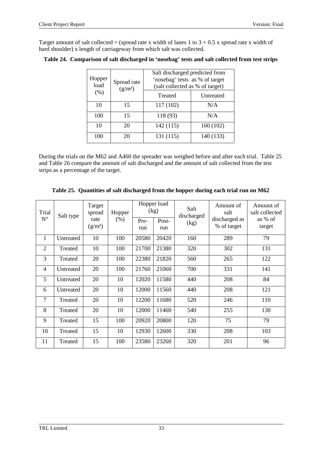Target amount of salt collected = (spread rate x width of lanes  $1$  to  $3 + 0.5$  x spread rate x width of hard shoulder) x length of carriageway from which salt was collected.

| Hopper<br>load | Spread rate<br>(g/m <sup>2</sup> ) | Salt discharged predicted from<br>'nosebag' tests as % of target<br>(salt collected as % of target) |           |  |  |  |
|----------------|------------------------------------|-----------------------------------------------------------------------------------------------------|-----------|--|--|--|
| (% )           |                                    | Treated                                                                                             | Untreated |  |  |  |
| 10             | 15                                 | 117 (102)                                                                                           | N/A       |  |  |  |
| 100            | 15                                 | 118 (93)                                                                                            | N/A       |  |  |  |
| 10             | 20                                 | 142(115)                                                                                            | 160(102)  |  |  |  |
| 100            | 20                                 | 131 (115)                                                                                           | 140 (133) |  |  |  |

|  |  | Table 24. Comparison of salt discharged in 'nosebag' tests and salt collected from test strips |  |
|--|--|------------------------------------------------------------------------------------------------|--|
|  |  |                                                                                                |  |

During the trials on the M62 and A460 the spreader was weighed before and after each trial. Table 25 and Table 26 compare the amount of salt discharged and the amount of salt collected from the test strips as a percentage of the target.

|  |  | Table 25. Quantities of salt discharged from the hopper during each trial run on M62 |
|--|--|--------------------------------------------------------------------------------------|
|  |  |                                                                                      |

| Trial<br>Salt type |           | Target<br>spread            | Hopper  |             | Hopper load<br>(kg)  | Salt<br>discharged | Amount of<br>salt            | Amount of<br>salt collected |
|--------------------|-----------|-----------------------------|---------|-------------|----------------------|--------------------|------------------------------|-----------------------------|
| $\mathbf{N}^\circ$ |           | rate<br>(g/m <sup>2</sup> ) | $(\% )$ | Pre-<br>run | Post-<br>(kg)<br>run |                    | discharged as<br>% of target | as % of<br>target           |
| $\mathbf{1}$       | Untreated | 10                          | 100     | 20580       | 20420                | 160                | 289                          | 79                          |
| $\overline{2}$     | Treated   | 10                          | 100     | 21700       | 21380                | 320                | 302                          | 131                         |
| 3                  | Treated   | 20                          | 100     | 22380       | 21820                | 560                | 265                          | 122                         |
| $\overline{4}$     | Untreated | 20                          | 100     | 21760       | 21060                | 700                | 331                          | 141                         |
| 5                  | Untreated | 20                          | 10      | 12020       | 11580                | 440                | 208                          | 84                          |
| 6                  | Untreated | 20                          | 10      | 12000       | 11560                | 440                | 208                          | 121                         |
| $\overline{7}$     | Treated   | 20                          | 10      | 12200       | 11680                | 520                | 246                          | 110                         |
| 8                  | Treated   | 20                          | 10      | 12000       | 11460                | 540                | 255                          | 130                         |
| 9                  | Treated   | 15                          | 100     | 20920       | 20800                | 120                | 75                           | 79                          |
| 10                 | Treated   | 15                          | 10      | 12930       | 12600                | 330                | 208                          | 103                         |
| 11                 | Treated   | 15                          | 100     | 23580       | 23260                | 320                | 201                          | 96                          |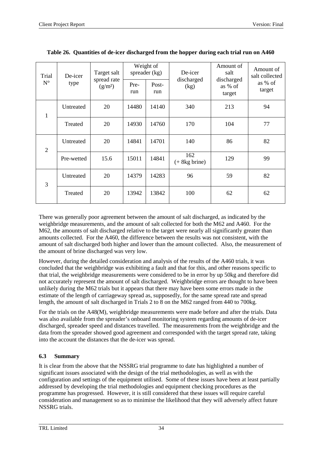| Trial<br>$N^{\circ}$ | De-icer<br>type | Target salt<br>spread rate | Weight of<br>spreader (kg)<br>Post-<br>Pre- |       | De-icer<br>discharged  | Amount of<br>salt<br>discharged | Amount of<br>salt collected<br>as % of |
|----------------------|-----------------|----------------------------|---------------------------------------------|-------|------------------------|---------------------------------|----------------------------------------|
|                      |                 | (g/m <sup>2</sup> )        | run                                         | run   | (kg)                   | as % of<br>target               | target                                 |
| $\mathbf{1}$         | Untreated       | 20                         | 14480                                       | 14140 | 340                    | 213                             | 94                                     |
|                      | Treated         | 20                         | 14930                                       | 14760 | 170                    | 104                             | 77                                     |
| $\overline{2}$       | Untreated       | 20                         | 14841                                       | 14701 | 140                    | 86                              | 82                                     |
|                      | Pre-wetted      | 15.6                       | 15011                                       | 14841 | 162<br>$(+ 8kg brine)$ | 129                             | 99                                     |
| 3                    | Untreated       | 20                         | 14379                                       | 14283 | 96                     | 59                              | 82                                     |
|                      | Treated         | 20                         | 13942                                       | 13842 | 100                    | 62                              | 62                                     |

| Table 26. Quantities of de-icer discharged from the hopper during each trial run on A460 |  |  |
|------------------------------------------------------------------------------------------|--|--|
|                                                                                          |  |  |

There was generally poor agreement between the amount of salt discharged, as indicated by the weighbridge measurements, and the amount of salt collected for both the M62 and A460. For the M62, the amounts of salt discharged relative to the target were nearly all significantly greater than amounts collected. For the A460, the difference between the results was not consistent, with the amount of salt discharged both higher and lower than the amount collected. Also, the measurement of the amount of brine discharged was very low.

However, during the detailed consideration and analysis of the results of the A460 trials, it was concluded that the weighbridge was exhibiting a fault and that for this, and other reasons specific to that trial, the weighbridge measurements were considered to be in error by up 50kg and therefore did not accurately represent the amount of salt discharged. Weighbridge errors are thought to have been unlikely during the M62 trials but it appears that there may have been some errors made in the estimate of the length of carriageway spread as, supposedly, for the same spread rate and spread length, the amount of salt discharged in Trials 2 to 8 on the M62 ranged from 440 to 700kg.

For the trials on the A48(M), weighbridge measurements were made before and after the trials. Data was also available from the spreader's onboard monitoring system regarding amounts of de-icer discharged, spreader speed and distances travelled. The measurements from the weighbridge and the data from the spreader showed good agreement and corresponded with the target spread rate, taking into the account the distances that the de-icer was spread.

### **6.3 Summary**

It is clear from the above that the NSSRG trial programme to date has highlighted a number of significant issues associated with the design of the trial methodologies, as well as with the configuration and settings of the equipment utilised. Some of these issues have been at least partially addressed by developing the trial methodologies and equipment checking procedures as the programme has progressed. However, it is still considered that these issues will require careful consideration and management so as to minimise the likelihood that they will adversely affect future NSSRG trials.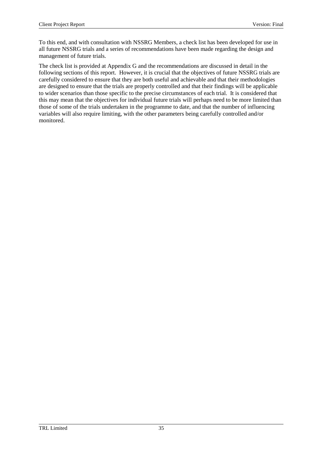To this end, and with consultation with NSSRG Members, a check list has been developed for use in all future NSSRG trials and a series of recommendations have been made regarding the design and management of future trials.

The check list is provided at Appendix G and the recommendations are discussed in detail in the following sections of this report. However, it is crucial that the objectives of future NSSRG trials are carefully considered to ensure that they are both useful and achievable and that their methodologies are designed to ensure that the trials are properly controlled and that their findings will be applicable to wider scenarios than those specific to the precise circumstances of each trial. It is considered that this may mean that the objectives for individual future trials will perhaps need to be more limited than those of some of the trials undertaken in the programme to date, and that the number of influencing variables will also require limiting, with the other parameters being carefully controlled and/or monitored.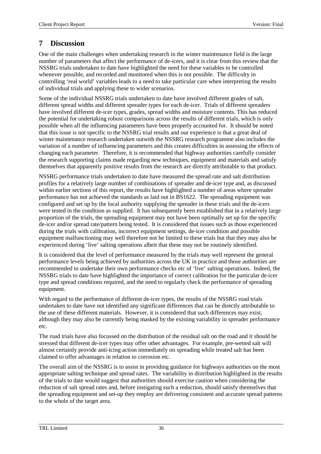## **7 Discussion**

One of the main challenges when undertaking research in the winter maintenance field is the large number of parameters that affect the performance of de-icers, and it is clear from this review that the NSSRG trials undertaken to date have highlighted the need for these variables to be controlled whenever possible, and recorded and monitored when this is not possible. The difficulty in controlling 'real world' variables leads to a need to take particular care when interpreting the results of individual trials and applying these to wider scenarios.

Some of the individual NSSRG trials undertaken to date have involved different grades of salt, different spread widths and different spreader types for each de-icer. Trials of different spreaders have involved different de-icer types, grades, spread widths and moisture contents. This has reduced the potential for undertaking robust comparisons across the results of different trials, which is only possible when all the influencing parameters have been properly accounted for. It should be noted that this issue is not specific to the NSSRG trial results and our experience is that a great deal of winter maintenance research undertaken outwith the NSSRG research programme also includes the variation of a number of influencing parameters and this creates difficulties in assessing the effects of changing each parameter. Therefore, it is recommended that highway authorities carefully consider the research supporting claims made regarding new techniques, equipment and materials and satisfy themselves that apparently positive results from the research are directly attributable to that product.

NSSRG performance trials undertaken to date have measured the spread rate and salt distribution profiles for a relatively large number of combinations of spreader and de-icer type and, as discussed within earlier sections of this report, the results have highlighted a number of areas where spreader performance has not achieved the standards as laid out in BS1622. The spreading equipment was configured and set up by the local authority supplying the spreader in these trials and the de-icers were tested in the condition as supplied. It has subsequently been established that in a relatively large proportion of the trials, the spreading equipment may not have been optimally set up for the specific de-icer and/or spread rate/pattern being tested. It is considered that issues such as those experienced during the trials with calibration, incorrect equipment settings, de-icer condition and possible equipment malfunctioning may well therefore not be limited to these trials but that they may also be experienced during 'live' salting operations albeit that these may not be routinely identified.

It is considered that the level of performance measured by the trials may well represent the general performance levels being achieved by authorities across the UK in practice and those authorities are recommended to undertake their own performance checks etc of 'live' salting operations. Indeed, the NSSRG trials to date have highlighted the importance of correct calibration for the particular de-icer type and spread conditions required, and the need to regularly check the performance of spreading equipment.

With regard to the performance of different de-icer types, the results of the NSSRG road trials undertaken to date have not identified any significant differences that can be directly attributable to the use of these different materials. However, it is considered that such differences may exist, although they may also be currently being masked by the existing variability in spreader performance etc.

The road trials have also focussed on the distribution of the residual salt on the road and it should be stressed that different de-icer types may offer other advantages. For example, pre-wetted salt will almost certainly provide anti-icing action immediately on spreading while treated salt has been claimed to offer advantages in relation to corrosion etc.

The overall aim of the NSSRG is to assist in providing guidance for highways authorities on the most appropriate salting technique and spread rates. The variability in distribution highlighted in the results of the trials to date would suggest that authorities should exercise caution when considering the reduction of salt spread rates and, before instigating such a reduction, should satisfy themselves that the spreading equipment and set-up they employ are delivering consistent and accurate spread patterns to the whole of the target area.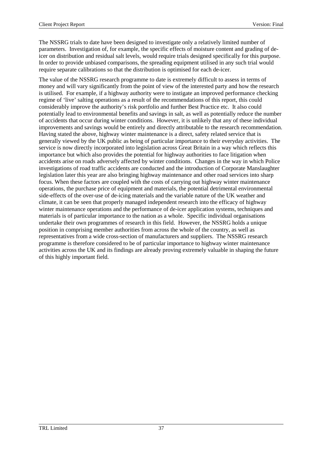The NSSRG trials to date have been designed to investigate only a relatively limited number of parameters. Investigation of, for example, the specific effects of moisture content and grading of deicer on distribution and residual salt levels, would require trials designed specifically for this purpose. In order to provide unbiased comparisons, the spreading equipment utilised in any such trial would require separate calibrations so that the distribution is optimised for each de-icer.

The value of the NSSRG research programme to date is extremely difficult to assess in terms of money and will vary significantly from the point of view of the interested party and how the research is utilised. For example, if a highway authority were to instigate an improved performance checking regime of 'live' salting operations as a result of the recommendations of this report, this could considerably improve the authority's risk portfolio and further Best Practice etc. It also could potentially lead to environmental benefits and savings in salt, as well as potentially reduce the number of accidents that occur during winter conditions. However, it is unlikely that any of these individual improvements and savings would be entirely and directly attributable to the research recommendation. Having stated the above, highway winter maintenance is a direct, safety related service that is generally viewed by the UK public as being of particular importance to their everyday activities. The service is now directly incorporated into legislation across Great Britain in a way which reflects this importance but which also provides the potential for highway authorities to face litigation when accidents arise on roads adversely affected by winter conditions. Changes in the way in which Police investigations of road traffic accidents are conducted and the introduction of Corporate Manslaughter legislation later this year are also bringing highway maintenance and other road services into sharp focus. When these factors are coupled with the costs of carrying out highway winter maintenance operations, the purchase price of equipment and materials, the potential detrimental environmental side-effects of the over-use of de-icing materials and the variable nature of the UK weather and climate, it can be seen that properly managed independent research into the efficacy of highway winter maintenance operations and the performance of de-icer application systems, techniques and materials is of particular importance to the nation as a whole. Specific individual organisations undertake their own programmes of research in this field. However, the NSSRG holds a unique position in comprising member authorities from across the whole of the country, as well as representatives from a wide cross-section of manufacturers and suppliers. The NSSRG research programme is therefore considered to be of particular importance to highway winter maintenance activities across the UK and its findings are already proving extremely valuable in shaping the future of this highly important field.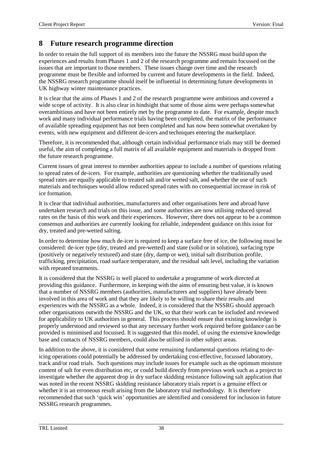## **8 Future research programme direction**

In order to retain the full support of its members into the future the NSSRG must build upon the experiences and results from Phases 1 and 2 of the research programme and remain focussed on the issues that are important to those members. These issues change over time and the research programme must be flexible and informed by current and future developments in the field. Indeed, the NSSRG research programme should itself be influential in determining future developments in UK highway winter maintenance practices.

It is clear that the aims of Phases 1 and 2 of the research programme were ambitious and covered a wide scope of activity. It is also clear in hindsight that some of those aims were perhaps somewhat overambitious and have not been entirely met by the programme to date. For example, despite much work and many individual performance trials having been completed, the matrix of the performance of available spreading equipment has not been completed and has now been somewhat overtaken by events, with new equipment and different de-icers and techniques entering the marketplace.

Therefore, it is recommended that, although certain individual performance trials may still be deemed useful, the aim of completing a full matrix of all available equipment and materials is dropped from the future research programme.

Current issues of great interest to member authorities appear to include a number of questions relating to spread rates of de-icers. For example, authorities are questioning whether the traditionally used spread rates are equally applicable to treated salt and/or wetted salt, and whether the use of such materials and techniques would allow reduced spread rates with no consequential increase in risk of ice formation.

It is clear that individual authorities, manufacturers and other organisations here and abroad have undertaken research and trials on this issue, and some authorities are now utilising reduced spread rates on the basis of this work and their experiences. However, there does not appear to be a common consensus and authorities are currently looking for reliable, independent guidance on this issue for dry, treated and pre-wetted salting.

In order to determine how much de-icer is required to keep a surface free of ice, the following must be considered: de-icer type (dry, treated and pre-wetted) and state (solid or in solution), surfacing type (positively or negatively textured) and state (dry, damp or wet), initial salt distribution profile, trafficking, precipitation, road surface temperature, and the residual salt level, including the variation with repeated treatments.

It is considered that the NSSRG is well placed to undertake a programme of work directed at providing this guidance. Furthermore, in keeping with the aims of ensuring best value, it is known that a number of NSSRG members (authorities, manufacturers and suppliers) have already been involved in this area of work and that they are likely to be willing to share their results and experiences with the NSSRG as a whole. Indeed, it is considered that the NSSRG should approach other organisations outwith the NSSRG and the UK, so that their work can be included and reviewed for applicability to UK authorities in general. This process should ensure that existing knowledge is properly understood and reviewed so that any necessary further work required before guidance can be provided is minimised and focussed. It is suggested that this model, of using the extensive knowledge base and contacts of NSSRG members, could also be utilised in other subject areas.

In addition to the above, it is considered that some remaining fundamental questions relating to deicing operations could potentially be addressed by undertaking cost-effective, focussed laboratory, track and/or road trials. Such questions may include issues for example such as the optimum moisture content of salt for even distribution etc, or could build directly from previous work such as a project to investigate whether the apparent drop in dry surface skidding resistance following salt application that was noted in the recent NSSRG skidding resistance laboratory trials report is a genuine effect or whether it is an erroneous result arising from the laboratory trial methodology. It is therefore recommended that such 'quick win' opportunities are identified and considered for inclusion in future NSSRG research programmes.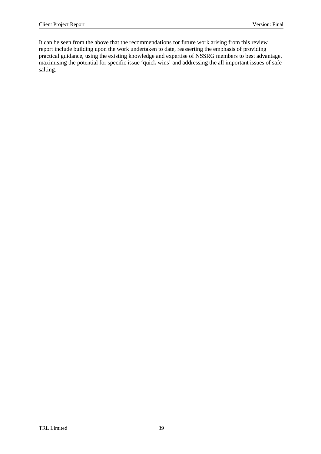It can be seen from the above that the recommendations for future work arising from this review report include building upon the work undertaken to date, reasserting the emphasis of providing practical guidance, using the existing knowledge and expertise of NSSRG members to best advantage, maximising the potential for specific issue 'quick wins' and addressing the all important issues of safe salting.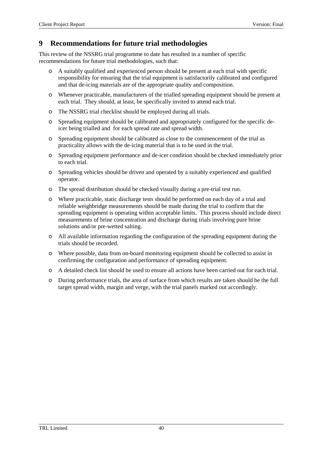## **9 Recommendations for future trial methodologies**

This review of the NSSRG trial programme to date has resulted in a number of specific recommendations for future trial methodologies, such that:

- o A suitably qualified and experienced person should be present at each trial with specific responsibility for ensuring that the trial equipment is satisfactorily calibrated and configured and that de-icing materials are of the appropriate quality and composition.
- o Whenever practicable, manufacturers of the trialled spreading equipment should be present at each trial. They should, at least, be specifically invited to attend each trial.
- o The NSSRG trial checklist should be employed during all trials.
- o Spreading equipment should be calibrated and appropriately configured for the specific deicer being trialled and for each spread rate and spread width.
- o Spreading equipment should be calibrated as close to the commencement of the trial as practicality allows with the de-icing material that is to be used in the trial.
- o Spreading equipment performance and de-icer condition should be checked immediately prior to each trial.
- o Spreading vehicles should be driven and operated by a suitably experienced and qualified operator.
- o The spread distribution should be checked visually during a pre-trial test run.
- o Where practicable, static discharge tests should be performed on each day of a trial and reliable weighbridge measurements should be made during the trial to confirm that the spreading equipment is operating within acceptable limits. This process should include direct measurements of brine concentration and discharge during trials involving pure brine solutions and/or pre-wetted salting.
- o All available information regarding the configuration of the spreading equipment during the trials should be recorded.
- o Where possible, data from on-board monitoring equipment should be collected to assist in confirming the configuration and performance of spreading equipment.
- o A detailed check list should be used to ensure all actions have been carried out for each trial.
- o During performance trials, the area of surface from which results are taken should be the full target spread width, margin and verge, with the trial panels marked out accordingly.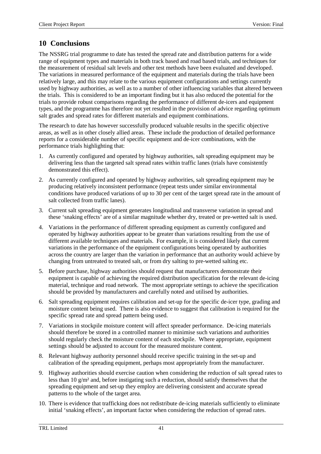## **10 Conclusions**

The NSSRG trial programme to date has tested the spread rate and distribution patterns for a wide range of equipment types and materials in both track based and road based trials, and techniques for the measurement of residual salt levels and other test methods have been evaluated and developed. The variations in measured performance of the equipment and materials during the trials have been relatively large, and this may relate to the various equipment configurations and settings currently used by highway authorities, as well as to a number of other influencing variables that altered between the trials. This is considered to be an important finding but it has also reduced the potential for the trials to provide robust comparisons regarding the performance of different de-icers and equipment types, and the programme has therefore not yet resulted in the provision of advice regarding optimum salt grades and spread rates for different materials and equipment combinations.

The research to date has however successfully produced valuable results in the specific objective areas, as well as in other closely allied areas. These include the production of detailed performance reports for a considerable number of specific equipment and de-icer combinations, with the performance trials highlighting that:

- 1. As currently configured and operated by highway authorities, salt spreading equipment may be delivering less than the targeted salt spread rates within traffic lanes (trials have consistently demonstrated this effect).
- 2. As currently configured and operated by highway authorities, salt spreading equipment may be producing relatively inconsistent performance (repeat tests under similar environmental conditions have produced variations of up to 30 per cent of the target spread rate in the amount of salt collected from traffic lanes).
- 3. Current salt spreading equipment generates longitudinal and transverse variation in spread and these 'snaking effects' are of a similar magnitude whether dry, treated or pre-wetted salt is used.
- 4. Variations in the performance of different spreading equipment as currently configured and operated by highway authorities appear to be greater than variations resulting from the use of different available techniques and materials. For example, it is considered likely that current variations in the performance of the equipment configurations being operated by authorities across the country are larger than the variation in performance that an authority would achieve by changing from untreated to treated salt, or from dry salting to pre-wetted salting etc.
- 5. Before purchase, highway authorities should request that manufacturers demonstrate their equipment is capable of achieving the required distribution specification for the relevant de-icing material, technique and road network. The most appropriate settings to achieve the specification should be provided by manufacturers and carefully noted and utilised by authorities.
- 6. Salt spreading equipment requires calibration and set-up for the specific de-icer type, grading and moisture content being used. There is also evidence to suggest that calibration is required for the specific spread rate and spread pattern being used.
- 7. Variations in stockpile moisture content will affect spreader performance. De-icing materials should therefore be stored in a controlled manner to minimise such variations and authorities should regularly check the moisture content of each stockpile. Where appropriate, equipment settings should be adjusted to account for the measured moisture content.
- 8. Relevant highway authority personnel should receive specific training in the set-up and calibration of the spreading equipment, perhaps most appropriately from the manufacturer.
- 9. Highway authorities should exercise caution when considering the reduction of salt spread rates to less than 10  $g/m^2$  and, before instigating such a reduction, should satisfy themselves that the spreading equipment and set-up they employ are delivering consistent and accurate spread patterns to the whole of the target area.
- 10. There is evidence that trafficking does not redistribute de-icing materials sufficiently to eliminate initial 'snaking effects', an important factor when considering the reduction of spread rates.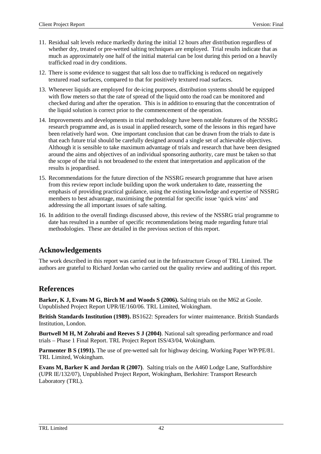- 11. Residual salt levels reduce markedly during the initial 12 hours after distribution regardless of whether dry, treated or pre-wetted salting techniques are employed. Trial results indicate that as much as approximately one half of the initial material can be lost during this period on a heavily trafficked road in dry conditions.
- 12. There is some evidence to suggest that salt loss due to trafficking is reduced on negatively textured road surfaces, compared to that for positively textured road surfaces.
- 13. Whenever liquids are employed for de-icing purposes, distribution systems should be equipped with flow meters so that the rate of spread of the liquid onto the road can be monitored and checked during and after the operation. This is in addition to ensuring that the concentration of the liquid solution is correct prior to the commencement of the operation.
- 14. Improvements and developments in trial methodology have been notable features of the NSSRG research programme and, as is usual in applied research, some of the lessons in this regard have been relatively hard won. One important conclusion that can be drawn from the trials to date is that each future trial should be carefully designed around a single set of achievable objectives. Although it is sensible to take maximum advantage of trials and research that have been designed around the aims and objectives of an individual sponsoring authority, care must be taken so that the scope of the trial is not broadened to the extent that interpretation and application of the results is jeopardised.
- 15. Recommendations for the future direction of the NSSRG research programme that have arisen from this review report include building upon the work undertaken to date, reasserting the emphasis of providing practical guidance, using the existing knowledge and expertise of NSSRG members to best advantage, maximising the potential for specific issue 'quick wins' and addressing the all important issues of safe salting.
- 16. In addition to the overall findings discussed above, this review of the NSSRG trial programme to date has resulted in a number of specific recommendations being made regarding future trial methodologies. These are detailed in the previous section of this report.

## **Acknowledgements**

The work described in this report was carried out in the Infrastructure Group of TRL Limited. The authors are grateful to Richard Jordan who carried out the quality review and auditing of this report.

## **References**

**Barker, K J, Evans M G, Birch M and Woods S (2006).** Salting trials on the M62 at Goole. Unpublished Project Report UPR/IE/160/06. TRL Limited, Wokingham.

**British Standards Institution (1989).** BS1622: Spreaders for winter maintenance. British Standards Institution, London.

**Burtwell M H, M Zohrabi and Reeves S J (2004)**. National salt spreading performance and road trials – Phase 1 Final Report. TRL Project Report ISS/43/04, Wokingham.

**Parmenter B S (1991).** The use of pre-wetted salt for highway deicing. Working Paper WP/PE/81. TRL Limited, Wokingham.

**Evans M, Barker K and Jordan R (2007)**. Salting trials on the A460 Lodge Lane, Staffordshire (UPR IE/132/07), Unpublished Project Report, Wokingham, Berkshire: Transport Research Laboratory (TRL).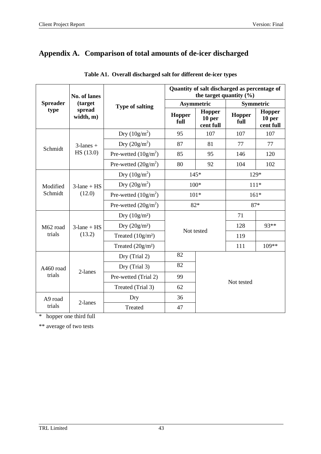# **Appendix A. Comparison of total amounts of de-icer discharged**

|                 | <b>No. of lanes</b>      |                        | Quantity of salt discharged as percentage of<br>the target quantity $(\% )$                                                                                                                                                                                                                                                                  |                               |           |        |  |  |
|-----------------|--------------------------|------------------------|----------------------------------------------------------------------------------------------------------------------------------------------------------------------------------------------------------------------------------------------------------------------------------------------------------------------------------------------|-------------------------------|-----------|--------|--|--|
| <b>Spreader</b> | (target                  | <b>Type of salting</b> |                                                                                                                                                                                                                                                                                                                                              |                               | Symmetric |        |  |  |
| type            | spread<br>width, m)      |                        | <b>Asymmetric</b><br>Hopper<br>Hopper<br>Hopper<br>10 <sub>per</sub><br>full<br>full<br>cent full<br>95<br>107<br>107<br>87<br>81<br>77<br>85<br>146<br>95<br>80<br>92<br>104<br>$145*$<br>$129*$<br>$100*$<br>$101*$<br>$161*$<br>$82*$<br>$87*$<br>71<br>128<br>Not tested<br>119<br>111<br>82<br>82<br>99<br>Not tested<br>62<br>36<br>47 | Hopper<br>10 per<br>cent full |           |        |  |  |
|                 |                          | Dry $(10g/m^2)$        |                                                                                                                                                                                                                                                                                                                                              |                               |           | 107    |  |  |
| Schmidt         | $3$ -lanes +             | Dry $(20g/m^2)$        |                                                                                                                                                                                                                                                                                                                                              |                               |           | 77     |  |  |
|                 | HS (13.0)                | Pre-wetted $(10g/m^2)$ |                                                                                                                                                                                                                                                                                                                                              |                               |           | 120    |  |  |
|                 |                          | Pre-wetted $(20g/m^2)$ |                                                                                                                                                                                                                                                                                                                                              |                               |           | 102    |  |  |
|                 |                          | Dry $(10g/m^2)$        |                                                                                                                                                                                                                                                                                                                                              |                               |           |        |  |  |
| Modified        | $3$ -lane + HS<br>(12.0) | Dry $(20g/m^2)$        |                                                                                                                                                                                                                                                                                                                                              |                               |           | $111*$ |  |  |
| Schmidt         |                          | Pre-wetted $(10g/m^2)$ |                                                                                                                                                                                                                                                                                                                                              |                               |           |        |  |  |
|                 |                          | Pre-wetted $(20g/m^2)$ |                                                                                                                                                                                                                                                                                                                                              |                               |           |        |  |  |
|                 |                          | Dry $(10g/m^2)$        |                                                                                                                                                                                                                                                                                                                                              |                               |           |        |  |  |
| M62 road        | $3$ -lane + HS           | Dry $(20g/m^2)$        |                                                                                                                                                                                                                                                                                                                                              |                               |           | 93**   |  |  |
| trials          | (13.2)                   | Treated $(10g/m2)$     |                                                                                                                                                                                                                                                                                                                                              |                               |           |        |  |  |
|                 |                          | Treated $(20g/m2)$     |                                                                                                                                                                                                                                                                                                                                              |                               |           | 109**  |  |  |
|                 |                          | Dry (Trial 2)          |                                                                                                                                                                                                                                                                                                                                              |                               |           |        |  |  |
| A460 road       |                          | Dry (Trial 3)          |                                                                                                                                                                                                                                                                                                                                              |                               |           |        |  |  |
| trials          | 2-lanes                  | Pre-wetted (Trial 2)   |                                                                                                                                                                                                                                                                                                                                              |                               |           |        |  |  |
|                 |                          | Treated (Trial 3)      |                                                                                                                                                                                                                                                                                                                                              |                               |           |        |  |  |
| A9 road         |                          | Dry                    |                                                                                                                                                                                                                                                                                                                                              |                               |           |        |  |  |
| trials          | 2-lanes                  | Treated                |                                                                                                                                                                                                                                                                                                                                              |                               |           |        |  |  |

|  | Table A1. Overall discharged salt for different de-icer types |  |  |
|--|---------------------------------------------------------------|--|--|
|  |                                                               |  |  |

\* hopper one third full

\*\* average of two tests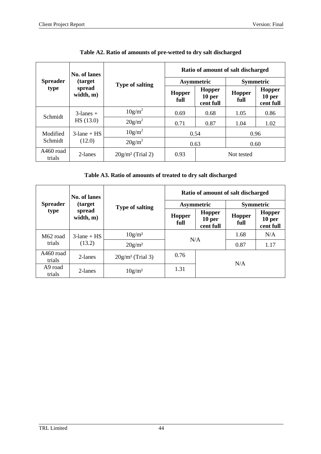|                     | No. of lanes        |                        | Ratio of amount of salt discharged |                                                 |                |                                          |  |  |  |
|---------------------|---------------------|------------------------|------------------------------------|-------------------------------------------------|----------------|------------------------------------------|--|--|--|
| <b>Spreader</b>     | <i>(target)</i>     | <b>Type of salting</b> |                                    | Asymmetric                                      |                | <b>Symmetric</b>                         |  |  |  |
| type                | spread<br>width, m) |                        | <b>Hopper</b><br>full              | <b>Hopper</b><br>10 <sub>per</sub><br>cent full | Hopper<br>full | Hopper<br>10 <sub>per</sub><br>cent full |  |  |  |
|                     | $3$ -lanes +        | $10g/m^2$              | 0.69                               | 0.68                                            | 1.05           | 0.86                                     |  |  |  |
| Schmidt             | HS(13.0)            | $20g/m^2$              | 0.71                               | 0.87                                            | 1.04           | 1.02                                     |  |  |  |
| Modified            | $3$ -lane + HS      | $10g/m^2$              | 0.54                               |                                                 | 0.96           |                                          |  |  |  |
| Schmidt             | (12.0)              | $20g/m^2$              | 0.63                               |                                                 | 0.60           |                                          |  |  |  |
| A460 road<br>trials | 2-lanes             | $20g/m^2$ (Trial 2)    | 0.93                               |                                                 | Not tested     |                                          |  |  |  |

### **Table A2. Ratio of amounts of pre-wetted to dry salt discharged**

**Table A3. Ratio of amounts of treated to dry salt discharged**

|                      | No. of lanes        |                        | Ratio of amount of salt discharged |                                      |                  |                                                 |  |  |
|----------------------|---------------------|------------------------|------------------------------------|--------------------------------------|------------------|-------------------------------------------------|--|--|
| <b>Spreader</b>      | (target)            | <b>Type of salting</b> |                                    | <b>Asymmetric</b>                    | <b>Symmetric</b> |                                                 |  |  |
| type                 | spread<br>width, m) |                        | <b>Hopper</b><br>full              | <b>Hopper</b><br>10 per<br>cent full | Hopper<br>full   | <b>Hopper</b><br>10 <sub>per</sub><br>cent full |  |  |
| M <sub>62</sub> road | $3$ -lane + HS      | 10g/m <sup>2</sup>     |                                    | N/A                                  | 1.68             | N/A                                             |  |  |
| trials               | (13.2)              | $20g/m^2$              |                                    |                                      | 0.87             | 1.17                                            |  |  |
| A460 road<br>trials  | 2-lanes             | $20g/m^2$ (Trial 3)    | 0.76                               |                                      |                  |                                                 |  |  |
| A9 road<br>trials    | 2-lanes             | $10g/m^2$              | 1.31                               | N/A                                  |                  |                                                 |  |  |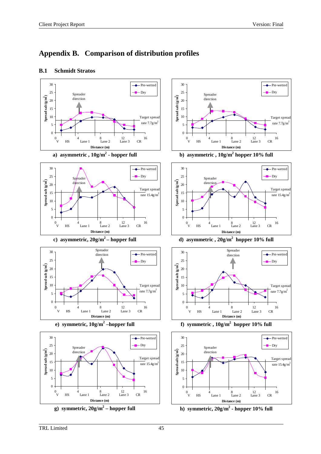## **Appendix B. Comparison of distribution profiles**

## **B.1 Schmidt Stratos**

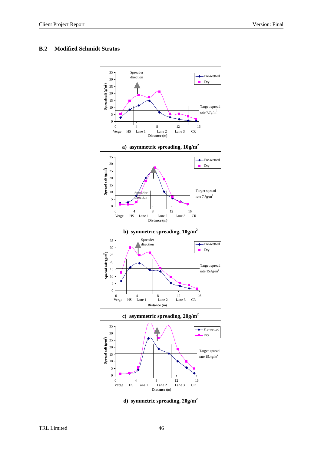### **B.2 Modified Schmidt Stratos**





**b) symmetric spreading, 10g/m2** Spreader 35 - Pre-wetted direction  $\ddot{\bullet}$ 30 Dry 25 **) Spread** salt  $(g/m^2)$ 20 Target sprea 15 rate  $15.4$ g/m<sup>2</sup> 10 5 0 0  $4$  8  $12$  16<br>Verge HS Lane 1 Lane 2 Lane 3 CR  $\frac{12}{\text{Lane 3}}$ 



**Distance (m) d) symmetric spreading, 20g/m2**

Verge HS Lane 1 Lane 2 Lane 3 CR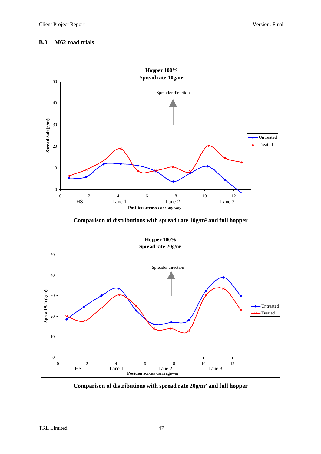### **B.3 M62 road trials**



**Comparison of distributions with spread rate 10g/m² and full hopper**



**Comparison of distributions with spread rate 20g/m² and full hopper**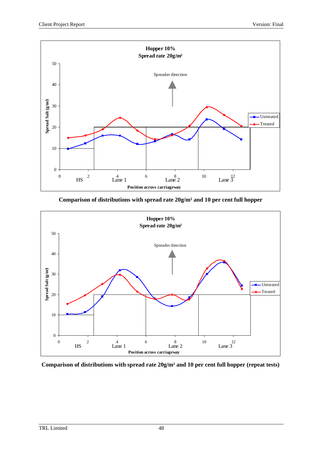

**Comparison of distributions with spread rate 20g/m² and 10 per cent full hopper**



**Comparison of distributions with spread rate 20g/m² and 10 per cent full hopper (repeat tests)**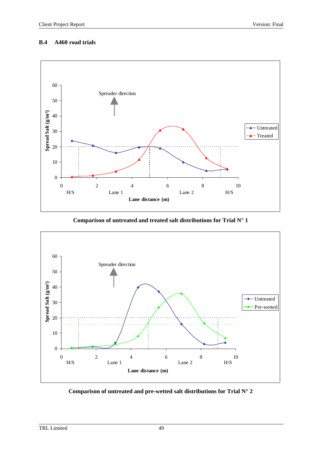#### **B.4 A460 road trials**



**Comparison of untreated and treated salt distributions for Trial N° 1**



**Comparison of untreated and pre-wetted salt distributions for Trial N° 2**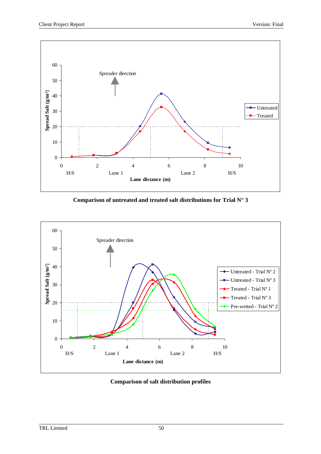

**Comparison of untreated and treated salt distributions for Trial N° 3**



**Comparison of salt distribution profiles**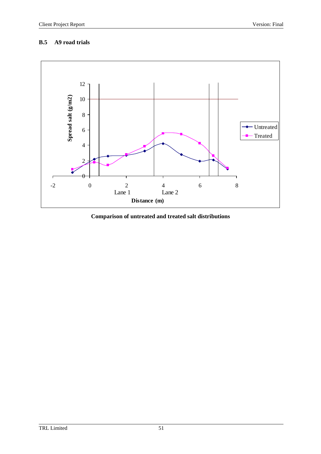## **B.5 A9 road trials**



## **Comparison of untreated and treated salt distributions**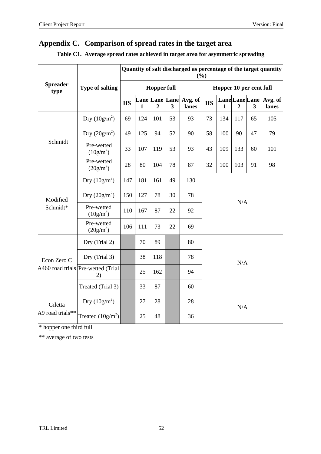## **Appendix C. Comparison of spread rates in the target area**

|                         |                                          | Quantity of salt discharged as percentage of the target quantity<br>(%) |     |                |                            |                  |           |                         |                                  |    |                  |
|-------------------------|------------------------------------------|-------------------------------------------------------------------------|-----|----------------|----------------------------|------------------|-----------|-------------------------|----------------------------------|----|------------------|
| <b>Spreader</b><br>type | <b>Type of salting</b>                   | <b>Hopper full</b>                                                      |     |                |                            |                  |           | Hopper 10 per cent full |                                  |    |                  |
|                         |                                          | <b>HS</b>                                                               | 1   | $\overline{2}$ | <b>Lane Lane Lane</b><br>3 | Avg. of<br>lanes | <b>HS</b> | $\mathbf{1}$            | Lane Lane Lane<br>$\overline{2}$ | 3  | Avg. of<br>lanes |
|                         | Dry $(10g/m^2)$                          | 69                                                                      | 124 | 101            | 53                         | 93               | 73        | 134                     | 117                              | 65 | 105              |
| Schmidt                 | Dry $(20g/m^2)$                          | 49                                                                      | 125 | 94             | 52                         | 90               | 58        | 100                     | 90                               | 47 | 79               |
|                         | Pre-wetted<br>$(10g/m^2)$                | 33                                                                      | 107 | 119            | 53                         | 93               | 43        | 109                     | 133                              | 60 | 101              |
|                         | Pre-wetted<br>$(20g/m^2)$                | 28                                                                      | 80  | 104            | 78                         | 87               | 32        | 100                     | 103                              | 91 | 98               |
|                         | Dry $(10g/m^2)$                          | 147                                                                     | 181 | 161            | 49                         | 130              |           |                         |                                  |    |                  |
| Modified                | Dry $(20g/m^2)$                          | 150                                                                     | 127 | 78             | 30                         | 78               | N/A       |                         |                                  |    |                  |
| Schmidt*                | Pre-wetted<br>$(10g/m^2)$                | 110                                                                     | 167 | 87             | 22                         | 92               |           |                         |                                  |    |                  |
|                         | Pre-wetted<br>$(20g/m^2)$                | 106                                                                     | 111 | 73             | 22                         | 69               |           |                         |                                  |    |                  |
|                         | Dry (Trial 2)                            |                                                                         | 70  | 89             |                            | 80               |           |                         |                                  |    |                  |
| Econ Zero C             | Dry (Trial 3)                            |                                                                         | 38  | 118            |                            | 78               |           |                         | N/A                              |    |                  |
|                         | A460 road trials Pre-wetted (Trial<br>2) |                                                                         | 25  | 162            |                            | 94               |           |                         |                                  |    |                  |
|                         | Treated (Trial 3)                        |                                                                         | 33  | 87             |                            | 60               |           |                         |                                  |    |                  |
| Giletta                 | Dry $(10g/m^2)$                          |                                                                         | 27  | 28             |                            | 28               |           |                         | N/A                              |    |                  |
| A9 road trials**        | Treated $(10g/m^2)$                      |                                                                         | 25  | 48             |                            | 36               |           |                         |                                  |    |                  |

## **Table C1. Average spread rates achieved in target area for asymmetric spreading**

\* hopper one third full

\*\* average of two tests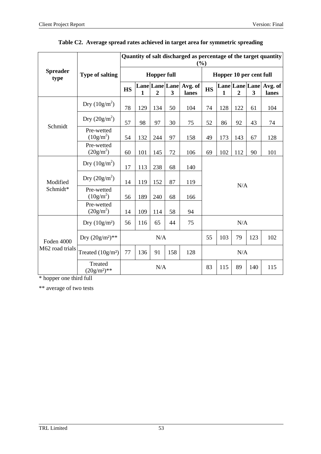|                         |                           | Quantity of salt discharged as percentage of the target quantity<br>(%) |              |                |     |                                 |           |              |                |     |                                 |
|-------------------------|---------------------------|-------------------------------------------------------------------------|--------------|----------------|-----|---------------------------------|-----------|--------------|----------------|-----|---------------------------------|
| <b>Spreader</b><br>type | <b>Type of salting</b>    | <b>Hopper full</b>                                                      |              |                |     | Hopper 10 per cent full         |           |              |                |     |                                 |
|                         |                           | <b>HS</b>                                                               | $\mathbf{1}$ | $\overline{2}$ | 3   | Lane Lane Lane Avg. of<br>lanes | <b>HS</b> | $\mathbf{1}$ | $\overline{2}$ | 3   | Lane Lane Lane Avg. of<br>lanes |
|                         | Dry $(10g/m^2)$           | 78                                                                      | 129          | 134            | 50  | 104                             | 74        | 128          | 122            | 61  | 104                             |
| Schmidt                 | Dry $(20g/m^2)$           | 57                                                                      | 98           | 97             | 30  | 75                              | 52        | 86           | 92             | 43  | 74                              |
|                         | Pre-wetted<br>$(10g/m^2)$ | 54                                                                      | 132          | 244            | 97  | 158                             | 49        | 173          | 143            | 67  | 128                             |
|                         | Pre-wetted<br>$(20g/m^2)$ | 60                                                                      | 101          | 145            | 72  | 106                             | 69        | 102          | 112            | 90  | 101                             |
|                         | Dry $(10g/m^2)$           | 17                                                                      | 113          | 238            | 68  | 140                             |           |              |                |     |                                 |
| Modified                | Dry $(20g/m^2)$           | 14                                                                      | 119          | 152            | 87  | 119                             | N/A       |              |                |     |                                 |
| Schmidt*                | Pre-wetted<br>$(10g/m^2)$ | 56                                                                      | 189          | 240            | 68  | 166                             |           |              |                |     |                                 |
|                         | Pre-wetted<br>$(20g/m^2)$ | 14                                                                      | 109          | 114            | 58  | 94                              |           |              |                |     |                                 |
|                         | Dry $(10g/m^2)$           | 56                                                                      | 116          | 65             | 44  | 75                              |           |              | N/A            |     |                                 |
| Foden 4000              | Dry $(20g/m^2)**$         |                                                                         |              | N/A            |     |                                 | 55        | 103          | 79             | 123 | 102                             |
| M62 road trials         | Treated $(10g/m2)$        | 77                                                                      | 136          | 91             | 158 | 128                             | N/A       |              |                |     |                                 |
|                         | Treated<br>$(20g/m^2)**$  |                                                                         |              | N/A            |     |                                 | 83        | 115          | 89             | 140 | 115                             |

## **Table C2. Average spread rates achieved in target area for symmetric spreading**

\* hopper one third full

\*\* average of two tests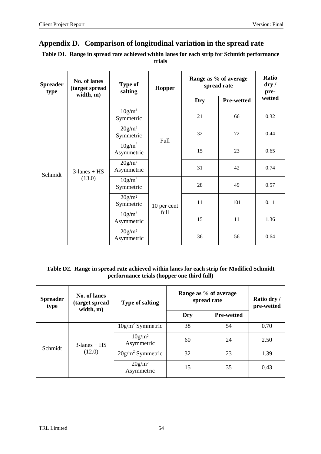## **Appendix D. Comparison of longitudinal variation in the spread rate**

| Table D1. Range in spread rate achieved within lanes for each strip for Schmidt performance |
|---------------------------------------------------------------------------------------------|
| trials                                                                                      |

| <b>Spreader</b><br>type | No. of lanes<br>(target spread<br>width, m) | <b>Type of</b><br>salting        | <b>Hopper</b> | Range as % of average<br>spread rate | Ratio<br>$\bf{dry}$ /<br>pre- |        |
|-------------------------|---------------------------------------------|----------------------------------|---------------|--------------------------------------|-------------------------------|--------|
|                         |                                             |                                  |               | Dry                                  | <b>Pre-wetted</b>             | wetted |
|                         |                                             | 10g/m <sup>2</sup><br>Symmetric  |               | 21                                   | 66                            | 0.32   |
|                         | $3$ -lanes + HS<br>(13.0)                   | 20g/m <sup>2</sup><br>Symmetric  | Full          | 32                                   | 72                            | 0.44   |
|                         |                                             | $10g/m^2$<br>Asymmetric          |               | 15                                   | 23                            | 0.65   |
| Schmidt                 |                                             | 20g/m <sup>2</sup><br>Asymmetric |               | 31                                   | 42                            | 0.74   |
|                         |                                             | $10g/m^2$<br>Symmetric           |               | 28                                   | 49                            | 0.57   |
|                         |                                             | 20g/m <sup>2</sup><br>Symmetric  | 10 per cent   | 11                                   | 101                           | 0.11   |
|                         |                                             | 10g/m <sup>2</sup><br>Asymmetric | full          | 15                                   | 11                            | 1.36   |
|                         |                                             | 20g/m <sup>2</sup><br>Asymmetric |               | 36                                   | 56                            | 0.64   |

### **Table D2. Range in spread rate achieved within lanes for each strip for Modified Schmidt performance trials (hopper one third full)**

| <b>Spreader</b><br>type | No. of lanes<br>(target spread<br>width, m) | <b>Type of salting</b>           | Range as % of average<br>spread rate | Ratio dry /<br>pre-wetted |      |
|-------------------------|---------------------------------------------|----------------------------------|--------------------------------------|---------------------------|------|
|                         |                                             |                                  | Dry                                  | <b>Pre-wetted</b>         |      |
| Schmidt                 | $3$ -lanes + HS<br>(12.0)                   | $10g/m^2$ Symmetric              | 38                                   | 54                        | 0.70 |
|                         |                                             | 10g/m <sup>2</sup><br>Asymmetric | 60                                   | 24                        | 2.50 |
|                         |                                             | $20g/m^2$ Symmetric              | 32                                   | 23                        | 1.39 |
|                         |                                             | $20g/m^2$<br>Asymmetric          | 15                                   | 35                        | 0.43 |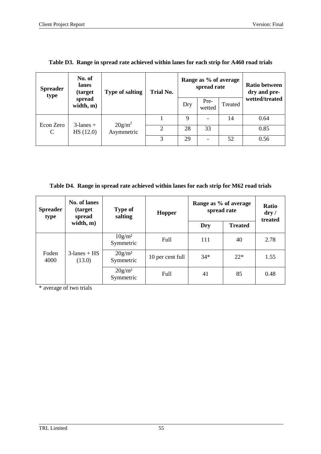| <b>Spreader</b><br>type | No. of<br>lanes<br>(target) | <b>Type of salting</b>  | <b>Trial No.</b>            |     | Range as % of average<br>spread rate | <b>Ratio between</b><br>dry and pre- |                |  |
|-------------------------|-----------------------------|-------------------------|-----------------------------|-----|--------------------------------------|--------------------------------------|----------------|--|
|                         | spread<br>width, m)         |                         |                             | Dry | Pre-<br>wetted                       | Treated                              | wetted/treated |  |
| Econ Zero<br>C          | $3$ -lanes +<br>HS(12.0)    | $20g/m^2$<br>Asymmetric |                             | 9   |                                      | 14                                   | 0.64           |  |
|                         |                             |                         | $\mathcal{D}_{\mathcal{C}}$ | 28  | 33                                   |                                      | 0.85           |  |
|                         |                             |                         | 3                           | 29  |                                      | 52                                   | 0.56           |  |

**Table D3. Range in spread rate achieved within lanes for each strip for A460 road trials**

**Table D4. Range in spread rate achieved within lanes for each strip for M62 road trials**

| <b>Spreader</b><br>type | No. of lanes<br><i>(target)</i><br>spread | <b>Type of</b><br>salting | <b>Hopper</b>    | Range as % of average<br>spread rate | <b>Ratio</b><br>$\bf{dry}$ /<br>treated |      |  |
|-------------------------|-------------------------------------------|---------------------------|------------------|--------------------------------------|-----------------------------------------|------|--|
|                         | width, m)                                 |                           |                  | Dry                                  | <b>Treated</b>                          |      |  |
| Foden<br>4000           |                                           | $10g/m^2$<br>Symmetric    | Full             | 111                                  | 40                                      | 2.78 |  |
|                         | $3$ -lanes + HS<br>(13.0)                 | $20g/m^2$<br>Symmetric    | 10 per cent full | $34*$                                | $22*$                                   | 1.55 |  |
|                         |                                           | $20g/m^2$<br>Symmetric    | Full             | 41                                   | 85                                      | 0.48 |  |

\* average of two trials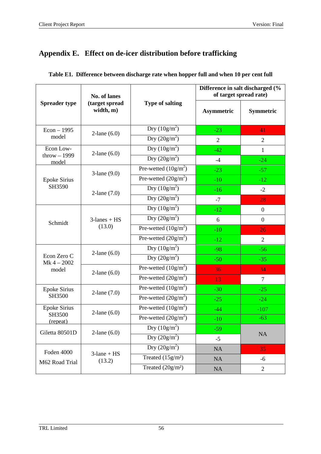# **Appendix E. Effect on de-icer distribution before trafficking**

|                               | No. of lanes                |                               |                   | Difference in salt discharged (%<br>of target spread rate) |
|-------------------------------|-----------------------------|-------------------------------|-------------------|------------------------------------------------------------|
| <b>Spreader type</b>          | (target spread<br>width, m) | <b>Type of salting</b>        | <b>Asymmetric</b> | <b>Symmetric</b>                                           |
| $Econ - 1995$                 | $2$ -lane $(6.0)$           | Dry $(10g/m^2)$               | $-23$             | 41                                                         |
| model                         |                             | Dry $(20g/m^2)$               | $\overline{2}$    | $\overline{2}$                                             |
| Econ Low-                     | $2$ -lane $(6.0)$           | Dry $(10g/m^2)$               | $-42$             | $\mathbf{1}$                                               |
| $throw - 1999$<br>model       |                             | Dry $(20g/m^2)$               | $-4$              | $-24$                                                      |
|                               | $3$ -lane $(9.0)$           | Pre-wetted $(10g/m^2)$        | $-23$             | $-57$                                                      |
| <b>Epoke Sirius</b><br>SH3590 |                             | Pre-wetted $(20g/m^2)$        | $-10$             | $-12$                                                      |
|                               | 2-lane $(7.0)$              | Dry $(10g/m^2)$               | $-16$             | $-2$                                                       |
|                               |                             | Dry $(20g/m^2)$               | $-7$              | 28                                                         |
|                               |                             | Dry $(10g/m^2)$               | $-12$             | $\boldsymbol{0}$                                           |
| Schmidt                       | $3$ -lanes + $HS$<br>(13.0) | Dry $(20g/m^2)$               | 6                 | $\overline{0}$                                             |
|                               |                             | Pre-wetted $(10g/m^2)$        | $-10$             | 26                                                         |
|                               |                             | Pre-wetted $(20g/m^2)$        | $-12$             | $\overline{2}$                                             |
|                               | $2$ -lane $(6.0)$           | Dry $(10g/m^2)$               | $-98$             | $-56$                                                      |
| Econ Zero C<br>$Mk 4 - 2002$  |                             | Dry $(20g/m^2)$               | $-50$             | $-35$                                                      |
| model                         | $2$ -lane $(6.0)$           | Pre-wetted $(10g/m^2)$        | 36                | 34                                                         |
|                               |                             | Pre-wetted $(20g/m^2)$        | 13                | $\tau$                                                     |
| <b>Epoke Sirius</b>           | 2-lane $(7.0)$              | Pre-wetted $(10g/m^2)$        | $-30$             | $-25$                                                      |
| SH3500                        |                             | Pre-wetted $(20g/m^2)$        | $-25$             | $-24$                                                      |
| <b>Epoke Sirius</b><br>SH3500 | $2$ -lane $(6.0)$           | Pre-wetted $(10g/m^2)$        | $-44$             | $-107$                                                     |
| (repeat)                      |                             | Pre-wetted $(20g/m^2)$        | $-10$             | $-63$                                                      |
| Giletta 80501D                | $2$ -lane $(6.0)$           | Dry $(10g/m^2)$               | $-59$             |                                                            |
|                               |                             | Dry $(20g/m^2)$               | $-5$              | NA                                                         |
| Foden 4000                    | $3$ -lane + $HS$            | Dry $(20g/m^2)$               | NA                | 35                                                         |
| M62 Road Trial                | (13.2)                      | Treated $(15g/m2)$            | NA                | $-6$                                                       |
|                               |                             | Treated (20g/m <sup>2</sup> ) | NA                | $\overline{2}$                                             |

|  |  |  |  | Table E1. Difference between discharge rate when hopper full and when 10 per cent full |
|--|--|--|--|----------------------------------------------------------------------------------------|
|  |  |  |  |                                                                                        |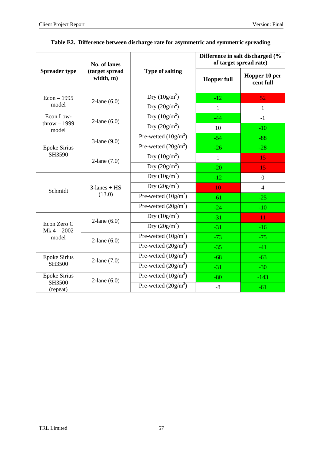|                               | No. of lanes                |                                                 | Difference in salt discharged (%<br>of target spread rate) |                            |  |  |
|-------------------------------|-----------------------------|-------------------------------------------------|------------------------------------------------------------|----------------------------|--|--|
| <b>Spreader type</b>          | (target spread<br>width, m) | <b>Type of salting</b>                          | <b>Hopper full</b>                                         | Hopper 10 per<br>cent full |  |  |
| $Econ - 1995$                 | $2$ -lane $(6.0)$           | Dry $(10g/m^2)$                                 | $-12$                                                      | $\overline{52}$            |  |  |
| model                         |                             | Dry $(20g/m^2)$                                 | $\mathbf{1}$                                               | $\mathbf{1}$               |  |  |
| Econ Low-                     | $2$ -lane $(6.0)$           | Dry $(10g/m^2)$                                 | $-44$                                                      | $-1$                       |  |  |
| $throw - 1999$<br>model       |                             | Dry $(20g/m^2)$                                 | 10                                                         | $-10$                      |  |  |
|                               | $3$ -lane $(9.0)$           | Pre-wetted $(10g/m^2)$                          | $-54$                                                      | $-88$                      |  |  |
| <b>Epoke Sirius</b><br>SH3590 |                             | Pre-wetted $(20g/m^2)$                          | $-26$                                                      | $-28$                      |  |  |
|                               | 2-lane $(7.0)$              | Dry $(10g/m^2)$                                 | $\mathbf{1}$                                               | 15                         |  |  |
|                               |                             | Dry $(20g/m^2)$                                 | $-20$                                                      | 15                         |  |  |
|                               |                             | Dry $(10g/m^2)$                                 | $-12$                                                      | $\overline{0}$             |  |  |
| Schmidt                       | $3$ -lanes + HS<br>(13.0)   | Dry $(20g/m^2)$                                 | 10                                                         | $\overline{4}$             |  |  |
|                               |                             | Pre-wetted $(10g/m^2)$                          | $-61$                                                      | $-25$                      |  |  |
|                               |                             | Pre-wetted $(20g/m^2)$                          | $-24$                                                      | $-10$                      |  |  |
|                               | $2$ -lane $(6.0)$           | Dry $(10g/m^2)$                                 | $-31$                                                      | 11                         |  |  |
| Econ Zero C<br>$Mk 4 - 2002$  |                             | Dry $(20g/m^2)$                                 | $-31$                                                      | $-16$                      |  |  |
| model                         | $2$ -lane $(6.0)$           | Pre-wetted $(10g/m^2)$                          | $-73$                                                      | $-75$                      |  |  |
|                               |                             | Pre-wetted $(20g/m^2)$                          | $-35$                                                      | $-41$                      |  |  |
| <b>Epoke Sirius</b>           | 2-lane $(7.0)$              | Pre-wetted $(10g/m^2)$                          | $-68$                                                      | $-63$                      |  |  |
| SH3500                        |                             | $\overline{\text{Pre-wetted }(20\text{g/m}^2)}$ | $-31$                                                      | $-30$                      |  |  |
| <b>Epoke Sirius</b>           | $2$ -lane $(6.0)$           | Pre-wetted $(\overline{10g/m^2})$               | $-80$                                                      | $-143$                     |  |  |
| SH3500<br>(repeat)            |                             | Pre-wetted $(20g/m^2)$                          | $-8$                                                       | $-61$                      |  |  |

## **Table E2. Difference between discharge rate for asymmetric and symmetric spreading**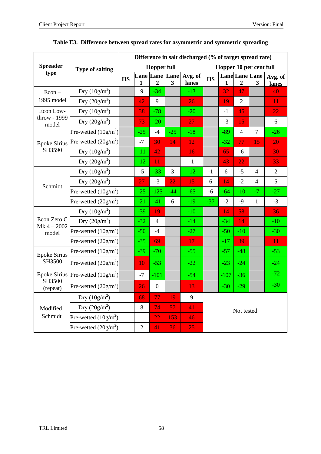|                              |                        | Difference in salt discharged (% of target spread rate) |                |                                    |       |                  |           |                         |                                  |                |                  |
|------------------------------|------------------------|---------------------------------------------------------|----------------|------------------------------------|-------|------------------|-----------|-------------------------|----------------------------------|----------------|------------------|
| <b>Spreader</b>              | <b>Type of salting</b> |                                                         |                | <b>Hopper full</b>                 |       |                  |           | Hopper 10 per cent full |                                  |                |                  |
| type                         |                        | <b>HS</b>                                               | 1              | Lane Lane Lane<br>$\boldsymbol{2}$ | 3     | Avg. of<br>lanes | <b>HS</b> | 1                       | Lane Lane Lane<br>$\overline{2}$ | 3              | Avg. of<br>lanes |
| $Econ -$                     | Dry $(10g/m^2)$        |                                                         | 9              | $-34$                              |       | $-13$            |           | 32                      | 47                               |                | 40               |
| 1995 model                   | Dry $(20g/m^2)$        |                                                         | 42             | 9                                  |       | 26               |           | 19                      | $\overline{2}$                   |                | 11               |
| Econ Low-                    | Dry $(10g/m^2)$        |                                                         | 38             | $-78$                              |       | $-20$            |           | $-1$                    | 45                               |                | 22               |
| throw - 1999<br>model        | Dry $(20g/m^2)$        |                                                         | 73             | $-20$                              |       | 27               |           | $-3$                    | 15                               |                | 6                |
|                              | Pre-wetted $(10g/m^2)$ |                                                         | $-25$          | -4                                 | $-25$ | $-18$            |           | $-89$                   | $\overline{4}$                   | 7              | $-26$            |
| <b>Epoke Sirius</b>          | Pre-wetted $(20g/m^2)$ |                                                         | $-7$           | 30                                 | 14    | 12               |           | $-32$                   | 77                               | 15             | 20               |
| SH3590                       | Dry $(10g/m^2)$        |                                                         | $-11$          | 42                                 |       | 16               |           | 65                      | $-6$                             |                | 30               |
|                              | Dry $(20g/m^2)$        |                                                         | $-12$          | 11                                 |       | $-1$             |           | 43                      | 22                               |                | 33               |
|                              | Dry $(10g/m^2)$        |                                                         | $-5$           | $-33$                              | 3     | $-12$            | $-1$      | 6                       | $-5$                             | 4              | $\overline{2}$   |
| Schmidt                      | Dry $(20g/m^2)$        |                                                         | 27             | $-3$                               | 22    | 15               | 6         | 14                      | $-2$                             | $\overline{4}$ | 5                |
|                              | Pre-wetted $(10g/m^2)$ |                                                         | $-25$          | $-125$                             | $-44$ | $-65$            | $-6$      | $-64$                   | $-10$                            | $-7$           | $-27$            |
|                              | Pre-wetted $(20g/m^2)$ |                                                         | $-21$          | $-41$                              | 6     | $-19$            | $-37$     | $-2$                    | $-9$                             | $\mathbf{1}$   | $-3$             |
|                              | Dry $(10g/m^2)$        |                                                         | $-39$          | 19                                 |       | $-10$            |           | 14                      | 58                               |                | 36               |
| Econ Zero C<br>$Mk 4 - 2002$ | Dry $(20g/m^2)$        |                                                         | $-32$          | $\overline{4}$                     |       | $-14$            |           | $-34$                   | 14                               |                | $-10$            |
| model                        | Pre-wetted $(10g/m^2)$ |                                                         | $-50$          | $-4$                               |       | $-27$            |           | $-50$                   | $-10$                            |                | $-30$            |
|                              | Pre-wetted $(20g/m^2)$ |                                                         | $-35$          | 69                                 |       | 17               |           | $-17$                   | 39                               |                | 11               |
| <b>Epoke Sirius</b>          | Pre-wetted $(10g/m^2)$ |                                                         | $-39$          | $-70$                              |       | $-55$            |           | $-57$                   | $-48$                            |                | $-53$            |
| SH3500                       | Pre-wetted $(20g/m^2)$ |                                                         | 10             | $-53$                              |       | $-22$            |           | $-23$                   | $-24$                            |                | $-24$            |
| <b>Epoke Sirius</b>          | Pre-wetted $(10g/m^2)$ |                                                         | $-7$           | $-101$                             |       | $-54$            |           | $-107$                  | $-36$                            |                | $-72$            |
| SH3500<br>(repeat)           | Pre-wetted $(20g/m^2)$ |                                                         | 26             | $\boldsymbol{0}$                   |       | 13               |           | $-30$                   | $-29$                            |                | $-30$            |
|                              | Dry $(10g/m^2)$        |                                                         | 68             | 77                                 | 19    | 9                |           |                         |                                  |                |                  |
| Modified                     | Dry $(20g/m^2)$        |                                                         | $8\,$          | 74                                 | 57    | 41               |           |                         | Not tested                       |                |                  |
| Schmidt                      | Pre-wetted $(10g/m^2)$ |                                                         |                | 22                                 | 153   | 46               |           |                         |                                  |                |                  |
|                              | Pre-wetted $(20g/m^2)$ |                                                         | $\overline{2}$ | 41                                 | 36    | 25               |           |                         |                                  |                |                  |

|  |  | Table E3. Difference between spread rates for asymmetric and symmetric spreading |  |  |  |  |
|--|--|----------------------------------------------------------------------------------|--|--|--|--|
|--|--|----------------------------------------------------------------------------------|--|--|--|--|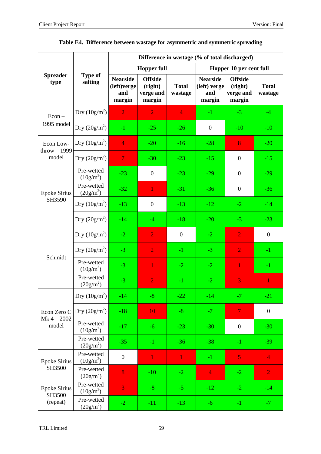|                               |                           | Difference in wastage (% of total discharged)   |                                                  |                         |                                                  |                                                  |                         |  |  |  |  |
|-------------------------------|---------------------------|-------------------------------------------------|--------------------------------------------------|-------------------------|--------------------------------------------------|--------------------------------------------------|-------------------------|--|--|--|--|
|                               |                           |                                                 | <b>Hopper full</b>                               |                         |                                                  | Hopper 10 per cent full                          |                         |  |  |  |  |
| <b>Spreader</b><br>type       | <b>Type of</b><br>salting | <b>Nearside</b><br>(left)verge<br>and<br>margin | <b>Offside</b><br>(right)<br>verge and<br>margin | <b>Total</b><br>wastage | <b>Nearside</b><br>(left) verge<br>and<br>margin | <b>Offside</b><br>(right)<br>verge and<br>margin | <b>Total</b><br>wastage |  |  |  |  |
| $Econ -$                      | Dry $(10g/m^2)$           | $\overline{2}$                                  | $\overline{2}$                                   | $\overline{4}$          | $-1$                                             | $-3$                                             | $-4$                    |  |  |  |  |
| 1995 model                    | Dry $(20g/m^2)$           | $-1$                                            | $-25$                                            | $-26$                   | $\overline{0}$                                   | $-10$                                            | $-10$                   |  |  |  |  |
| Econ Low-<br>$throw - 1999$   | Dry $(10g/m^2)$           | $\overline{4}$                                  | $-20$                                            | $-16$                   | $-28$                                            | 8                                                | $-20$                   |  |  |  |  |
| model                         | Dry $(20g/m^2)$           | $\overline{7}$                                  | $-30$                                            | $-23$                   | $-15$                                            | $\boldsymbol{0}$                                 | $-15$                   |  |  |  |  |
|                               | Pre-wetted<br>$(10g/m^2)$ | $-23$                                           | $\boldsymbol{0}$                                 | $-23$                   | $-29$                                            | $\boldsymbol{0}$                                 | $-29$                   |  |  |  |  |
| <b>Epoke Sirius</b><br>SH3590 | Pre-wetted<br>$(20g/m^2)$ | $-32$                                           | $\mathbf{1}$                                     | $-31$                   | $-36$                                            | $\boldsymbol{0}$                                 | $-36$                   |  |  |  |  |
|                               | Dry $(10g/m^2)$           | $-13$                                           | $\boldsymbol{0}$                                 | $-13$                   | $-12$                                            | $-2$                                             | $-14$                   |  |  |  |  |
|                               | Dry $(20g/m^2)$           | $-14$                                           | $-4$                                             | $-18$                   | $-20$                                            | $-3$                                             | $-23$                   |  |  |  |  |
|                               | Dry $(10g/m^2)$           | $-2$                                            | $\overline{2}$                                   | $\boldsymbol{0}$        | $-2$                                             | $\overline{2}$                                   | $\overline{0}$          |  |  |  |  |
| Schmidt                       | Dry $(20g/m^2)$           | $-3$                                            | $\overline{2}$                                   | $-1$                    | $-3$                                             | $\overline{2}$                                   | $-1$                    |  |  |  |  |
|                               | Pre-wetted<br>$(10g/m^2)$ | $-3$                                            | $\mathbf{1}$                                     | $-2$                    | $-2$                                             | $\overline{1}$                                   | $-1$                    |  |  |  |  |
|                               | Pre-wetted<br>$(20g/m^2)$ | $-3$                                            | $\overline{2}$                                   | $-1$                    | $-2$                                             | 3                                                | 1                       |  |  |  |  |
|                               | Dry $(10g/m^2)$           | $-14$                                           | -8                                               | $-22$                   | $-14$                                            | -7.                                              | $-21$                   |  |  |  |  |
| Econ Zero C<br>$Mk 4 - 2002$  | Dry $(20g/m^2)$           | $-18$                                           | 10                                               | $-8$                    | $-7$                                             | $\overline{7}$                                   | $\boldsymbol{0}$        |  |  |  |  |
| model                         | Pre-wetted<br>$(10g/m^2)$ | $-17$                                           | $-6$                                             | $-23$                   | $-30$                                            | $\boldsymbol{0}$                                 | $-30$                   |  |  |  |  |
|                               | Pre-wetted<br>$(20g/m^2)$ | $-35$                                           | $-1$                                             | $-36$                   | $-38$                                            | $-1$                                             | $-39$                   |  |  |  |  |
| <b>Epoke Sirius</b>           | Pre-wetted<br>$(10g/m^2)$ | $\boldsymbol{0}$                                | $\mathbf{1}$                                     | $\mathbf{1}$            | $-1$                                             | $\overline{5}$                                   | $\overline{4}$          |  |  |  |  |
| SH3500                        | Pre-wetted<br>$(20g/m^2)$ | 8                                               | $-10$                                            | $-2$                    | $\overline{4}$                                   | $-2$                                             | $\overline{2}$          |  |  |  |  |
| <b>Epoke Sirius</b><br>SH3500 | Pre-wetted<br>$(10g/m^2)$ | 3                                               | $-8$                                             | $-5$                    | $-12$                                            | $-2$                                             | $-14$                   |  |  |  |  |
| (repeat)                      | Pre-wetted<br>$(20g/m^2)$ | $-2$                                            | $-11$                                            | $-13$                   | $-6$                                             | $-1$                                             | $-7$                    |  |  |  |  |

## **Table E4. Difference between wastage for asymmetric and symmetric spreading**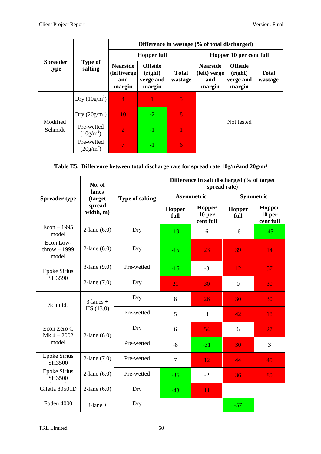|                         |                           | Difference in wastage (% of total discharged)   |                                                  |                         |                                                  |                                                  |                         |  |  |  |
|-------------------------|---------------------------|-------------------------------------------------|--------------------------------------------------|-------------------------|--------------------------------------------------|--------------------------------------------------|-------------------------|--|--|--|
| <b>Spreader</b><br>type |                           |                                                 | <b>Hopper full</b>                               |                         | Hopper 10 per cent full                          |                                                  |                         |  |  |  |
|                         | <b>Type of</b><br>salting | <b>Nearside</b><br>(left)verge<br>and<br>margin | <b>Offside</b><br>(right)<br>verge and<br>margin | <b>Total</b><br>wastage | <b>Nearside</b><br>(left) verge<br>and<br>margin | <b>Offside</b><br>(right)<br>verge and<br>margin | <b>Total</b><br>wastage |  |  |  |
| Modified<br>Schmidt     | Dry $(10g/m^2)$           | $\overline{4}$                                  |                                                  | 5                       |                                                  |                                                  |                         |  |  |  |
|                         | Dry $(20g/m^2)$           | 10                                              | $-2$                                             | 8                       |                                                  |                                                  |                         |  |  |  |
|                         | Pre-wetted<br>$(10g/m^2)$ | $\overline{2}$                                  | -1                                               |                         |                                                  |                                                  |                         |  |  |  |
|                         | Pre-wetted<br>$(20g/m^2)$ |                                                 | $-1$                                             | 6                       |                                                  |                                                  |                         |  |  |  |

## **Table E5. Difference between total discharge rate for spread rate 10g/m²and 20g/m²**

|                                     | No. of<br>lanes     |                        | Difference in salt discharged (% of target<br>spread rate) |                                      |                                                                                       |                  |  |  |  |  |
|-------------------------------------|---------------------|------------------------|------------------------------------------------------------|--------------------------------------|---------------------------------------------------------------------------------------|------------------|--|--|--|--|
| <b>Spreader type</b>                | (target             | <b>Type of salting</b> |                                                            | <b>Asymmetric</b>                    | Symmetric                                                                             |                  |  |  |  |  |
|                                     | spread<br>width, m) |                        | Hopper<br>full                                             | <b>Hopper</b><br>10 per<br>cent full | Hopper<br>full                                                                        | Hopper<br>10 per |  |  |  |  |
| $Econ - 1995$<br>model              | $2$ -lane $(6.0)$   | Dry                    | $-19$                                                      | 6                                    | $-6$                                                                                  | $-45$            |  |  |  |  |
| Econ Low-<br>throw $-1999$<br>model | $2$ -lane $(6.0)$   | Dry                    | $-15$                                                      | 23                                   | 39                                                                                    | 14               |  |  |  |  |
| <b>Epoke Sirius</b>                 | $3$ -lane $(9.0)$   | Pre-wetted             | $-16$                                                      | $-3$                                 | 12                                                                                    | 57               |  |  |  |  |
| SH3590                              | 2-lane $(7.0)$      | Dry                    | 21                                                         | 30                                   | cent full<br>30<br>$\theta$<br>30<br>30<br>42<br>18<br>27<br>6<br>3<br>30<br>44<br>45 |                  |  |  |  |  |
| Schmidt                             | $3$ -lanes +        | Dry                    | 8                                                          | 26                                   |                                                                                       |                  |  |  |  |  |
|                                     | HS (13.0)           | Pre-wetted             | 5                                                          | 3                                    |                                                                                       |                  |  |  |  |  |
| Econ Zero C<br>$Mk 4 - 2002$        | $2$ -lane $(6.0)$   | Dry                    | 6                                                          | $\overline{54}$                      |                                                                                       |                  |  |  |  |  |
| model                               |                     | Pre-wetted             | $-8$                                                       | $-31$                                |                                                                                       |                  |  |  |  |  |
| <b>Epoke Sirius</b><br>SH3500       | 2-lane $(7.0)$      | Pre-wetted             | $\overline{7}$                                             | 12                                   |                                                                                       |                  |  |  |  |  |
| <b>Epoke Sirius</b><br>SH3500       | $2$ -lane $(6.0)$   | Pre-wetted             | $-36$                                                      | $-2$                                 | 36                                                                                    | 80               |  |  |  |  |
| Giletta 80501D                      | $2$ -lane $(6.0)$   | Dry                    | $-43$                                                      | 11                                   |                                                                                       |                  |  |  |  |  |
| Foden 4000                          | $3$ -lane +         | Dry                    |                                                            |                                      | $-57$                                                                                 |                  |  |  |  |  |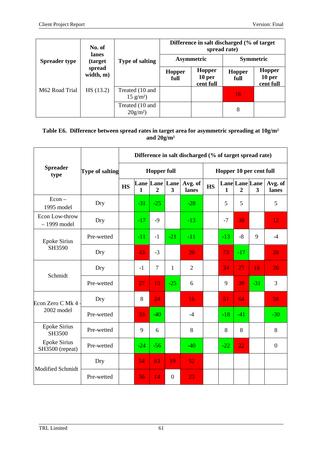| <b>Spreader type</b> | No. of              |                                       | Difference in salt discharged (% of target)<br>spread rate) |                                          |                       |                                      |  |  |
|----------------------|---------------------|---------------------------------------|-------------------------------------------------------------|------------------------------------------|-----------------------|--------------------------------------|--|--|
|                      | lanes<br>(target)   | <b>Type of salting</b>                |                                                             | <b>Asymmetric</b>                        | <b>Symmetric</b>      |                                      |  |  |
|                      | spread<br>width, m) |                                       | Hopper<br>full                                              | Hopper<br>10 <sub>per</sub><br>cent full | <b>Hopper</b><br>full | <b>Hopper</b><br>10 per<br>cent full |  |  |
| M62 Road Trial       | HS(13.2)            | Treated (10 and<br>$15 \text{ g/m}^2$ |                                                             |                                          | 16                    |                                      |  |  |
|                      |                     | Treated (10 and<br>$20g/m^2$          |                                                             |                                          | 8                     |                                      |  |  |

#### **Table E6. Difference between spread rates in target area for asymmetric spreading at 10g/m² and 20g/m²**

|                                        |                 | Difference in salt discharged (% of target spread rate) |              |                                  |                         |                  |                         |              |                                  |       |                  |
|----------------------------------------|-----------------|---------------------------------------------------------|--------------|----------------------------------|-------------------------|------------------|-------------------------|--------------|----------------------------------|-------|------------------|
| <b>Spreader</b><br>type                | Type of salting | <b>Hopper full</b>                                      |              |                                  |                         |                  | Hopper 10 per cent full |              |                                  |       |                  |
|                                        |                 | $\mathbf{H}\mathbf{S}$                                  | $\mathbf{1}$ | Lane Lane Lane<br>$\overline{2}$ | $\overline{\mathbf{3}}$ | Avg. of<br>lanes | <b>HS</b>               | $\mathbf{1}$ | Lane Lane Lane<br>$\overline{2}$ | 3     | Avg. of<br>lanes |
| $Econ -$<br>1995 model                 | Dry             |                                                         | $-31$        | $-25$                            |                         | $-28$            |                         | 5            | 5                                |       | 5                |
| Econ Low-throw<br>$-1999$ model        | Dry             |                                                         | $-17$        | $-9$                             |                         | $-13$            |                         | $-7$         | 30                               |       | 12               |
| <b>Epoke Sirius</b><br>SH3590          | Pre-wetted      |                                                         | $-11$        | $-1$                             | $-21$                   | $-11$            |                         | $-13$        | $-8$                             | 9     | $-4$             |
|                                        | Dry             |                                                         | 43           | $-3$                             |                         | 20               |                         | 73           | $-17$                            |       | 28               |
| Schmidt                                | Dry             |                                                         | $-1$         | $\overline{7}$                   | $\mathbf{1}$            | $\overline{2}$   |                         | 34           | 27                               | 18    | 26               |
|                                        | Pre-wetted      |                                                         | 27           | 15                               | $-25$                   | 6                |                         | 9            | 30                               | $-31$ | 3                |
| Econ Zero C Mk 4                       | Dry             |                                                         | 8            | 24                               |                         | 16               |                         | 51           | 64                               |       | 58               |
| 2002 model                             | Pre-wetted      |                                                         | 33           | $-40$                            |                         | $-4$             |                         | $-18$        | $-41$                            |       | $-30$            |
| <b>Epoke Sirius</b><br>SH3500          | Pre-wetted      |                                                         | 9            | 6                                |                         | 8                |                         | 8            | 8                                |       | 8                |
| <b>Epoke Sirius</b><br>SH3500 (repeat) | Pre-wetted      |                                                         | $-24$        | $-56$                            |                         | $-40$            |                         | $-22$        | 22                               |       | $\boldsymbol{0}$ |
| <b>Modified Schmidt</b>                | Dry             |                                                         | 54           | 83                               | 19                      | 52               |                         |              |                                  |       |                  |
|                                        | Pre-wetted      |                                                         | 56           | 14                               | $\overline{0}$          | 23               |                         |              |                                  |       |                  |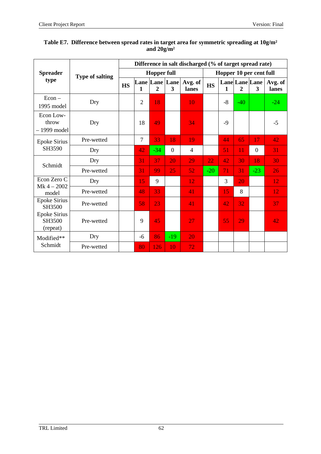|                                                                            |                        | Difference in salt discharged (% of target spread rate) |                |                |                     |                  |                         |              |                |                     |                  |
|----------------------------------------------------------------------------|------------------------|---------------------------------------------------------|----------------|----------------|---------------------|------------------|-------------------------|--------------|----------------|---------------------|------------------|
| <b>Spreader</b><br>type                                                    | <b>Type of salting</b> | <b>Hopper full</b>                                      |                |                |                     |                  | Hopper 10 per cent full |              |                |                     |                  |
|                                                                            |                        | <b>HS</b>                                               | 1              | $\overline{2}$ | Lane Lane Lane<br>3 | Avg. of<br>lanes | <b>HS</b>               | $\mathbf{1}$ | $\overline{2}$ | Lane Lane Lane<br>3 | Avg. of<br>lanes |
| $Econ -$<br>1995 model                                                     | Dry                    |                                                         | $\overline{2}$ | 18             |                     | 10               |                         | $-8$         | $-40$          |                     | $-24$            |
| Econ Low-<br>throw<br>$-1999$ model                                        | Dry                    |                                                         | 18             | 49             |                     | 34               |                         | $-9$         |                |                     | $-5$             |
| <b>Epoke Sirius</b><br>SH3590                                              | Pre-wetted             |                                                         | $\overline{7}$ | 33             | 18                  | 19               |                         | 44           | 65             | 17                  | 42               |
|                                                                            | Dry                    |                                                         | 42             | $-34$          | $\overline{0}$      | $\overline{4}$   |                         | 51           | 11             | $\overline{0}$      | 31               |
| Schmidt                                                                    | Dry                    |                                                         | 31             | 37             | 20                  | 29               | 22                      | 42           | 30             | 18                  | 30               |
|                                                                            | Pre-wetted             |                                                         | 31             | 99             | 25                  | 52               | $-20$                   | 71           | 31             | $-23$               | 26               |
| Econ Zero C<br>$Mk 4 - 2002$                                               | Dry                    |                                                         | 15             | 9              |                     | 12               |                         | 3            | 20             |                     | 12               |
| model                                                                      | Pre-wetted             |                                                         | 48             | 33             |                     | 41               |                         | 15           | 8              |                     | 12               |
| <b>Epoke Sirius</b><br>SH3500<br><b>Epoke Sirius</b><br>SH3500<br>(repeat) | Pre-wetted             |                                                         | 58             | 23             |                     | 41               |                         | 42           | 32             |                     | 37               |
|                                                                            | Pre-wetted             |                                                         | 9              | 45             |                     | 27               |                         | 55           | 29             |                     | 42               |
| Modified**<br>Schmidt                                                      | Dry                    |                                                         | $-6$           | 86             | $-19$               | 20               |                         |              |                |                     |                  |
|                                                                            | Pre-wetted             |                                                         | 80             | 126            | 10                  | 72               |                         |              |                |                     |                  |

#### **Table E7. Difference between spread rates in target area for symmetric spreading at 10g/m² and 20g/m²**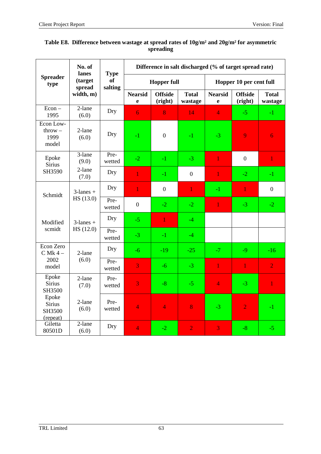|                                                | No. of<br>lanes                                       | <b>Type</b>          | Difference in salt discharged (% of target spread rate) |                           |                         |                               |                           |                         |  |
|------------------------------------------------|-------------------------------------------------------|----------------------|---------------------------------------------------------|---------------------------|-------------------------|-------------------------------|---------------------------|-------------------------|--|
| <b>Spreader</b><br>type                        | (target<br>spread                                     | <b>of</b><br>salting | <b>Hopper full</b>                                      |                           |                         | Hopper 10 per cent full       |                           |                         |  |
|                                                | width, m)                                             |                      | <b>Nearsid</b><br>$\mathbf e$                           | <b>Offside</b><br>(right) | <b>Total</b><br>wastage | <b>Nearsid</b><br>$\mathbf e$ | <b>Offside</b><br>(right) | <b>Total</b><br>wastage |  |
| $Econ -$<br>1995                               | 2-lane<br>(6.0)                                       | Dry                  | $\overline{6}$                                          | 8                         | 14                      | $\overline{4}$                | $-5$                      | $-1$                    |  |
| Econ Low-<br>$\text{throw} -$<br>1999<br>model | 2-lane<br>(6.0)                                       | Dry                  | $-1$                                                    | $\boldsymbol{0}$          | $-1$                    | $-3$                          | 9                         | $\overline{6}$          |  |
| Epoke<br><b>Sirius</b>                         | 3-lane<br>(9.0)                                       | Pre-<br>wetted       | $-2$                                                    | $-1$                      | $-3$                    | $\mathbf{1}$                  | $\overline{0}$            | $\mathbf{1}$            |  |
| SH3590                                         | 2-lane<br>(7.0)                                       | Dry                  | $\mathbf{1}$                                            | $-1$                      | $\boldsymbol{0}$        | $\mathbf{1}$                  | $-2$                      | $-1$                    |  |
| Schmidt                                        | $3$ -lanes +<br>HS (13.0)<br>$3$ -lanes +<br>HS(12.0) | Dry                  | $\overline{1}$                                          | $\boldsymbol{0}$          | $\mathbf{1}$            | $-1$                          | $\mathbf{1}$              | $\overline{0}$          |  |
|                                                |                                                       | Pre-<br>wetted       | $\overline{0}$                                          | $-2$                      | $-2$                    | $\mathbf{1}$                  | $-3$                      | $-2$                    |  |
| Modified                                       |                                                       | Dry                  | $-5$                                                    | $\mathbf{1}$              | $-4$                    |                               |                           |                         |  |
| scmidt                                         |                                                       | Pre-<br>wetted       | $-3$                                                    | $-1$                      | $-4$                    |                               |                           |                         |  |
| Econ Zero<br>$C$ Mk 4 $-$                      | 2-lane                                                | Dry                  | $-6$                                                    | $-19$                     | $-25$                   | $-7$                          | $-9$                      | $-16$                   |  |
| 2002<br>model                                  | (6.0)                                                 | Pre-<br>wetted       | $\overline{\mathbf{3}}$                                 | $-6$                      | $-3$                    | $\mathbf{1}$                  | $\mathbf{1}$              | $\overline{2}$          |  |
| Epoke<br><b>Sirius</b><br>SH3500               | 2-lane<br>(7.0)                                       | Pre-<br>wetted       | 3                                                       | $-8$                      | $-5$                    | $\overline{4}$                | $-3$                      | $\mathbf{1}$            |  |
| Epoke<br><b>Sirius</b><br>SH3500<br>(repeat)   | 2-lane<br>(6.0)                                       | Pre-<br>wetted       | $\overline{4}$                                          | $\overline{4}$            | 8                       | $-3$                          | $\overline{2}$            | $-1$                    |  |
| Giletta<br>80501D                              | 2-lane<br>(6.0)                                       | Dry                  | $\overline{4}$                                          | $-2$                      | $\overline{2}$          | $\overline{3}$                | $-8$                      | $-5$                    |  |

#### **Table E8. Difference between wastage at spread rates of 10g/m² and 20g/m² for asymmetric spreading**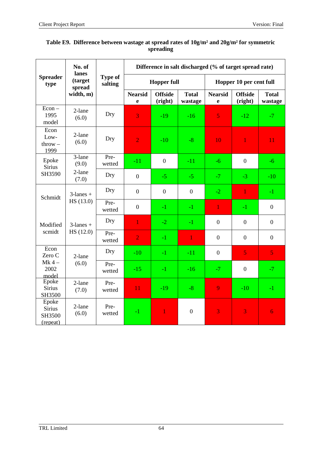|                                              | No. of<br>lanes   |                           | Difference in salt discharged (% of target spread rate) |                           |                         |                               |                           |                         |
|----------------------------------------------|-------------------|---------------------------|---------------------------------------------------------|---------------------------|-------------------------|-------------------------------|---------------------------|-------------------------|
| <b>Spreader</b><br>type                      | (target<br>spread | <b>Type of</b><br>salting | <b>Hopper full</b>                                      |                           |                         | Hopper 10 per cent full       |                           |                         |
|                                              | width, m)         |                           | <b>Nearsid</b><br>e                                     | <b>Offside</b><br>(right) | <b>Total</b><br>wastage | <b>Nearsid</b><br>$\mathbf e$ | <b>Offside</b><br>(right) | <b>Total</b><br>wastage |
| $Econ -$<br>1995<br>model                    | 2-lane<br>(6.0)   | Dry                       | 3                                                       | $-19$                     | $-16$                   | $\overline{5}$                | $-12$                     | $-7$                    |
| Econ<br>Low-<br>$\text{throw} -$<br>1999     | 2-lane<br>(6.0)   | Dry                       | $\overline{2}$                                          | $-10$                     | $-8$                    | 10                            | $\mathbf{1}$              | 11                      |
| Epoke<br><b>Sirius</b>                       | 3-lane<br>(9.0)   | Pre-<br>wetted            | $-11$                                                   | $\boldsymbol{0}$          | $-11$                   | $-6$                          | $\boldsymbol{0}$          | $-6$                    |
| SH3590                                       | 2-lane<br>(7.0)   | Dry                       | $\boldsymbol{0}$                                        | $-5$                      | $-5$                    | $-7$                          | $-3$                      | $-10$                   |
| Schmidt                                      | $3$ -lanes +      | Dry                       | $\mathbf{0}$                                            | $\boldsymbol{0}$          | $\overline{0}$          | $-2$                          | $\mathbf{1}$              | $-1$                    |
|                                              | HS (13.0)         | Pre-<br>wetted            | $\boldsymbol{0}$                                        | $-1$                      | $-1$                    | $\mathbf{1}$                  | $-1$                      | $\boldsymbol{0}$        |
| Modified                                     | $3$ -lanes +      | Dry                       | $\overline{1}$                                          | $-2$                      | $-1$                    | $\boldsymbol{0}$              | $\boldsymbol{0}$          | $\boldsymbol{0}$        |
| scmidt                                       | HS (12.0)         | Pre-<br>wetted            | $\overline{2}$                                          | $-1$                      | $\mathbf{1}$            | $\boldsymbol{0}$              | $\boldsymbol{0}$          | $\boldsymbol{0}$        |
| Econ<br>Zero C                               | 2-lane            | Dry                       | $-10$                                                   | $-1$                      | $-11$                   | $\boldsymbol{0}$              | 5                         | 5 <sub>1</sub>          |
| $Mk 4 -$<br>2002<br>model                    | (6.0)             | Pre-<br>wetted            | $-15$                                                   | $-1$                      | $-16$                   | $-7$                          | $\boldsymbol{0}$          | $-7$                    |
| Epoke<br><b>Sirius</b><br>SH3500             | 2-lane<br>(7.0)   | Pre-<br>wetted            | 11                                                      | $-19$                     | $-8$                    | 9                             | $-10$                     | $-1$                    |
| Epoke<br><b>Sirius</b><br>SH3500<br>(repeat) | 2-lane<br>(6.0)   | Pre-<br>wetted            | $-1$                                                    | $\mathbf{1}$              | $\boldsymbol{0}$        | 3                             | 3                         | 6                       |

## **Table E9. Difference between wastage at spread rates of 10g/m² and 20g/m² for symmetric spreading**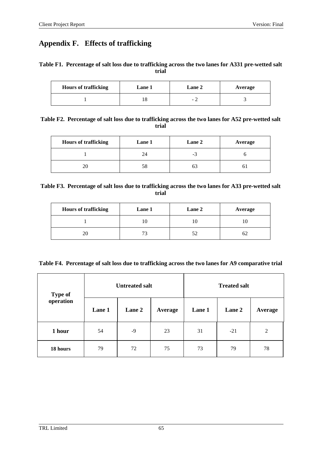## **Appendix F. Effects of trafficking**

## **Table F1. Percentage of salt loss due to trafficking across the two lanes for A331 pre-wetted salt trial**

| <b>Hours of trafficking</b> | Lane 1 | <b>Lane 2</b> | Average |
|-----------------------------|--------|---------------|---------|
|                             |        | $\sim$        |         |

| Table F2. Percentage of salt loss due to trafficking across the two lanes for A52 pre-wetted salt |
|---------------------------------------------------------------------------------------------------|
| trial                                                                                             |

| <b>Hours of trafficking</b> | Lane 1 | Lane 2 | Average |
|-----------------------------|--------|--------|---------|
|                             | 24     | - 1    |         |
|                             | 58     | O.     | O J     |

**Table F3. Percentage of salt loss due to trafficking across the two lanes for A33 pre-wetted salt trial**

| <b>Hours of trafficking</b> | Lane 1 | Lane 2 | Average |
|-----------------------------|--------|--------|---------|
|                             | .U     | U      |         |
| 20                          |        | 52     | OΖ      |

| Table F4. Percentage of salt loss due to trafficking across the two lanes for A9 comparative trial |  |  |  |
|----------------------------------------------------------------------------------------------------|--|--|--|
|                                                                                                    |  |  |  |

| <b>Type of</b> |        | <b>Untreated salt</b> |         | <b>Treated salt</b> |        |                |  |
|----------------|--------|-----------------------|---------|---------------------|--------|----------------|--|
| operation      | Lane 1 | Lane 2                | Average | Lane 1              | Lane 2 | Average        |  |
| 1 hour         | 54     | $-9$                  | 23      | 31                  | $-21$  | $\overline{2}$ |  |
| 18 hours       | 79     | 72                    | 75      | 73                  | 79     | 78             |  |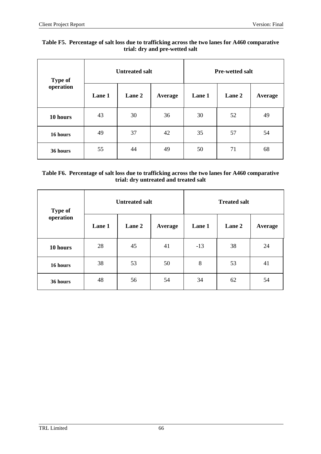## **Table F5. Percentage of salt loss due to trafficking across the two lanes for A460 comparative trial: dry and pre-wetted salt**

| <b>Type of</b> |        | <b>Untreated salt</b> |         | <b>Pre-wetted salt</b> |        |         |
|----------------|--------|-----------------------|---------|------------------------|--------|---------|
| operation      | Lane 1 | Lane 2                | Average | Lane 1                 | Lane 2 | Average |
| 10 hours       | 43     | 30                    | 36      | 30                     | 52     | 49      |
| 16 hours       | 49     | 37                    | 42      | 35                     | 57     | 54      |
| 36 hours       | 55     | 44                    | 49      | 50                     | 71     | 68      |

## **Table F6. Percentage of salt loss due to trafficking across the two lanes for A460 comparative trial: dry untreated and treated salt**

| <b>Type of</b> |        | <b>Untreated salt</b> |         | <b>Treated salt</b> |        |         |
|----------------|--------|-----------------------|---------|---------------------|--------|---------|
| operation      | Lane 1 | Lane 2                | Average | Lane 1              | Lane 2 | Average |
| 10 hours       | 28     | 45                    | 41      | $-13$               | 38     | 24      |
| 16 hours       | 38     | 53                    | 50      | 8                   | 53     | 41      |
| 36 hours       | 48     | 56                    | 54      | 34                  | 62     | 54      |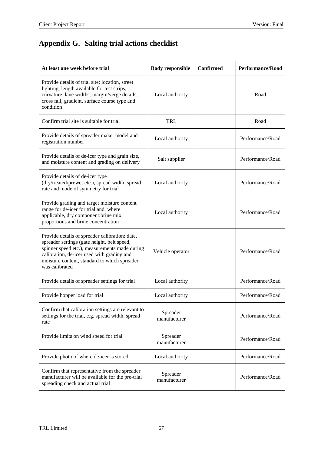# **Appendix G. Salting trial actions checklist**

| At least one week before trial                                                                                                                                                                                                                                 | <b>Body responsible</b>  | <b>Confirmed</b> | Performance/Road |
|----------------------------------------------------------------------------------------------------------------------------------------------------------------------------------------------------------------------------------------------------------------|--------------------------|------------------|------------------|
| Provide details of trial site: location, street<br>lighting, length available for test strips,<br>curvature, lane widths, margin/verge details,<br>cross fall, gradient, surface course type and<br>condition                                                  | Local authority          |                  | Road             |
| Confirm trial site is suitable for trial                                                                                                                                                                                                                       | TRL                      |                  | Road             |
| Provide details of spreader make, model and<br>registration number                                                                                                                                                                                             | Local authority          |                  | Performance/Road |
| Provide details of de-icer type and grain size,<br>and moisture content and grading on delivery                                                                                                                                                                | Salt supplier            |                  | Performance/Road |
| Provide details of de-icer type<br>(dry/treated/prewet etc.), spread width, spread<br>rate and mode of symmetry for trial                                                                                                                                      | Local authority          |                  | Performance/Road |
| Provide grading and target moisture content<br>range for de-icer for trial and, where<br>applicable, dry component:brine mix<br>proportions and brine concentration                                                                                            | Local authority          |                  | Performance/Road |
| Provide details of spreader calibration: date,<br>spreader settings (gate height, belt speed,<br>spinner speed etc.), measurements made during<br>calibration, de-icer used with grading and<br>moisture content, standard to which spreader<br>was calibrated | Vehicle operator         |                  | Performance/Road |
| Provide details of spreader settings for trial                                                                                                                                                                                                                 | Local authority          |                  | Performance/Road |
| Provide hopper load for trial                                                                                                                                                                                                                                  | Local authority          |                  | Performance/Road |
| Confirm that calibration settings are relevant to<br>settings for the trial, e.g. spread width, spread<br>rate                                                                                                                                                 | Spreader<br>manufacturer |                  | Performance/Road |
| Provide limits on wind speed for trial                                                                                                                                                                                                                         | Spreader<br>manufacturer |                  | Performance/Road |
| Provide photo of where de-icer is stored                                                                                                                                                                                                                       | Local authority          |                  | Performance/Road |
| Confirm that representative from the spreader<br>manufacturer will be available for the pre-trial<br>spreading check and actual trial                                                                                                                          | Spreader<br>manufacturer |                  | Performance/Road |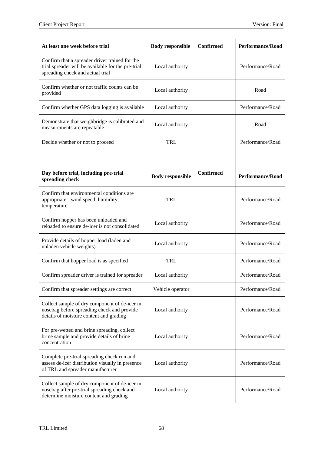| At least one week before trial                                                                                                           | <b>Body responsible</b> | <b>Confirmed</b> | <b>Performance/Road</b> |
|------------------------------------------------------------------------------------------------------------------------------------------|-------------------------|------------------|-------------------------|
| Confirm that a spreader driver trained for the<br>trial spreader will be available for the pre-trial<br>spreading check and actual trial | Local authority         |                  | Performance/Road        |
| Confirm whether or not traffic counts can be<br>provided                                                                                 | Local authority         |                  | Road                    |
| Confirm whether GPS data logging is available                                                                                            | Local authority         |                  | Performance/Road        |
| Demonstrate that weighbridge is calibrated and<br>measurements are repeatable                                                            | Local authority         |                  | Road                    |
| Decide whether or not to proceed                                                                                                         | TRL                     |                  | Performance/Road        |
|                                                                                                                                          |                         |                  |                         |
| Day before trial, including pre-trial<br>spreading check                                                                                 | <b>Body responsible</b> | <b>Confirmed</b> | <b>Performance/Road</b> |
| Confirm that environmental conditions are<br>appropriate - wind speed, humidity,<br>temperature                                          | TRL                     |                  | Performance/Road        |
| Confirm hopper has been unloaded and<br>reloaded to ensure de-icer is not consolidated                                                   | Local authority         |                  | Performance/Road        |
| Provide details of hopper load (laden and<br>unladen vehicle weights)                                                                    | Local authority         |                  | Performance/Road        |
| Confirm that hopper load is as specified                                                                                                 | TRL                     |                  | Performance/Road        |
| Confirm spreader driver is trained for spreader                                                                                          | Local authority         |                  | Performance/Road        |
| Confirm that spreader settings are correct                                                                                               | Vehicle operator        |                  | Performance/Road        |
| Collect sample of dry component of de-icer in<br>nosebag before spreading check and provide<br>details of moisture content and grading   | Local authority         |                  | Performance/Road        |
| For pre-wetted and brine spreading, collect<br>brine sample and provide details of brine<br>concentration                                | Local authority         |                  | Performance/Road        |
| Complete pre-trial spreading check run and<br>assess de-icer distribution visually in presence<br>of TRL and spreader manufacturer       | Local authority         |                  | Performance/Road        |
| Collect sample of dry component of de-icer in<br>nosebag after pre-trial spreading check and<br>determine moisture content and grading   | Local authority         |                  | Performance/Road        |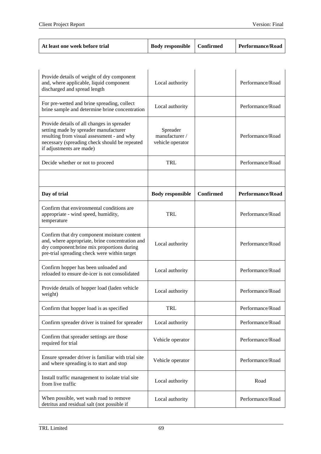| Confirmed<br><b>Performance/Road</b><br><b>Body responsible</b><br>At least one week before trial |
|---------------------------------------------------------------------------------------------------|
|---------------------------------------------------------------------------------------------------|

| Provide details of weight of dry component<br>and, where applicable, liquid component<br>discharged and spread length                                                                                          | Local authority                                |                  | Performance/Road |
|----------------------------------------------------------------------------------------------------------------------------------------------------------------------------------------------------------------|------------------------------------------------|------------------|------------------|
| For pre-wetted and brine spreading, collect<br>brine sample and determine brine concentration                                                                                                                  | Local authority                                |                  | Performance/Road |
| Provide details of all changes in spreader<br>setting made by spreader manufacturer<br>resulting from visual assessment - and why<br>necessary (spreading check should be repeated<br>if adjustments are made) | Spreader<br>manufacturer /<br>vehicle operator |                  | Performance/Road |
| Decide whether or not to proceed                                                                                                                                                                               | TRL                                            |                  | Performance/Road |
|                                                                                                                                                                                                                |                                                |                  |                  |
| Day of trial                                                                                                                                                                                                   | <b>Body responsible</b>                        | <b>Confirmed</b> | Performance/Road |
| Confirm that environmental conditions are<br>appropriate - wind speed, humidity,<br>temperature                                                                                                                | TRL                                            |                  | Performance/Road |
| Confirm that dry component moisture content<br>and, where appropriate, brine concentration and<br>dry component: brine mix proportions during<br>pre-trial spreading check were within target                  | Local authority                                |                  | Performance/Road |
| Confirm hopper has been unloaded and<br>reloaded to ensure de-icer is not consolidated                                                                                                                         | Local authority                                |                  | Performance/Road |
| Provide details of hopper load (laden vehicle<br>weight)                                                                                                                                                       | Local authority                                |                  | Performance/Road |
| Confirm that hopper load is as specified                                                                                                                                                                       | TRL                                            |                  | Performance/Road |
| Confirm spreader driver is trained for spreader                                                                                                                                                                | Local authority                                |                  | Performance/Road |
| Confirm that spreader settings are those<br>required for trial                                                                                                                                                 | Vehicle operator                               |                  | Performance/Road |
| Ensure spreader driver is familiar with trial site<br>and where spreading is to start and stop                                                                                                                 | Vehicle operator                               |                  | Performance/Road |
| Install traffic management to isolate trial site<br>from live traffic                                                                                                                                          | Local authority                                |                  | Road             |
| When possible, wet wash road to remove<br>detritus and residual salt (not possible if                                                                                                                          | Local authority                                |                  | Performance/Road |